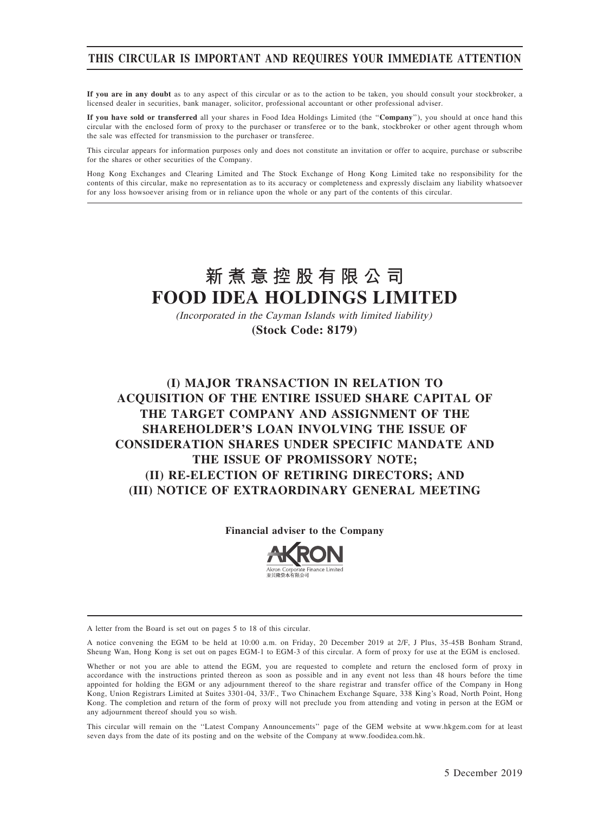# THIS CIRCULAR IS IMPORTANT AND REQUIRES YOUR IMMEDIATE ATTENTION

If you are in any doubt as to any aspect of this circular or as to the action to be taken, you should consult your stockbroker, a licensed dealer in securities, bank manager, solicitor, professional accountant or other professional adviser.

If you have sold or transferred all your shares in Food Idea Holdings Limited (the ''Company''), you should at once hand this circular with the enclosed form of proxy to the purchaser or transferee or to the bank, stockbroker or other agent through whom the sale was effected for transmission to the purchaser or transferee.

This circular appears for information purposes only and does not constitute an invitation or offer to acquire, purchase or subscribe for the shares or other securities of the Company.

Hong Kong Exchanges and Clearing Limited and The Stock Exchange of Hong Kong Limited take no responsibility for the contents of this circular, make no representation as to its accuracy or completeness and expressly disclaim any liability whatsoever for any loss howsoever arising from or in reliance upon the whole or any part of the contents of this circular.

# **新煮意控股有限公司 FOOD IDEA HOLDINGS LIMITED**

(Incorporated in the Cayman Islands with limited liability) **(Stock Code: 8179)**

# (I) MAJOR TRANSACTION IN RELATION TO ACQUISITION OF THE ENTIRE ISSUED SHARE CAPITAL OF THE TARGET COMPANY AND ASSIGNMENT OF THE SHAREHOLDER'S LOAN INVOLVING THE ISSUE OF CONSIDERATION SHARES UNDER SPECIFIC MANDATE AND THE ISSUE OF PROMISSORY NOTE; (II) RE-ELECTION OF RETIRING DIRECTORS; AND (III) NOTICE OF EXTRAORDINARY GENERAL MEETING

#### Financial adviser to the Company



A letter from the Board is set out on pages 5 to 18 of this circular.

A notice convening the EGM to be held at 10:00 a.m. on Friday, 20 December 2019 at 2/F, J Plus, 35-45B Bonham Strand, Sheung Wan, Hong Kong is set out on pages EGM-1 to EGM-3 of this circular. A form of proxy for use at the EGM is enclosed.

Whether or not you are able to attend the EGM, you are requested to complete and return the enclosed form of proxy in accordance with the instructions printed thereon as soon as possible and in any event not less than 48 hours before the time appointed for holding the EGM or any adjournment thereof to the share registrar and transfer office of the Company in Hong Kong, Union Registrars Limited at Suites 3301-04, 33/F., Two Chinachem Exchange Square, 338 King's Road, North Point, Hong Kong. The completion and return of the form of proxy will not preclude you from attending and voting in person at the EGM or any adjournment thereof should you so wish.

This circular will remain on the ''Latest Company Announcements'' page of the GEM website at www.hkgem.com for at least seven days from the date of its posting and on the website of the Company at www.foodidea.com.hk.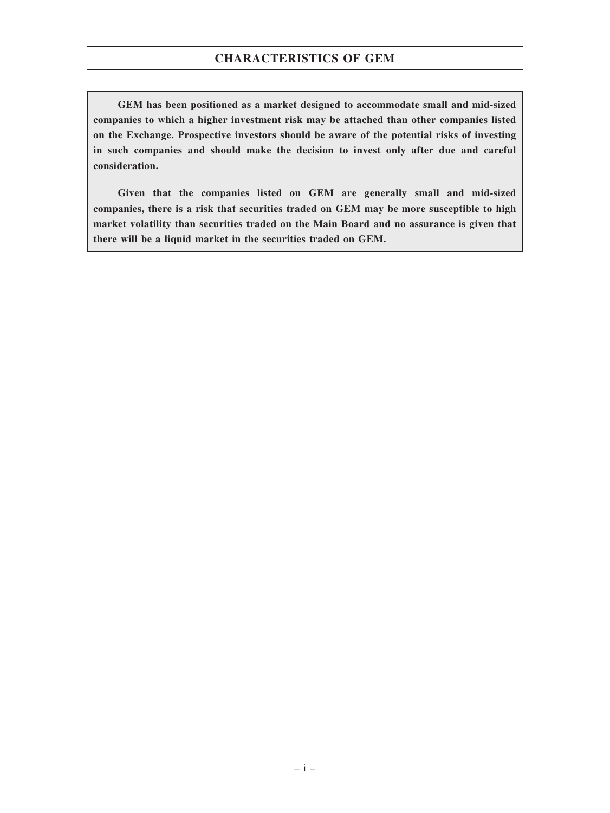GEM has been positioned as a market designed to accommodate small and mid-sized companies to which a higher investment risk may be attached than other companies listed on the Exchange. Prospective investors should be aware of the potential risks of investing in such companies and should make the decision to invest only after due and careful consideration.

Given that the companies listed on GEM are generally small and mid-sized companies, there is a risk that securities traded on GEM may be more susceptible to high market volatility than securities traded on the Main Board and no assurance is given that there will be a liquid market in the securities traded on GEM.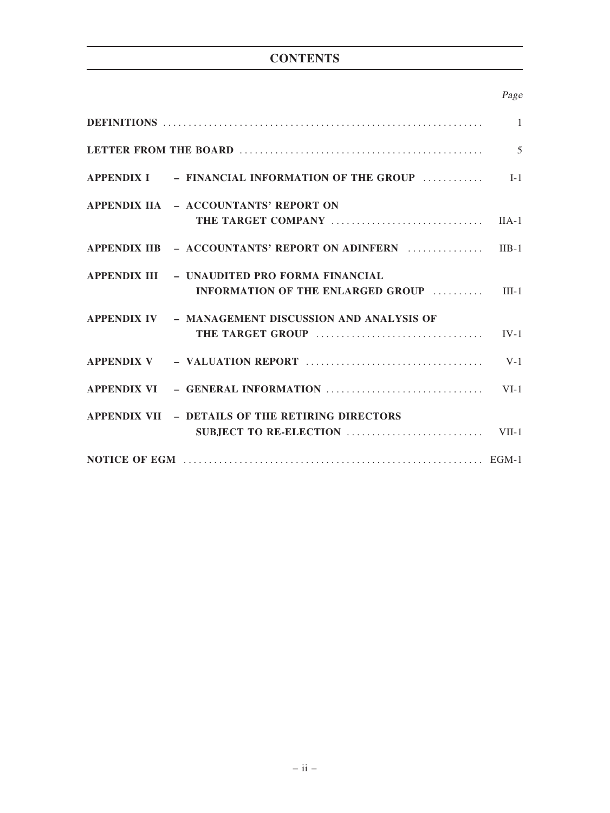# **CONTENTS**

# Page

|                                                                                   | $\overline{1}$ |
|-----------------------------------------------------------------------------------|----------------|
|                                                                                   | $\overline{5}$ |
| $APPENDIX I = FINANCIAL INFORMATION OF THE GROUP$                                 | $I-1$          |
| APPENDIX IIA - ACCOUNTANTS' REPORT ON                                             | $IIA-1$        |
|                                                                                   |                |
| APPENDIX IIB - ACCOUNTANTS' REPORT ON ADINFERN  IIB-1                             |                |
| APPENDIX III – UNAUDITED PRO FORMA FINANCIAL<br>INFORMATION OF THE ENLARGED GROUP | $III-1$        |
| APPENDIX IV - MANAGEMENT DISCUSSION AND ANALYSIS OF                               | $IV-1$         |
|                                                                                   | $V-1$          |
| APPENDIX VI - GENERAL INFORMATION                                                 | $VI-1$         |
| APPENDIX VII - DETAILS OF THE RETIRING DIRECTORS                                  |                |
|                                                                                   |                |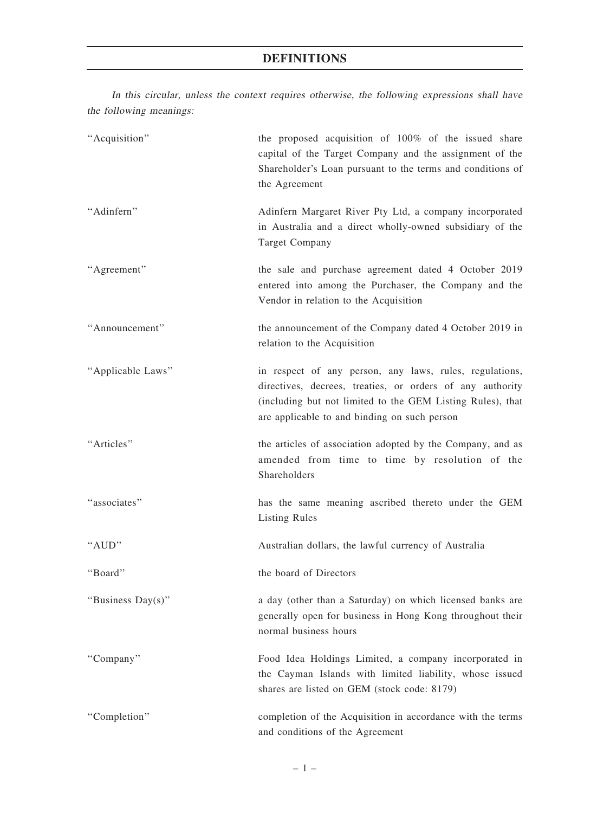# DEFINITIONS

In this circular, unless the context requires otherwise, the following expressions shall have the following meanings:

| "Acquisition"     | the proposed acquisition of 100% of the issued share<br>capital of the Target Company and the assignment of the<br>Shareholder's Loan pursuant to the terms and conditions of<br>the Agreement                                     |
|-------------------|------------------------------------------------------------------------------------------------------------------------------------------------------------------------------------------------------------------------------------|
| "Adinfern"        | Adinfern Margaret River Pty Ltd, a company incorporated<br>in Australia and a direct wholly-owned subsidiary of the<br><b>Target Company</b>                                                                                       |
| "Agreement"       | the sale and purchase agreement dated 4 October 2019<br>entered into among the Purchaser, the Company and the<br>Vendor in relation to the Acquisition                                                                             |
| "Announcement"    | the announcement of the Company dated 4 October 2019 in<br>relation to the Acquisition                                                                                                                                             |
| "Applicable Laws" | in respect of any person, any laws, rules, regulations,<br>directives, decrees, treaties, or orders of any authority<br>(including but not limited to the GEM Listing Rules), that<br>are applicable to and binding on such person |
| "Articles"        | the articles of association adopted by the Company, and as<br>amended from time to time by resolution of the<br>Shareholders                                                                                                       |
| "associates"      | has the same meaning ascribed thereto under the GEM<br><b>Listing Rules</b>                                                                                                                                                        |
| "AUD"             | Australian dollars, the lawful currency of Australia                                                                                                                                                                               |
| "Board"           | the board of Directors                                                                                                                                                                                                             |
| "Business Day(s)" | a day (other than a Saturday) on which licensed banks are<br>generally open for business in Hong Kong throughout their<br>normal business hours                                                                                    |
| "Company"         | Food Idea Holdings Limited, a company incorporated in<br>the Cayman Islands with limited liability, whose issued<br>shares are listed on GEM (stock code: 8179)                                                                    |
| "Completion"      | completion of the Acquisition in accordance with the terms<br>and conditions of the Agreement                                                                                                                                      |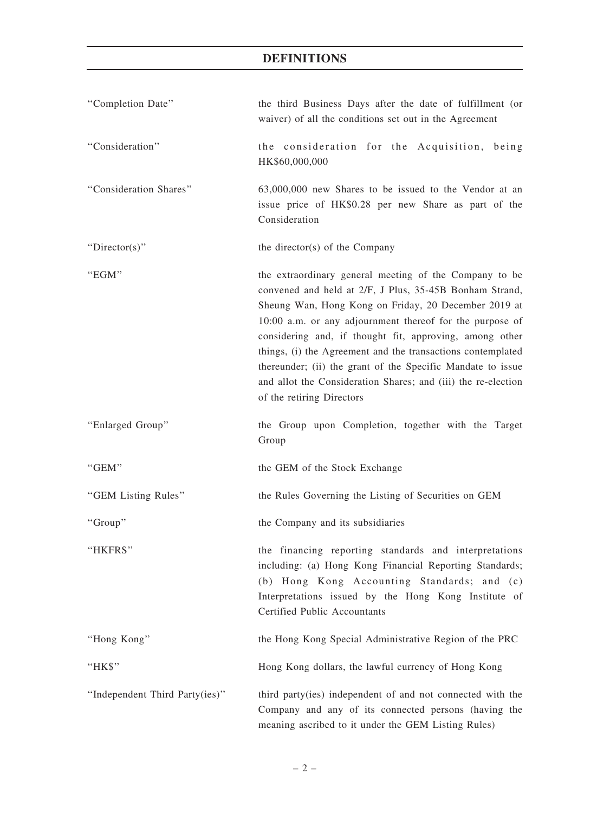| "Completion Date"              | the third Business Days after the date of fulfillment (or<br>waiver) of all the conditions set out in the Agreement                                                                                                                                                                                                                                                                                                                                                                                                          |
|--------------------------------|------------------------------------------------------------------------------------------------------------------------------------------------------------------------------------------------------------------------------------------------------------------------------------------------------------------------------------------------------------------------------------------------------------------------------------------------------------------------------------------------------------------------------|
| "Consideration"                | the consideration for the Acquisition, being<br>HK\$60,000,000                                                                                                                                                                                                                                                                                                                                                                                                                                                               |
| "Consideration Shares"         | 63,000,000 new Shares to be issued to the Vendor at an<br>issue price of HK\$0.28 per new Share as part of the<br>Consideration                                                                                                                                                                                                                                                                                                                                                                                              |
| "Director(s)"                  | the director(s) of the Company                                                                                                                                                                                                                                                                                                                                                                                                                                                                                               |
| "EGM"                          | the extraordinary general meeting of the Company to be<br>convened and held at 2/F, J Plus, 35-45B Bonham Strand,<br>Sheung Wan, Hong Kong on Friday, 20 December 2019 at<br>10:00 a.m. or any adjournment thereof for the purpose of<br>considering and, if thought fit, approving, among other<br>things, (i) the Agreement and the transactions contemplated<br>thereunder; (ii) the grant of the Specific Mandate to issue<br>and allot the Consideration Shares; and (iii) the re-election<br>of the retiring Directors |
| "Enlarged Group"               | the Group upon Completion, together with the Target<br>Group                                                                                                                                                                                                                                                                                                                                                                                                                                                                 |
| "GEM"                          | the GEM of the Stock Exchange                                                                                                                                                                                                                                                                                                                                                                                                                                                                                                |
| "GEM Listing Rules"            | the Rules Governing the Listing of Securities on GEM                                                                                                                                                                                                                                                                                                                                                                                                                                                                         |
| "Group"                        | the Company and its subsidiaries                                                                                                                                                                                                                                                                                                                                                                                                                                                                                             |
| "HKFRS"                        | the financing reporting standards and interpretations<br>including: (a) Hong Kong Financial Reporting Standards;<br>(b) Hong Kong Accounting Standards; and (c)<br>Interpretations issued by the Hong Kong Institute of<br>Certified Public Accountants                                                                                                                                                                                                                                                                      |
| "Hong Kong"                    | the Hong Kong Special Administrative Region of the PRC                                                                                                                                                                                                                                                                                                                                                                                                                                                                       |
| "HK\$"                         | Hong Kong dollars, the lawful currency of Hong Kong                                                                                                                                                                                                                                                                                                                                                                                                                                                                          |
| "Independent Third Party(ies)" | third party(ies) independent of and not connected with the<br>Company and any of its connected persons (having the<br>meaning ascribed to it under the GEM Listing Rules)                                                                                                                                                                                                                                                                                                                                                    |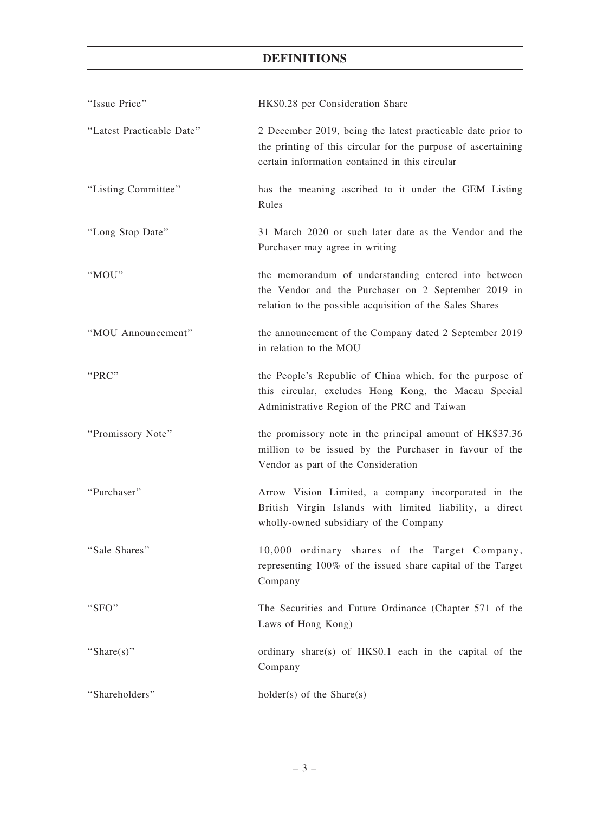# DEFINITIONS

| "Issue Price"             | HK\$0.28 per Consideration Share                                                                                                                                               |
|---------------------------|--------------------------------------------------------------------------------------------------------------------------------------------------------------------------------|
| "Latest Practicable Date" | 2 December 2019, being the latest practicable date prior to<br>the printing of this circular for the purpose of ascertaining<br>certain information contained in this circular |
| "Listing Committee"       | has the meaning ascribed to it under the GEM Listing<br>Rules                                                                                                                  |
| "Long Stop Date"          | 31 March 2020 or such later date as the Vendor and the<br>Purchaser may agree in writing                                                                                       |
| "MOU"                     | the memorandum of understanding entered into between<br>the Vendor and the Purchaser on 2 September 2019 in<br>relation to the possible acquisition of the Sales Shares        |
| "MOU Announcement"        | the announcement of the Company dated 2 September 2019<br>in relation to the MOU                                                                                               |
| "PRC"                     | the People's Republic of China which, for the purpose of<br>this circular, excludes Hong Kong, the Macau Special<br>Administrative Region of the PRC and Taiwan                |
| "Promissory Note"         | the promissory note in the principal amount of HK\$37.36<br>million to be issued by the Purchaser in favour of the<br>Vendor as part of the Consideration                      |
| "Purchaser"               | Arrow Vision Limited, a company incorporated in the<br>British Virgin Islands with limited liability, a direct<br>wholly-owned subsidiary of the Company                       |
| "Sale Shares"             | 10,000 ordinary shares of the Target Company,<br>representing 100% of the issued share capital of the Target<br>Company                                                        |
| "SFO"                     | The Securities and Future Ordinance (Chapter 571 of the<br>Laws of Hong Kong)                                                                                                  |
| "Share $(s)$ "            | ordinary share(s) of HK\$0.1 each in the capital of the<br>Company                                                                                                             |
| "Shareholders"            | $holder(s)$ of the Share $(s)$                                                                                                                                                 |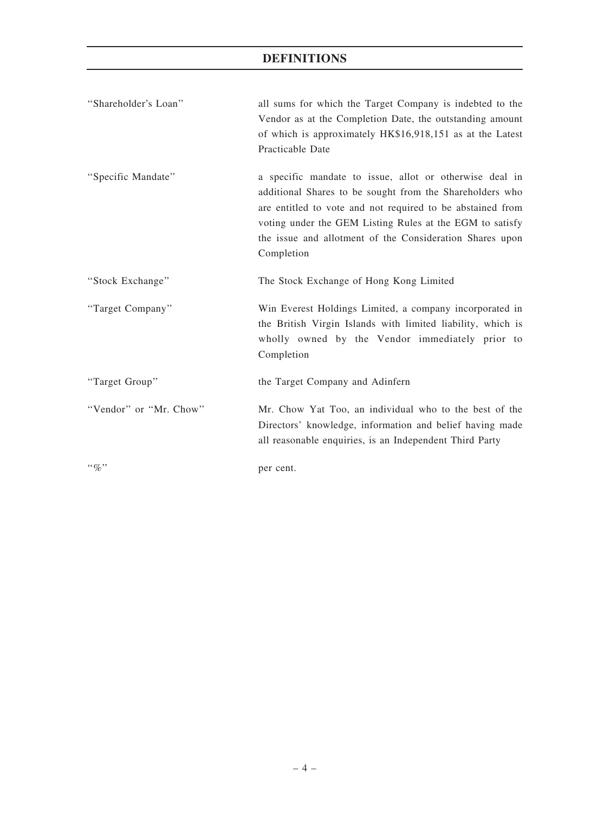| "Shareholder's Loan"   | all sums for which the Target Company is indebted to the<br>Vendor as at the Completion Date, the outstanding amount<br>of which is approximately HK\$16,918,151 as at the Latest<br>Practicable Date                                                                                                                   |
|------------------------|-------------------------------------------------------------------------------------------------------------------------------------------------------------------------------------------------------------------------------------------------------------------------------------------------------------------------|
| "Specific Mandate"     | a specific mandate to issue, allot or otherwise deal in<br>additional Shares to be sought from the Shareholders who<br>are entitled to vote and not required to be abstained from<br>voting under the GEM Listing Rules at the EGM to satisfy<br>the issue and allotment of the Consideration Shares upon<br>Completion |
| "Stock Exchange"       | The Stock Exchange of Hong Kong Limited                                                                                                                                                                                                                                                                                 |
| "Target Company"       | Win Everest Holdings Limited, a company incorporated in<br>the British Virgin Islands with limited liability, which is<br>wholly owned by the Vendor immediately prior to<br>Completion                                                                                                                                 |
| "Target Group"         | the Target Company and Adinfern                                                                                                                                                                                                                                                                                         |
| "Vendor" or "Mr. Chow" | Mr. Chow Yat Too, an individual who to the best of the<br>Directors' knowledge, information and belief having made<br>all reasonable enquiries, is an Independent Third Party                                                                                                                                           |
| $``q_0"$               | per cent.                                                                                                                                                                                                                                                                                                               |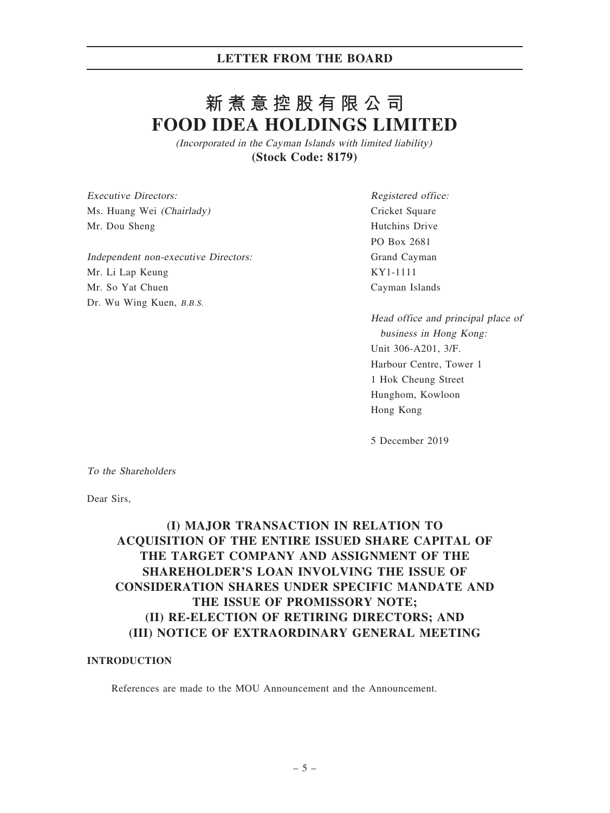# **新煮意控股有限公司 FOOD IDEA HOLDINGS LIMITED**

(Incorporated in the Cayman Islands with limited liability) **(Stock Code: 8179)**

Executive Directors: Ms. Huang Wei (Chairlady) Mr. Dou Sheng

Independent non-executive Directors: Mr. Li Lap Keung Mr. So Yat Chuen Dr. Wu Wing Kuen, B.B.S.

Registered office: Cricket Square Hutchins Drive PO Box 2681 Grand Cayman KY1-1111 Cayman Islands

Head office and principal place of business in Hong Kong: Unit 306-A201, 3/F. Harbour Centre, Tower 1 1 Hok Cheung Street Hunghom, Kowloon Hong Kong

5 December 2019

To the Shareholders

Dear Sirs,

# (I) MAJOR TRANSACTION IN RELATION TO ACQUISITION OF THE ENTIRE ISSUED SHARE CAPITAL OF THE TARGET COMPANY AND ASSIGNMENT OF THE SHAREHOLDER'S LOAN INVOLVING THE ISSUE OF CONSIDERATION SHARES UNDER SPECIFIC MANDATE AND THE ISSUE OF PROMISSORY NOTE; (II) RE-ELECTION OF RETIRING DIRECTORS; AND (III) NOTICE OF EXTRAORDINARY GENERAL MEETING

#### INTRODUCTION

References are made to the MOU Announcement and the Announcement.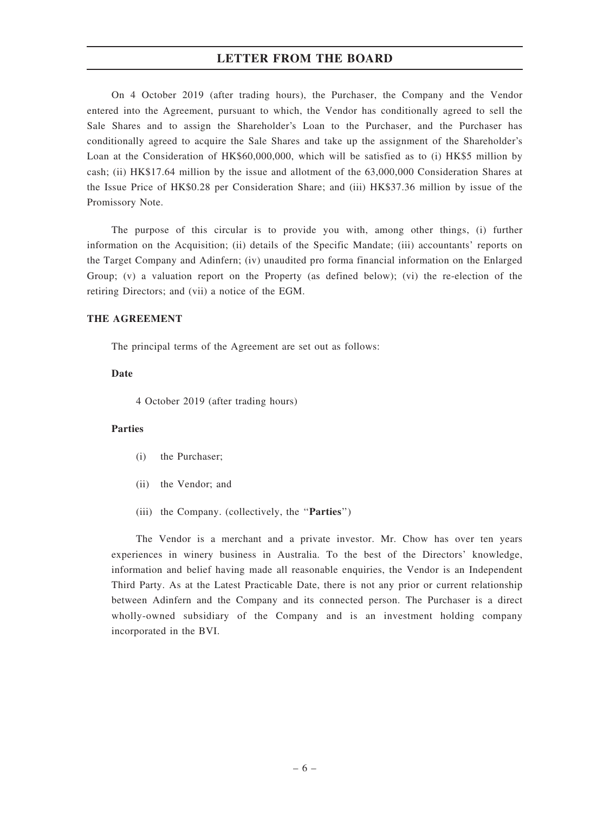On 4 October 2019 (after trading hours), the Purchaser, the Company and the Vendor entered into the Agreement, pursuant to which, the Vendor has conditionally agreed to sell the Sale Shares and to assign the Shareholder's Loan to the Purchaser, and the Purchaser has conditionally agreed to acquire the Sale Shares and take up the assignment of the Shareholder's Loan at the Consideration of HK\$60,000,000, which will be satisfied as to (i) HK\$5 million by cash; (ii) HK\$17.64 million by the issue and allotment of the 63,000,000 Consideration Shares at the Issue Price of HK\$0.28 per Consideration Share; and (iii) HK\$37.36 million by issue of the Promissory Note.

The purpose of this circular is to provide you with, among other things, (i) further information on the Acquisition; (ii) details of the Specific Mandate; (iii) accountants' reports on the Target Company and Adinfern; (iv) unaudited pro forma financial information on the Enlarged Group; (v) a valuation report on the Property (as defined below); (vi) the re-election of the retiring Directors; and (vii) a notice of the EGM.

#### THE AGREEMENT

The principal terms of the Agreement are set out as follows:

#### Date

4 October 2019 (after trading hours)

#### Parties

- (i) the Purchaser;
- (ii) the Vendor; and
- (iii) the Company. (collectively, the "Parties")

The Vendor is a merchant and a private investor. Mr. Chow has over ten years experiences in winery business in Australia. To the best of the Directors' knowledge, information and belief having made all reasonable enquiries, the Vendor is an Independent Third Party. As at the Latest Practicable Date, there is not any prior or current relationship between Adinfern and the Company and its connected person. The Purchaser is a direct wholly-owned subsidiary of the Company and is an investment holding company incorporated in the BVI.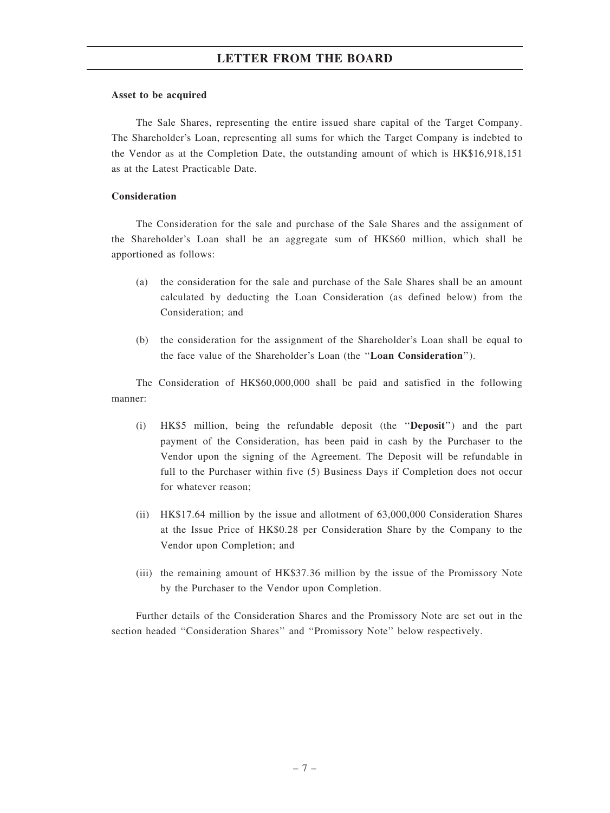#### Asset to be acquired

The Sale Shares, representing the entire issued share capital of the Target Company. The Shareholder's Loan, representing all sums for which the Target Company is indebted to the Vendor as at the Completion Date, the outstanding amount of which is HK\$16,918,151 as at the Latest Practicable Date.

#### Consideration

The Consideration for the sale and purchase of the Sale Shares and the assignment of the Shareholder's Loan shall be an aggregate sum of HK\$60 million, which shall be apportioned as follows:

- (a) the consideration for the sale and purchase of the Sale Shares shall be an amount calculated by deducting the Loan Consideration (as defined below) from the Consideration; and
- (b) the consideration for the assignment of the Shareholder's Loan shall be equal to the face value of the Shareholder's Loan (the ''Loan Consideration'').

The Consideration of HK\$60,000,000 shall be paid and satisfied in the following manner:

- (i) HK\$5 million, being the refundable deposit (the ''Deposit'') and the part payment of the Consideration, has been paid in cash by the Purchaser to the Vendor upon the signing of the Agreement. The Deposit will be refundable in full to the Purchaser within five (5) Business Days if Completion does not occur for whatever reason;
- (ii) HK\$17.64 million by the issue and allotment of 63,000,000 Consideration Shares at the Issue Price of HK\$0.28 per Consideration Share by the Company to the Vendor upon Completion; and
- (iii) the remaining amount of HK\$37.36 million by the issue of the Promissory Note by the Purchaser to the Vendor upon Completion.

Further details of the Consideration Shares and the Promissory Note are set out in the section headed ''Consideration Shares'' and ''Promissory Note'' below respectively.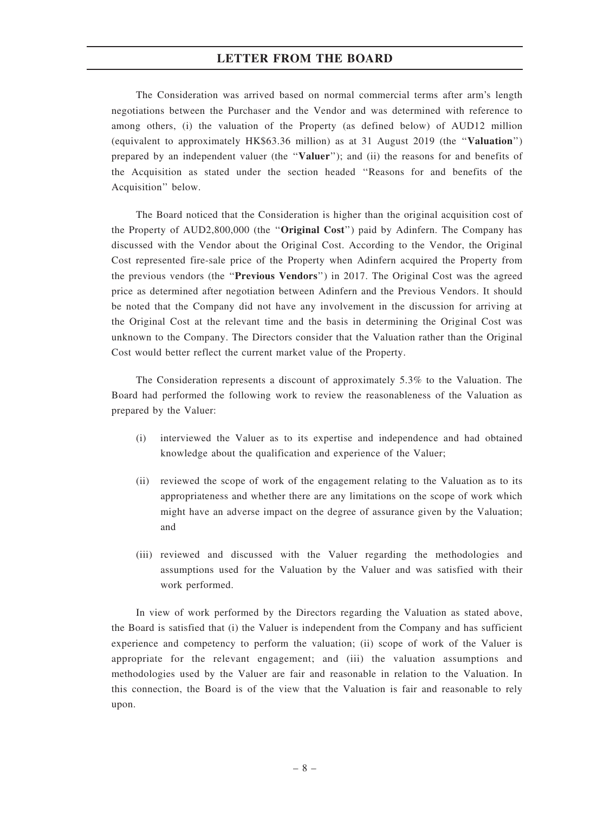The Consideration was arrived based on normal commercial terms after arm's length negotiations between the Purchaser and the Vendor and was determined with reference to among others, (i) the valuation of the Property (as defined below) of AUD12 million (equivalent to approximately HK\$63.36 million) as at 31 August 2019 (the ''Valuation'') prepared by an independent valuer (the ''Valuer''); and (ii) the reasons for and benefits of the Acquisition as stated under the section headed ''Reasons for and benefits of the Acquisition'' below.

The Board noticed that the Consideration is higher than the original acquisition cost of the Property of AUD2,800,000 (the "Original Cost") paid by Adinfern. The Company has discussed with the Vendor about the Original Cost. According to the Vendor, the Original Cost represented fire-sale price of the Property when Adinfern acquired the Property from the previous vendors (the ''Previous Vendors'') in 2017. The Original Cost was the agreed price as determined after negotiation between Adinfern and the Previous Vendors. It should be noted that the Company did not have any involvement in the discussion for arriving at the Original Cost at the relevant time and the basis in determining the Original Cost was unknown to the Company. The Directors consider that the Valuation rather than the Original Cost would better reflect the current market value of the Property.

The Consideration represents a discount of approximately 5.3% to the Valuation. The Board had performed the following work to review the reasonableness of the Valuation as prepared by the Valuer:

- (i) interviewed the Valuer as to its expertise and independence and had obtained knowledge about the qualification and experience of the Valuer;
- (ii) reviewed the scope of work of the engagement relating to the Valuation as to its appropriateness and whether there are any limitations on the scope of work which might have an adverse impact on the degree of assurance given by the Valuation; and
- (iii) reviewed and discussed with the Valuer regarding the methodologies and assumptions used for the Valuation by the Valuer and was satisfied with their work performed.

In view of work performed by the Directors regarding the Valuation as stated above, the Board is satisfied that (i) the Valuer is independent from the Company and has sufficient experience and competency to perform the valuation; (ii) scope of work of the Valuer is appropriate for the relevant engagement; and (iii) the valuation assumptions and methodologies used by the Valuer are fair and reasonable in relation to the Valuation. In this connection, the Board is of the view that the Valuation is fair and reasonable to rely upon.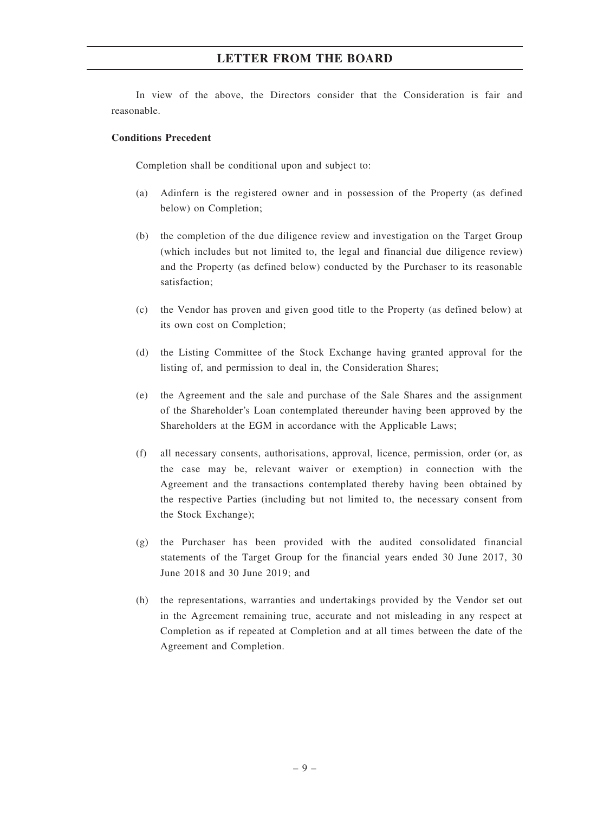In view of the above, the Directors consider that the Consideration is fair and reasonable.

#### Conditions Precedent

Completion shall be conditional upon and subject to:

- (a) Adinfern is the registered owner and in possession of the Property (as defined below) on Completion;
- (b) the completion of the due diligence review and investigation on the Target Group (which includes but not limited to, the legal and financial due diligence review) and the Property (as defined below) conducted by the Purchaser to its reasonable satisfaction;
- (c) the Vendor has proven and given good title to the Property (as defined below) at its own cost on Completion;
- (d) the Listing Committee of the Stock Exchange having granted approval for the listing of, and permission to deal in, the Consideration Shares;
- (e) the Agreement and the sale and purchase of the Sale Shares and the assignment of the Shareholder's Loan contemplated thereunder having been approved by the Shareholders at the EGM in accordance with the Applicable Laws;
- (f) all necessary consents, authorisations, approval, licence, permission, order (or, as the case may be, relevant waiver or exemption) in connection with the Agreement and the transactions contemplated thereby having been obtained by the respective Parties (including but not limited to, the necessary consent from the Stock Exchange);
- (g) the Purchaser has been provided with the audited consolidated financial statements of the Target Group for the financial years ended 30 June 2017, 30 June 2018 and 30 June 2019; and
- (h) the representations, warranties and undertakings provided by the Vendor set out in the Agreement remaining true, accurate and not misleading in any respect at Completion as if repeated at Completion and at all times between the date of the Agreement and Completion.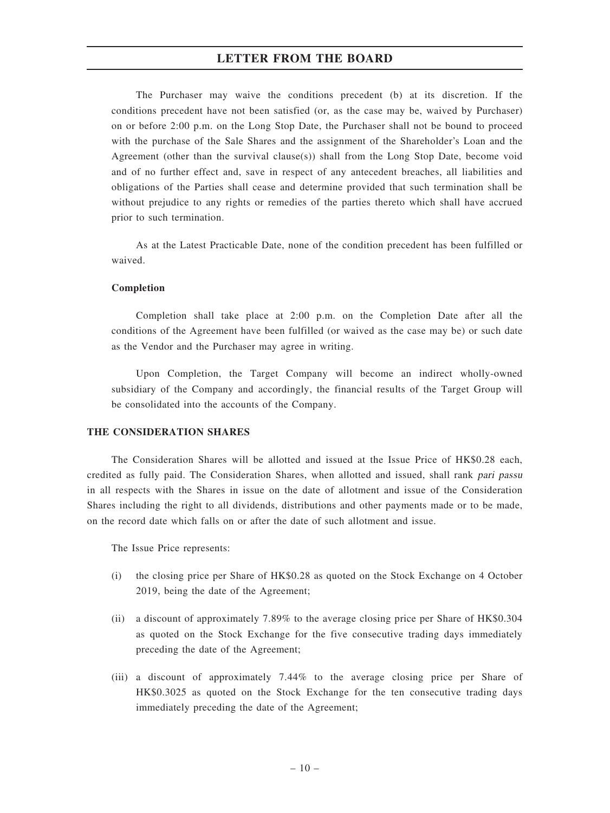The Purchaser may waive the conditions precedent (b) at its discretion. If the conditions precedent have not been satisfied (or, as the case may be, waived by Purchaser) on or before 2:00 p.m. on the Long Stop Date, the Purchaser shall not be bound to proceed with the purchase of the Sale Shares and the assignment of the Shareholder's Loan and the Agreement (other than the survival clause(s)) shall from the Long Stop Date, become void and of no further effect and, save in respect of any antecedent breaches, all liabilities and obligations of the Parties shall cease and determine provided that such termination shall be without prejudice to any rights or remedies of the parties thereto which shall have accrued prior to such termination.

As at the Latest Practicable Date, none of the condition precedent has been fulfilled or waived.

#### Completion

Completion shall take place at 2:00 p.m. on the Completion Date after all the conditions of the Agreement have been fulfilled (or waived as the case may be) or such date as the Vendor and the Purchaser may agree in writing.

Upon Completion, the Target Company will become an indirect wholly-owned subsidiary of the Company and accordingly, the financial results of the Target Group will be consolidated into the accounts of the Company.

#### THE CONSIDERATION SHARES

The Consideration Shares will be allotted and issued at the Issue Price of HK\$0.28 each, credited as fully paid. The Consideration Shares, when allotted and issued, shall rank pari passu in all respects with the Shares in issue on the date of allotment and issue of the Consideration Shares including the right to all dividends, distributions and other payments made or to be made, on the record date which falls on or after the date of such allotment and issue.

The Issue Price represents:

- (i) the closing price per Share of HK\$0.28 as quoted on the Stock Exchange on 4 October 2019, being the date of the Agreement;
- (ii) a discount of approximately 7.89% to the average closing price per Share of HK\$0.304 as quoted on the Stock Exchange for the five consecutive trading days immediately preceding the date of the Agreement;
- (iii) a discount of approximately 7.44% to the average closing price per Share of HK\$0.3025 as quoted on the Stock Exchange for the ten consecutive trading days immediately preceding the date of the Agreement;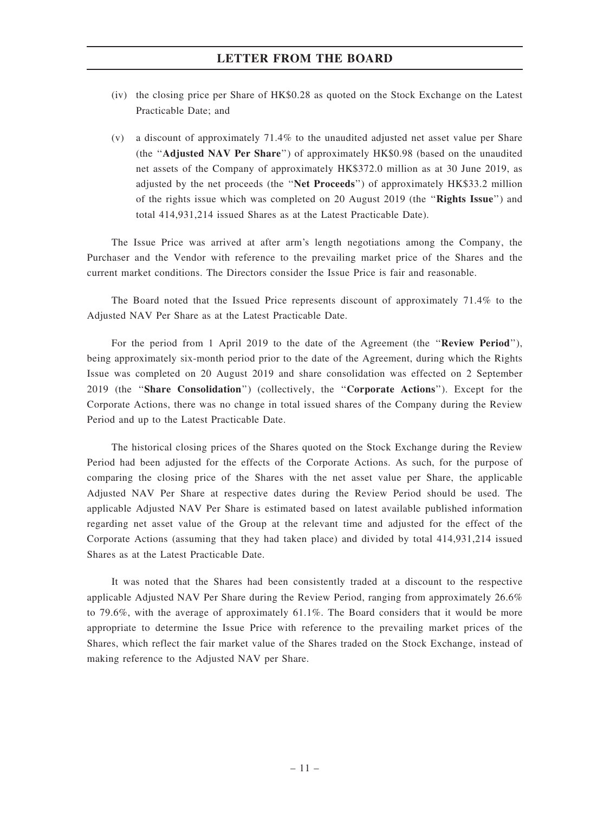- (iv) the closing price per Share of HK\$0.28 as quoted on the Stock Exchange on the Latest Practicable Date; and
- (v) a discount of approximately 71.4% to the unaudited adjusted net asset value per Share (the ''Adjusted NAV Per Share'') of approximately HK\$0.98 (based on the unaudited net assets of the Company of approximately HK\$372.0 million as at 30 June 2019, as adjusted by the net proceeds (the ''Net Proceeds'') of approximately HK\$33.2 million of the rights issue which was completed on 20 August 2019 (the ''Rights Issue'') and total 414,931,214 issued Shares as at the Latest Practicable Date).

The Issue Price was arrived at after arm's length negotiations among the Company, the Purchaser and the Vendor with reference to the prevailing market price of the Shares and the current market conditions. The Directors consider the Issue Price is fair and reasonable.

The Board noted that the Issued Price represents discount of approximately 71.4% to the Adjusted NAV Per Share as at the Latest Practicable Date.

For the period from 1 April 2019 to the date of the Agreement (the "Review Period"), being approximately six-month period prior to the date of the Agreement, during which the Rights Issue was completed on 20 August 2019 and share consolidation was effected on 2 September 2019 (the ''Share Consolidation'') (collectively, the ''Corporate Actions''). Except for the Corporate Actions, there was no change in total issued shares of the Company during the Review Period and up to the Latest Practicable Date.

The historical closing prices of the Shares quoted on the Stock Exchange during the Review Period had been adjusted for the effects of the Corporate Actions. As such, for the purpose of comparing the closing price of the Shares with the net asset value per Share, the applicable Adjusted NAV Per Share at respective dates during the Review Period should be used. The applicable Adjusted NAV Per Share is estimated based on latest available published information regarding net asset value of the Group at the relevant time and adjusted for the effect of the Corporate Actions (assuming that they had taken place) and divided by total 414,931,214 issued Shares as at the Latest Practicable Date.

It was noted that the Shares had been consistently traded at a discount to the respective applicable Adjusted NAV Per Share during the Review Period, ranging from approximately 26.6% to 79.6%, with the average of approximately 61.1%. The Board considers that it would be more appropriate to determine the Issue Price with reference to the prevailing market prices of the Shares, which reflect the fair market value of the Shares traded on the Stock Exchange, instead of making reference to the Adjusted NAV per Share.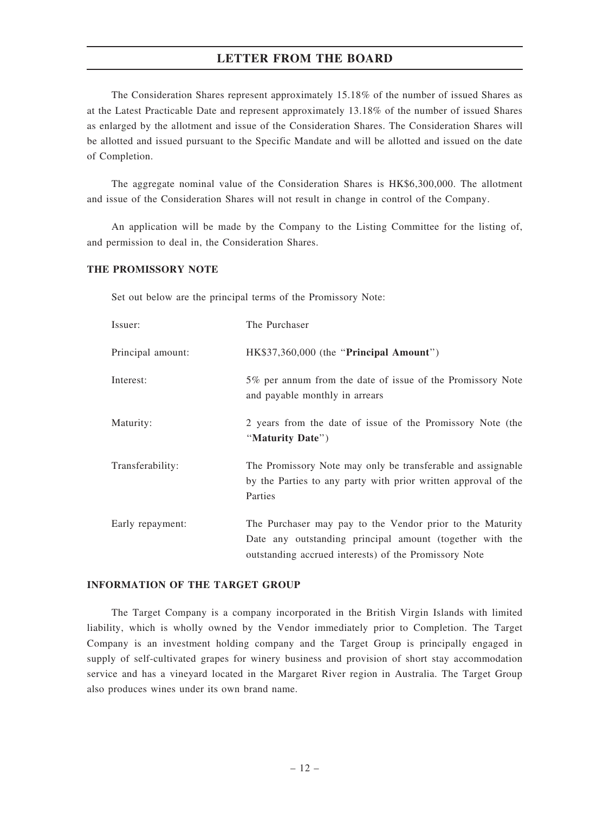The Consideration Shares represent approximately 15.18% of the number of issued Shares as at the Latest Practicable Date and represent approximately 13.18% of the number of issued Shares as enlarged by the allotment and issue of the Consideration Shares. The Consideration Shares will be allotted and issued pursuant to the Specific Mandate and will be allotted and issued on the date of Completion.

The aggregate nominal value of the Consideration Shares is HK\$6,300,000. The allotment and issue of the Consideration Shares will not result in change in control of the Company.

An application will be made by the Company to the Listing Committee for the listing of, and permission to deal in, the Consideration Shares.

#### THE PROMISSORY NOTE

Set out below are the principal terms of the Promissory Note:

| Issuer:           | The Purchaser                                                                                                                                                                  |
|-------------------|--------------------------------------------------------------------------------------------------------------------------------------------------------------------------------|
| Principal amount: | HK\$37,360,000 (the "Principal Amount")                                                                                                                                        |
| Interest:         | 5% per annum from the date of issue of the Promissory Note<br>and payable monthly in arrears                                                                                   |
| Maturity:         | 2 years from the date of issue of the Promissory Note (the<br>"Maturity Date")                                                                                                 |
| Transferability:  | The Promissory Note may only be transferable and assignable<br>by the Parties to any party with prior written approval of the<br>Parties                                       |
| Early repayment:  | The Purchaser may pay to the Vendor prior to the Maturity<br>Date any outstanding principal amount (together with the<br>outstanding accrued interests) of the Promissory Note |

# INFORMATION OF THE TARGET GROUP

The Target Company is a company incorporated in the British Virgin Islands with limited liability, which is wholly owned by the Vendor immediately prior to Completion. The Target Company is an investment holding company and the Target Group is principally engaged in supply of self-cultivated grapes for winery business and provision of short stay accommodation service and has a vineyard located in the Margaret River region in Australia. The Target Group also produces wines under its own brand name.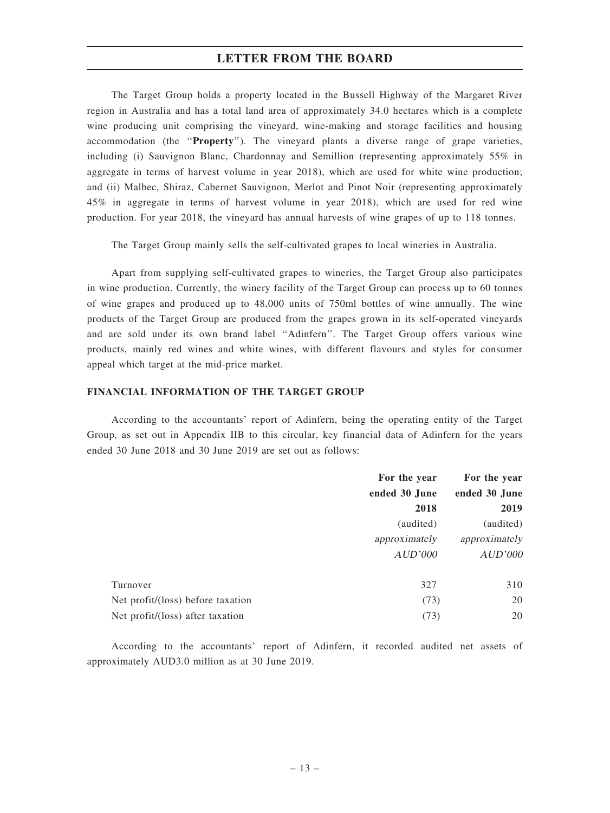The Target Group holds a property located in the Bussell Highway of the Margaret River region in Australia and has a total land area of approximately 34.0 hectares which is a complete wine producing unit comprising the vineyard, wine-making and storage facilities and housing accommodation (the ''Property''). The vineyard plants a diverse range of grape varieties, including (i) Sauvignon Blanc, Chardonnay and Semillion (representing approximately 55% in aggregate in terms of harvest volume in year 2018), which are used for white wine production; and (ii) Malbec, Shiraz, Cabernet Sauvignon, Merlot and Pinot Noir (representing approximately 45% in aggregate in terms of harvest volume in year 2018), which are used for red wine production. For year 2018, the vineyard has annual harvests of wine grapes of up to 118 tonnes.

The Target Group mainly sells the self-cultivated grapes to local wineries in Australia.

Apart from supplying self-cultivated grapes to wineries, the Target Group also participates in wine production. Currently, the winery facility of the Target Group can process up to 60 tonnes of wine grapes and produced up to 48,000 units of 750ml bottles of wine annually. The wine products of the Target Group are produced from the grapes grown in its self-operated vineyards and are sold under its own brand label ''Adinfern''. The Target Group offers various wine products, mainly red wines and white wines, with different flavours and styles for consumer appeal which target at the mid-price market.

# FINANCIAL INFORMATION OF THE TARGET GROUP

According to the accountants' report of Adinfern, being the operating entity of the Target Group, as set out in Appendix IIB to this circular, key financial data of Adinfern for the years ended 30 June 2018 and 30 June 2019 are set out as follows:

|                                   | For the year  | For the year  |
|-----------------------------------|---------------|---------------|
|                                   | ended 30 June | ended 30 June |
|                                   | 2018          | 2019          |
|                                   | (audited)     | (audited)     |
|                                   | approximately | approximately |
|                                   | AUD'000       | AUD'000       |
| Turnover                          | 327           | 310           |
| Net profit/(loss) before taxation | (73)          | 20            |
| Net profit/(loss) after taxation  | (73)          | 20            |

According to the accountants' report of Adinfern, it recorded audited net assets of approximately AUD3.0 million as at 30 June 2019.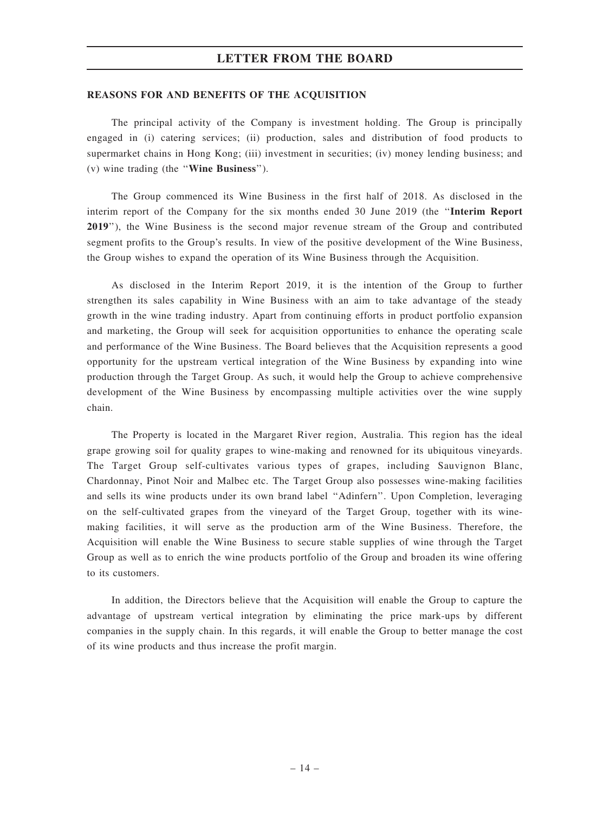#### REASONS FOR AND BENEFITS OF THE ACQUISITION

The principal activity of the Company is investment holding. The Group is principally engaged in (i) catering services; (ii) production, sales and distribution of food products to supermarket chains in Hong Kong; (iii) investment in securities; (iv) money lending business; and (v) wine trading (the ''Wine Business'').

The Group commenced its Wine Business in the first half of 2018. As disclosed in the interim report of the Company for the six months ended 30 June 2019 (the ''Interim Report 2019''), the Wine Business is the second major revenue stream of the Group and contributed segment profits to the Group's results. In view of the positive development of the Wine Business, the Group wishes to expand the operation of its Wine Business through the Acquisition.

As disclosed in the Interim Report 2019, it is the intention of the Group to further strengthen its sales capability in Wine Business with an aim to take advantage of the steady growth in the wine trading industry. Apart from continuing efforts in product portfolio expansion and marketing, the Group will seek for acquisition opportunities to enhance the operating scale and performance of the Wine Business. The Board believes that the Acquisition represents a good opportunity for the upstream vertical integration of the Wine Business by expanding into wine production through the Target Group. As such, it would help the Group to achieve comprehensive development of the Wine Business by encompassing multiple activities over the wine supply chain.

The Property is located in the Margaret River region, Australia. This region has the ideal grape growing soil for quality grapes to wine-making and renowned for its ubiquitous vineyards. The Target Group self-cultivates various types of grapes, including Sauvignon Blanc, Chardonnay, Pinot Noir and Malbec etc. The Target Group also possesses wine-making facilities and sells its wine products under its own brand label ''Adinfern''. Upon Completion, leveraging on the self-cultivated grapes from the vineyard of the Target Group, together with its winemaking facilities, it will serve as the production arm of the Wine Business. Therefore, the Acquisition will enable the Wine Business to secure stable supplies of wine through the Target Group as well as to enrich the wine products portfolio of the Group and broaden its wine offering to its customers.

In addition, the Directors believe that the Acquisition will enable the Group to capture the advantage of upstream vertical integration by eliminating the price mark-ups by different companies in the supply chain. In this regards, it will enable the Group to better manage the cost of its wine products and thus increase the profit margin.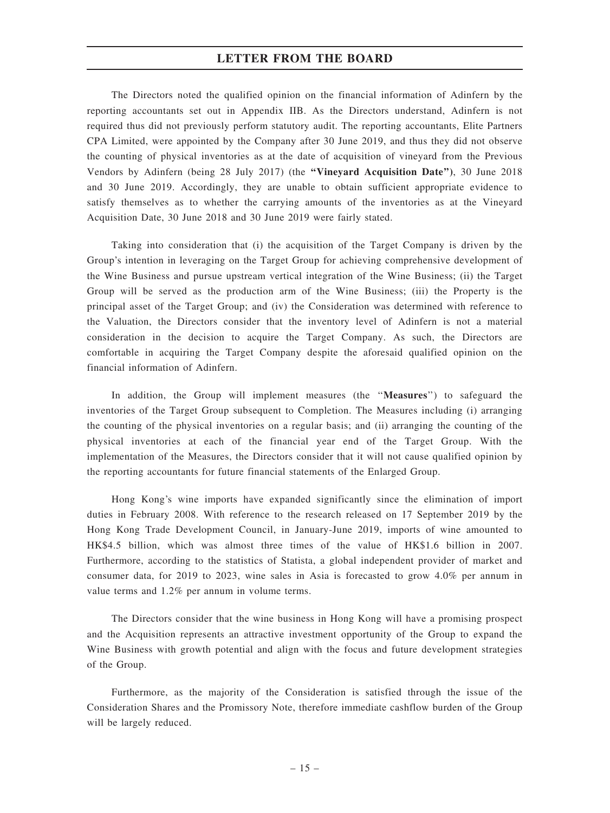The Directors noted the qualified opinion on the financial information of Adinfern by the reporting accountants set out in Appendix IIB. As the Directors understand, Adinfern is not required thus did not previously perform statutory audit. The reporting accountants, Elite Partners CPA Limited, were appointed by the Company after 30 June 2019, and thus they did not observe the counting of physical inventories as at the date of acquisition of vineyard from the Previous Vendors by Adinfern (being 28 July 2017) (the "Vineyard Acquisition Date"), 30 June 2018 and 30 June 2019. Accordingly, they are unable to obtain sufficient appropriate evidence to satisfy themselves as to whether the carrying amounts of the inventories as at the Vineyard Acquisition Date, 30 June 2018 and 30 June 2019 were fairly stated.

Taking into consideration that (i) the acquisition of the Target Company is driven by the Group's intention in leveraging on the Target Group for achieving comprehensive development of the Wine Business and pursue upstream vertical integration of the Wine Business; (ii) the Target Group will be served as the production arm of the Wine Business; (iii) the Property is the principal asset of the Target Group; and (iv) the Consideration was determined with reference to the Valuation, the Directors consider that the inventory level of Adinfern is not a material consideration in the decision to acquire the Target Company. As such, the Directors are comfortable in acquiring the Target Company despite the aforesaid qualified opinion on the financial information of Adinfern.

In addition, the Group will implement measures (the ''Measures'') to safeguard the inventories of the Target Group subsequent to Completion. The Measures including (i) arranging the counting of the physical inventories on a regular basis; and (ii) arranging the counting of the physical inventories at each of the financial year end of the Target Group. With the implementation of the Measures, the Directors consider that it will not cause qualified opinion by the reporting accountants for future financial statements of the Enlarged Group.

Hong Kong's wine imports have expanded significantly since the elimination of import duties in February 2008. With reference to the research released on 17 September 2019 by the Hong Kong Trade Development Council, in January-June 2019, imports of wine amounted to HK\$4.5 billion, which was almost three times of the value of HK\$1.6 billion in 2007. Furthermore, according to the statistics of Statista, a global independent provider of market and consumer data, for 2019 to 2023, wine sales in Asia is forecasted to grow 4.0% per annum in value terms and 1.2% per annum in volume terms.

The Directors consider that the wine business in Hong Kong will have a promising prospect and the Acquisition represents an attractive investment opportunity of the Group to expand the Wine Business with growth potential and align with the focus and future development strategies of the Group.

Furthermore, as the majority of the Consideration is satisfied through the issue of the Consideration Shares and the Promissory Note, therefore immediate cashflow burden of the Group will be largely reduced.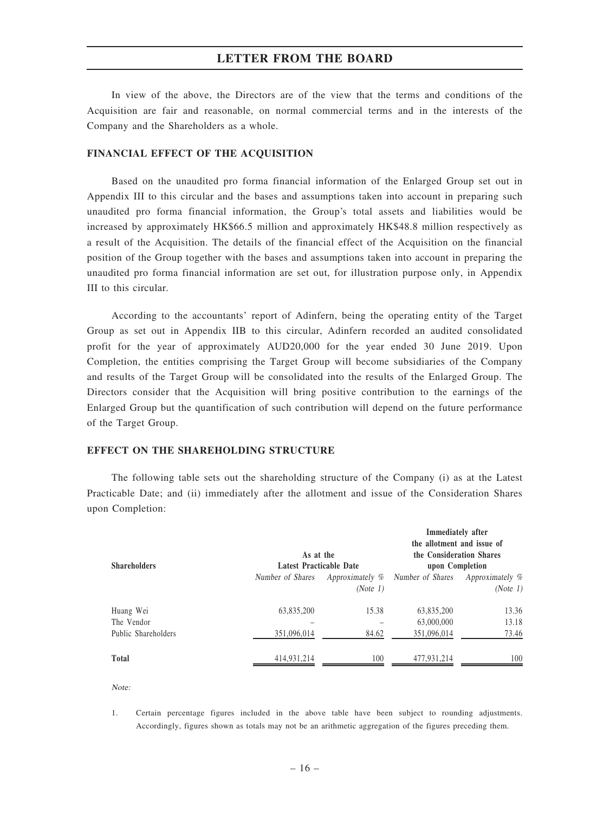In view of the above, the Directors are of the view that the terms and conditions of the Acquisition are fair and reasonable, on normal commercial terms and in the interests of the Company and the Shareholders as a whole.

#### FINANCIAL EFFECT OF THE ACQUISITION

Based on the unaudited pro forma financial information of the Enlarged Group set out in Appendix III to this circular and the bases and assumptions taken into account in preparing such unaudited pro forma financial information, the Group's total assets and liabilities would be increased by approximately HK\$66.5 million and approximately HK\$48.8 million respectively as a result of the Acquisition. The details of the financial effect of the Acquisition on the financial position of the Group together with the bases and assumptions taken into account in preparing the unaudited pro forma financial information are set out, for illustration purpose only, in Appendix III to this circular.

According to the accountants' report of Adinfern, being the operating entity of the Target Group as set out in Appendix IIB to this circular, Adinfern recorded an audited consolidated profit for the year of approximately AUD20,000 for the year ended 30 June 2019. Upon Completion, the entities comprising the Target Group will become subsidiaries of the Company and results of the Target Group will be consolidated into the results of the Enlarged Group. The Directors consider that the Acquisition will bring positive contribution to the earnings of the Enlarged Group but the quantification of such contribution will depend on the future performance of the Target Group.

#### EFFECT ON THE SHAREHOLDING STRUCTURE

The following table sets out the shareholding structure of the Company (i) as at the Latest Practicable Date; and (ii) immediately after the allotment and issue of the Consideration Shares upon Completion:

| <b>Shareholders</b>                            | As at the<br>Latest Practicable Date |                             | Immediately after<br>the allotment and issue of<br>the Consideration Shares<br>upon Completion |                             |
|------------------------------------------------|--------------------------------------|-----------------------------|------------------------------------------------------------------------------------------------|-----------------------------|
|                                                | Number of Shares                     | Approximately %<br>(Note 1) | Number of Shares                                                                               | Approximately %<br>(Note 1) |
| Huang Wei<br>The Vendor<br>Public Shareholders | 63,835,200<br>351,096,014            | 15.38<br>84.62              | 63,835,200<br>63,000,000<br>351,096,014                                                        | 13.36<br>13.18<br>73.46     |
| <b>Total</b>                                   | 414.931.214                          | 100                         | 477.931.214                                                                                    | 100                         |

Note:

1. Certain percentage figures included in the above table have been subject to rounding adjustments. Accordingly, figures shown as totals may not be an arithmetic aggregation of the figures preceding them.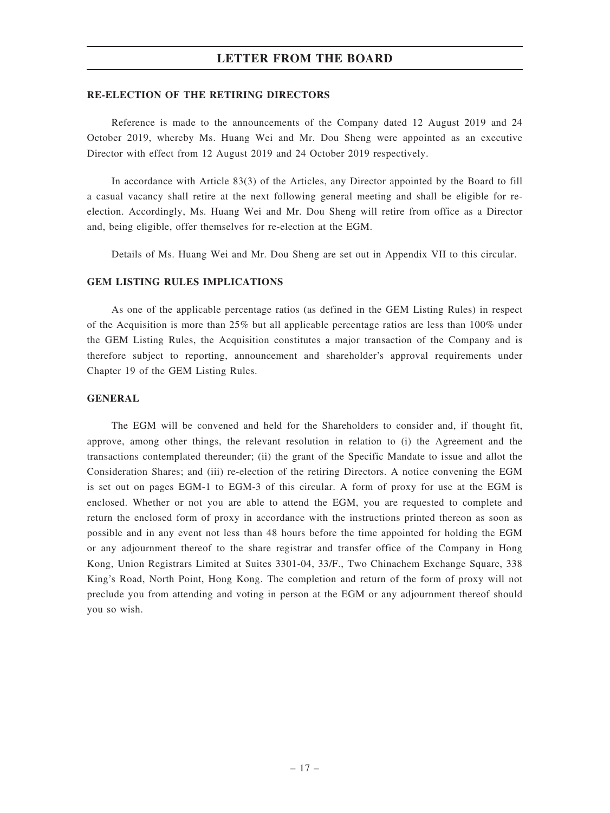#### RE-ELECTION OF THE RETIRING DIRECTORS

Reference is made to the announcements of the Company dated 12 August 2019 and 24 October 2019, whereby Ms. Huang Wei and Mr. Dou Sheng were appointed as an executive Director with effect from 12 August 2019 and 24 October 2019 respectively.

In accordance with Article 83(3) of the Articles, any Director appointed by the Board to fill a casual vacancy shall retire at the next following general meeting and shall be eligible for reelection. Accordingly, Ms. Huang Wei and Mr. Dou Sheng will retire from office as a Director and, being eligible, offer themselves for re-election at the EGM.

Details of Ms. Huang Wei and Mr. Dou Sheng are set out in Appendix VII to this circular.

#### GEM LISTING RULES IMPLICATIONS

As one of the applicable percentage ratios (as defined in the GEM Listing Rules) in respect of the Acquisition is more than 25% but all applicable percentage ratios are less than 100% under the GEM Listing Rules, the Acquisition constitutes a major transaction of the Company and is therefore subject to reporting, announcement and shareholder's approval requirements under Chapter 19 of the GEM Listing Rules.

#### **GENERAL**

The EGM will be convened and held for the Shareholders to consider and, if thought fit, approve, among other things, the relevant resolution in relation to (i) the Agreement and the transactions contemplated thereunder; (ii) the grant of the Specific Mandate to issue and allot the Consideration Shares; and (iii) re-election of the retiring Directors. A notice convening the EGM is set out on pages EGM-1 to EGM-3 of this circular. A form of proxy for use at the EGM is enclosed. Whether or not you are able to attend the EGM, you are requested to complete and return the enclosed form of proxy in accordance with the instructions printed thereon as soon as possible and in any event not less than 48 hours before the time appointed for holding the EGM or any adjournment thereof to the share registrar and transfer office of the Company in Hong Kong, Union Registrars Limited at Suites 3301-04, 33/F., Two Chinachem Exchange Square, 338 King's Road, North Point, Hong Kong. The completion and return of the form of proxy will not preclude you from attending and voting in person at the EGM or any adjournment thereof should you so wish.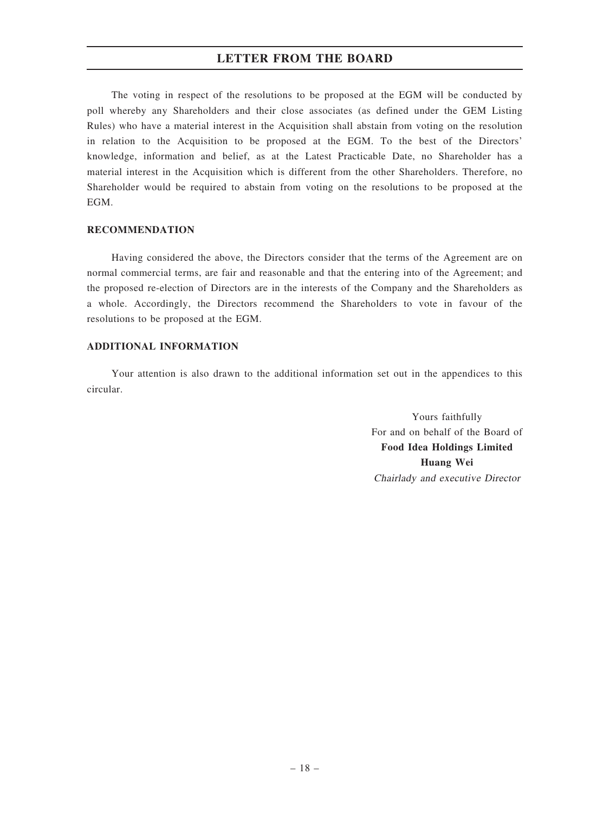The voting in respect of the resolutions to be proposed at the EGM will be conducted by poll whereby any Shareholders and their close associates (as defined under the GEM Listing Rules) who have a material interest in the Acquisition shall abstain from voting on the resolution in relation to the Acquisition to be proposed at the EGM. To the best of the Directors' knowledge, information and belief, as at the Latest Practicable Date, no Shareholder has a material interest in the Acquisition which is different from the other Shareholders. Therefore, no Shareholder would be required to abstain from voting on the resolutions to be proposed at the EGM.

#### RECOMMENDATION

Having considered the above, the Directors consider that the terms of the Agreement are on normal commercial terms, are fair and reasonable and that the entering into of the Agreement; and the proposed re-election of Directors are in the interests of the Company and the Shareholders as a whole. Accordingly, the Directors recommend the Shareholders to vote in favour of the resolutions to be proposed at the EGM.

## ADDITIONAL INFORMATION

Your attention is also drawn to the additional information set out in the appendices to this circular.

> Yours faithfully For and on behalf of the Board of Food Idea Holdings Limited Huang Wei Chairlady and executive Director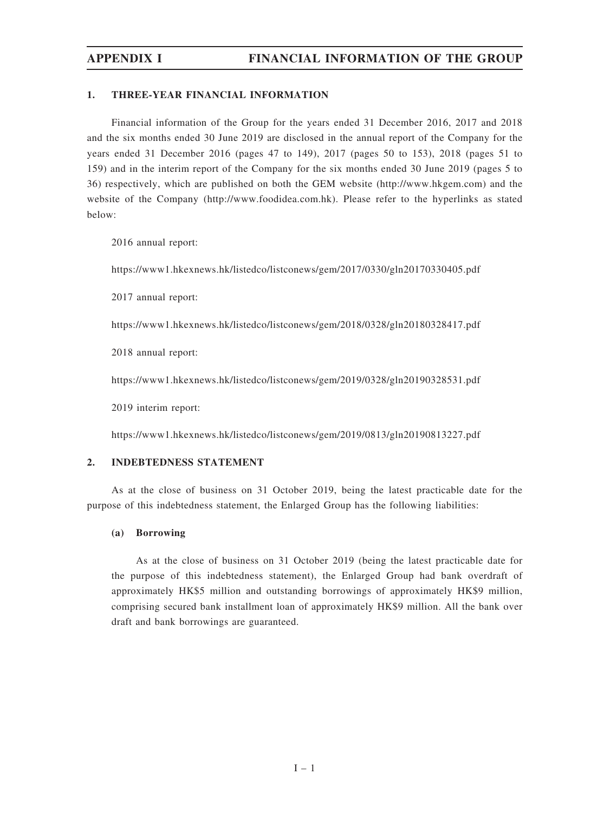#### 1. THREE-YEAR FINANCIAL INFORMATION

Financial information of the Group for the years ended 31 December 2016, 2017 and 2018 and the six months ended 30 June 2019 are disclosed in the annual report of the Company for the years ended 31 December 2016 (pages 47 to 149), 2017 (pages 50 to 153), 2018 (pages 51 to 159) and in the interim report of the Company for the six months ended 30 June 2019 (pages 5 to 36) respectively, which are published on both the GEM website (http://www.hkgem.com) and the website of the Company (http://www.foodidea.com.hk). Please refer to the hyperlinks as stated below:

2016 annual report:

https://www1.hkexnews.hk/listedco/listconews/gem/2017/0330/gln20170330405.pdf

2017 annual report:

https://www1.hkexnews.hk/listedco/listconews/gem/2018/0328/gln20180328417.pdf

2018 annual report:

https://www1.hkexnews.hk/listedco/listconews/gem/2019/0328/gln20190328531.pdf

2019 interim report:

https://www1.hkexnews.hk/listedco/listconews/gem/2019/0813/gln20190813227.pdf

#### 2. INDEBTEDNESS STATEMENT

As at the close of business on 31 October 2019, being the latest practicable date for the purpose of this indebtedness statement, the Enlarged Group has the following liabilities:

#### (a) Borrowing

As at the close of business on 31 October 2019 (being the latest practicable date for the purpose of this indebtedness statement), the Enlarged Group had bank overdraft of approximately HK\$5 million and outstanding borrowings of approximately HK\$9 million, comprising secured bank installment loan of approximately HK\$9 million. All the bank over draft and bank borrowings are guaranteed.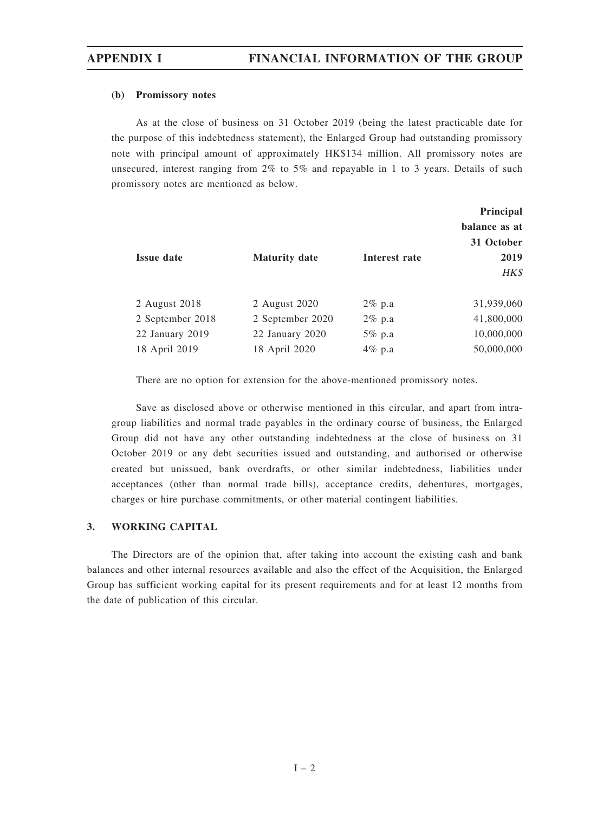#### (b) Promissory notes

As at the close of business on 31 October 2019 (being the latest practicable date for the purpose of this indebtedness statement), the Enlarged Group had outstanding promissory note with principal amount of approximately HK\$134 million. All promissory notes are unsecured, interest ranging from  $2\%$  to  $5\%$  and repayable in 1 to 3 years. Details of such promissory notes are mentioned as below.

| <b>Issue date</b> | <b>Maturity date</b> | Interest rate | Principal<br>balance as at<br>31 October<br>2019 |
|-------------------|----------------------|---------------|--------------------------------------------------|
|                   |                      |               | HK\$                                             |
| 2 August 2018     | 2 August 2020        | $2\%$ p.a     | 31,939,060                                       |
| 2 September 2018  | 2 September 2020     | $2\%$ p.a     | 41,800,000                                       |
| 22 January 2019   | 22 January 2020      | $5\%$ p.a     | 10,000,000                                       |
| 18 April 2019     | 18 April 2020        | 4% p.a        | 50,000,000                                       |

There are no option for extension for the above-mentioned promissory notes.

Save as disclosed above or otherwise mentioned in this circular, and apart from intragroup liabilities and normal trade payables in the ordinary course of business, the Enlarged Group did not have any other outstanding indebtedness at the close of business on 31 October 2019 or any debt securities issued and outstanding, and authorised or otherwise created but unissued, bank overdrafts, or other similar indebtedness, liabilities under acceptances (other than normal trade bills), acceptance credits, debentures, mortgages, charges or hire purchase commitments, or other material contingent liabilities.

### 3. WORKING CAPITAL

The Directors are of the opinion that, after taking into account the existing cash and bank balances and other internal resources available and also the effect of the Acquisition, the Enlarged Group has sufficient working capital for its present requirements and for at least 12 months from the date of publication of this circular.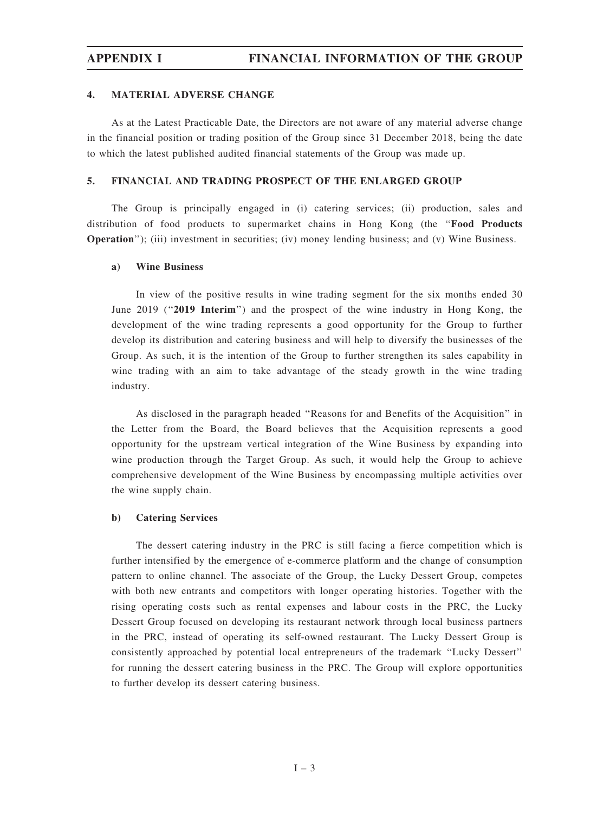#### 4. MATERIAL ADVERSE CHANGE

As at the Latest Practicable Date, the Directors are not aware of any material adverse change in the financial position or trading position of the Group since 31 December 2018, being the date to which the latest published audited financial statements of the Group was made up.

#### 5. FINANCIAL AND TRADING PROSPECT OF THE ENLARGED GROUP

The Group is principally engaged in (i) catering services; (ii) production, sales and distribution of food products to supermarket chains in Hong Kong (the "Food Products Operation''); (iii) investment in securities; (iv) money lending business; and (v) Wine Business.

#### a) Wine Business

In view of the positive results in wine trading segment for the six months ended 30 June 2019 ("2019 Interim") and the prospect of the wine industry in Hong Kong, the development of the wine trading represents a good opportunity for the Group to further develop its distribution and catering business and will help to diversify the businesses of the Group. As such, it is the intention of the Group to further strengthen its sales capability in wine trading with an aim to take advantage of the steady growth in the wine trading industry.

As disclosed in the paragraph headed ''Reasons for and Benefits of the Acquisition'' in the Letter from the Board, the Board believes that the Acquisition represents a good opportunity for the upstream vertical integration of the Wine Business by expanding into wine production through the Target Group. As such, it would help the Group to achieve comprehensive development of the Wine Business by encompassing multiple activities over the wine supply chain.

#### b) Catering Services

The dessert catering industry in the PRC is still facing a fierce competition which is further intensified by the emergence of e-commerce platform and the change of consumption pattern to online channel. The associate of the Group, the Lucky Dessert Group, competes with both new entrants and competitors with longer operating histories. Together with the rising operating costs such as rental expenses and labour costs in the PRC, the Lucky Dessert Group focused on developing its restaurant network through local business partners in the PRC, instead of operating its self-owned restaurant. The Lucky Dessert Group is consistently approached by potential local entrepreneurs of the trademark ''Lucky Dessert'' for running the dessert catering business in the PRC. The Group will explore opportunities to further develop its dessert catering business.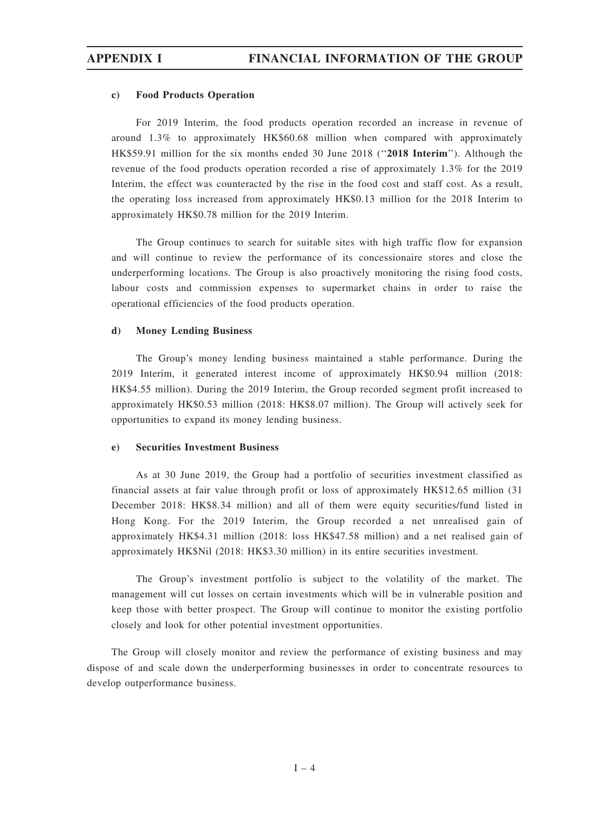#### c) Food Products Operation

For 2019 Interim, the food products operation recorded an increase in revenue of around 1.3% to approximately HK\$60.68 million when compared with approximately HK\$59.91 million for the six months ended 30 June 2018 ("2018 Interim"). Although the revenue of the food products operation recorded a rise of approximately 1.3% for the 2019 Interim, the effect was counteracted by the rise in the food cost and staff cost. As a result, the operating loss increased from approximately HK\$0.13 million for the 2018 Interim to approximately HK\$0.78 million for the 2019 Interim.

The Group continues to search for suitable sites with high traffic flow for expansion and will continue to review the performance of its concessionaire stores and close the underperforming locations. The Group is also proactively monitoring the rising food costs, labour costs and commission expenses to supermarket chains in order to raise the operational efficiencies of the food products operation.

#### d) Money Lending Business

The Group's money lending business maintained a stable performance. During the 2019 Interim, it generated interest income of approximately HK\$0.94 million (2018: HK\$4.55 million). During the 2019 Interim, the Group recorded segment profit increased to approximately HK\$0.53 million (2018: HK\$8.07 million). The Group will actively seek for opportunities to expand its money lending business.

#### e) Securities Investment Business

As at 30 June 2019, the Group had a portfolio of securities investment classified as financial assets at fair value through profit or loss of approximately HK\$12.65 million (31 December 2018: HK\$8.34 million) and all of them were equity securities/fund listed in Hong Kong. For the 2019 Interim, the Group recorded a net unrealised gain of approximately HK\$4.31 million (2018: loss HK\$47.58 million) and a net realised gain of approximately HK\$Nil (2018: HK\$3.30 million) in its entire securities investment.

The Group's investment portfolio is subject to the volatility of the market. The management will cut losses on certain investments which will be in vulnerable position and keep those with better prospect. The Group will continue to monitor the existing portfolio closely and look for other potential investment opportunities.

The Group will closely monitor and review the performance of existing business and may dispose of and scale down the underperforming businesses in order to concentrate resources to develop outperformance business.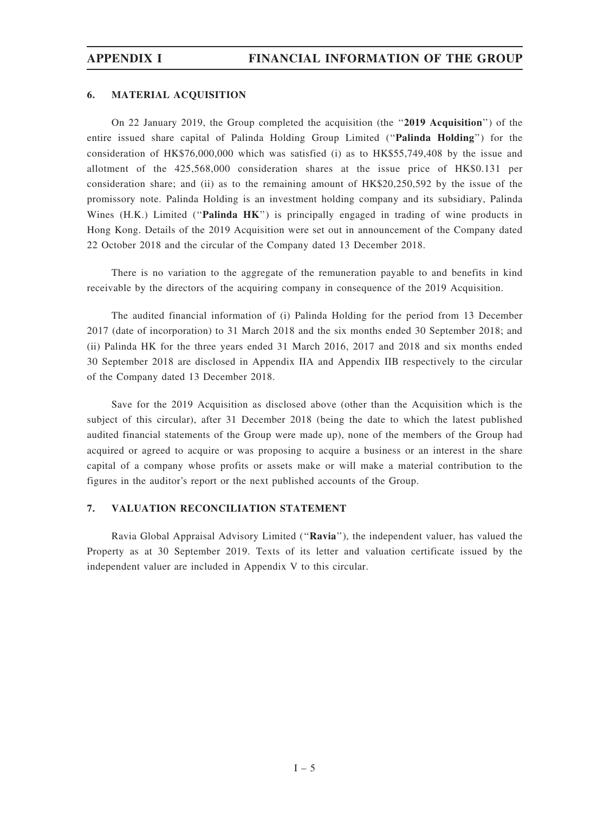#### 6. MATERIAL ACQUISITION

On 22 January 2019, the Group completed the acquisition (the ''2019 Acquisition'') of the entire issued share capital of Palinda Holding Group Limited (''Palinda Holding'') for the consideration of HK\$76,000,000 which was satisfied (i) as to HK\$55,749,408 by the issue and allotment of the 425,568,000 consideration shares at the issue price of HK\$0.131 per consideration share; and (ii) as to the remaining amount of HK\$20,250,592 by the issue of the promissory note. Palinda Holding is an investment holding company and its subsidiary, Palinda Wines  $(H,K)$  Limited ("Palinda  $HK$ ") is principally engaged in trading of wine products in Hong Kong. Details of the 2019 Acquisition were set out in announcement of the Company dated 22 October 2018 and the circular of the Company dated 13 December 2018.

There is no variation to the aggregate of the remuneration payable to and benefits in kind receivable by the directors of the acquiring company in consequence of the 2019 Acquisition.

The audited financial information of (i) Palinda Holding for the period from 13 December 2017 (date of incorporation) to 31 March 2018 and the six months ended 30 September 2018; and (ii) Palinda HK for the three years ended 31 March 2016, 2017 and 2018 and six months ended 30 September 2018 are disclosed in Appendix IIA and Appendix IIB respectively to the circular of the Company dated 13 December 2018.

Save for the 2019 Acquisition as disclosed above (other than the Acquisition which is the subject of this circular), after 31 December 2018 (being the date to which the latest published audited financial statements of the Group were made up), none of the members of the Group had acquired or agreed to acquire or was proposing to acquire a business or an interest in the share capital of a company whose profits or assets make or will make a material contribution to the figures in the auditor's report or the next published accounts of the Group.

#### 7. VALUATION RECONCILIATION STATEMENT

Ravia Global Appraisal Advisory Limited (''Ravia''), the independent valuer, has valued the Property as at 30 September 2019. Texts of its letter and valuation certificate issued by the independent valuer are included in Appendix V to this circular.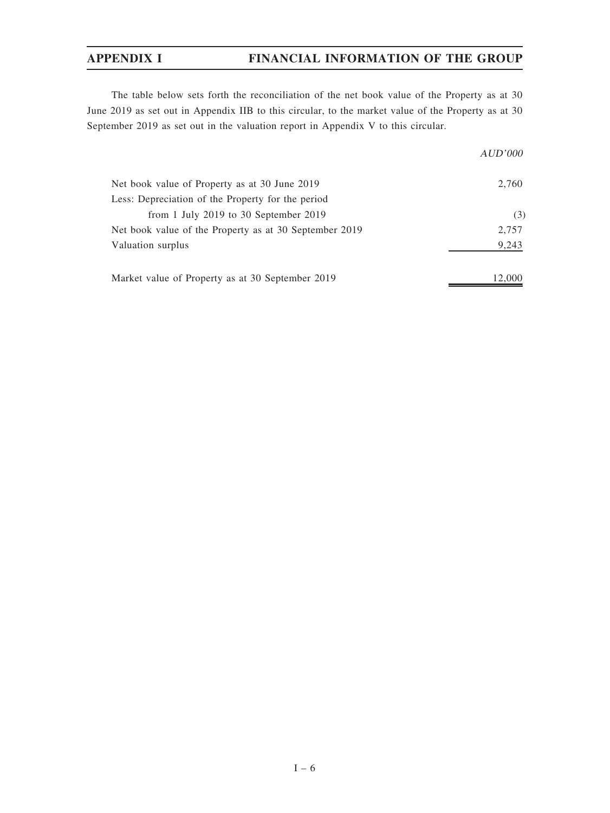# APPENDIX I FINANCIAL INFORMATION OF THE GROUP

The table below sets forth the reconciliation of the net book value of the Property as at 30 June 2019 as set out in Appendix IIB to this circular, to the market value of the Property as at 30 September 2019 as set out in the valuation report in Appendix V to this circular.

|                                                        | AUD'000 |
|--------------------------------------------------------|---------|
| Net book value of Property as at 30 June 2019          | 2,760   |
| Less: Depreciation of the Property for the period      |         |
| from 1 July 2019 to 30 September 2019                  | (3)     |
| Net book value of the Property as at 30 September 2019 | 2,757   |
| Valuation surplus                                      | 9,243   |
| Market value of Property as at 30 September 2019       | 12,000  |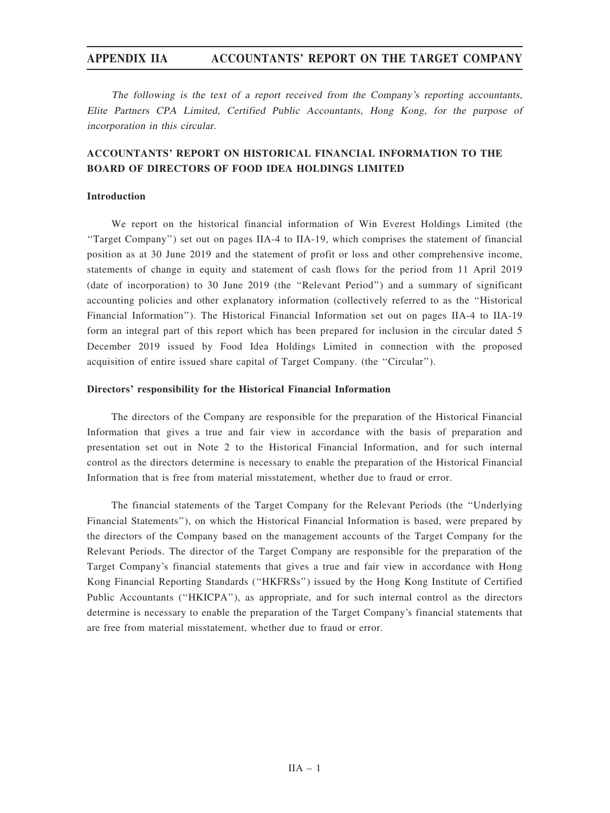The following is the text of <sup>a</sup> report received from the Company'<sup>s</sup> reporting accountants, Elite Partners CPA Limited, Certified Public Accountants, Hong Kong, for the purpose of incorporation in this circular.

# ACCOUNTANTS' REPORT ON HISTORICAL FINANCIAL INFORMATION TO THE BOARD OF DIRECTORS OF FOOD IDEA HOLDINGS LIMITED

### Introduction

We report on the historical financial information of Win Everest Holdings Limited (the ''Target Company'') set out on pages IIA-4 to IIA-19, which comprises the statement of financial position as at 30 June 2019 and the statement of profit or loss and other comprehensive income, statements of change in equity and statement of cash flows for the period from 11 April 2019 (date of incorporation) to 30 June 2019 (the ''Relevant Period'') and a summary of significant accounting policies and other explanatory information (collectively referred to as the ''Historical Financial Information''). The Historical Financial Information set out on pages IIA-4 to IIA-19 form an integral part of this report which has been prepared for inclusion in the circular dated 5 December 2019 issued by Food Idea Holdings Limited in connection with the proposed acquisition of entire issued share capital of Target Company. (the ''Circular'').

#### Directors' responsibility for the Historical Financial Information

The directors of the Company are responsible for the preparation of the Historical Financial Information that gives a true and fair view in accordance with the basis of preparation and presentation set out in Note 2 to the Historical Financial Information, and for such internal control as the directors determine is necessary to enable the preparation of the Historical Financial Information that is free from material misstatement, whether due to fraud or error.

The financial statements of the Target Company for the Relevant Periods (the ''Underlying Financial Statements''), on which the Historical Financial Information is based, were prepared by the directors of the Company based on the management accounts of the Target Company for the Relevant Periods. The director of the Target Company are responsible for the preparation of the Target Company's financial statements that gives a true and fair view in accordance with Hong Kong Financial Reporting Standards (''HKFRSs'') issued by the Hong Kong Institute of Certified Public Accountants (''HKICPA''), as appropriate, and for such internal control as the directors determine is necessary to enable the preparation of the Target Company's financial statements that are free from material misstatement, whether due to fraud or error.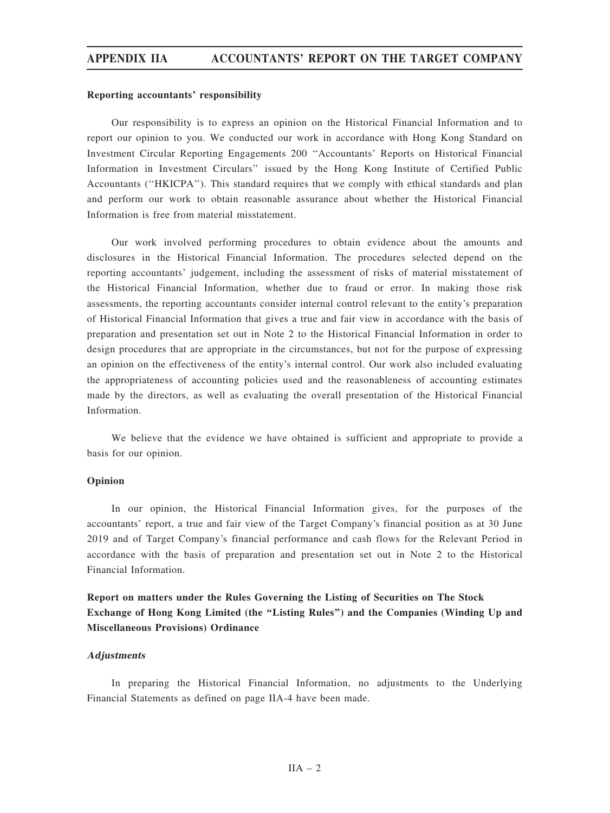#### Reporting accountants' responsibility

Our responsibility is to express an opinion on the Historical Financial Information and to report our opinion to you. We conducted our work in accordance with Hong Kong Standard on Investment Circular Reporting Engagements 200 ''Accountants' Reports on Historical Financial Information in Investment Circulars'' issued by the Hong Kong Institute of Certified Public Accountants (''HKICPA''). This standard requires that we comply with ethical standards and plan and perform our work to obtain reasonable assurance about whether the Historical Financial Information is free from material misstatement.

Our work involved performing procedures to obtain evidence about the amounts and disclosures in the Historical Financial Information. The procedures selected depend on the reporting accountants' judgement, including the assessment of risks of material misstatement of the Historical Financial Information, whether due to fraud or error. In making those risk assessments, the reporting accountants consider internal control relevant to the entity's preparation of Historical Financial Information that gives a true and fair view in accordance with the basis of preparation and presentation set out in Note 2 to the Historical Financial Information in order to design procedures that are appropriate in the circumstances, but not for the purpose of expressing an opinion on the effectiveness of the entity's internal control. Our work also included evaluating the appropriateness of accounting policies used and the reasonableness of accounting estimates made by the directors, as well as evaluating the overall presentation of the Historical Financial Information.

We believe that the evidence we have obtained is sufficient and appropriate to provide a basis for our opinion.

#### Opinion

In our opinion, the Historical Financial Information gives, for the purposes of the accountants' report, a true and fair view of the Target Company's financial position as at 30 June 2019 and of Target Company's financial performance and cash flows for the Relevant Period in accordance with the basis of preparation and presentation set out in Note 2 to the Historical Financial Information.

Report on matters under the Rules Governing the Listing of Securities on The Stock Exchange of Hong Kong Limited (the ''Listing Rules'') and the Companies (Winding Up and Miscellaneous Provisions) Ordinance

#### **Adjustments**

In preparing the Historical Financial Information, no adjustments to the Underlying Financial Statements as defined on page IIA-4 have been made.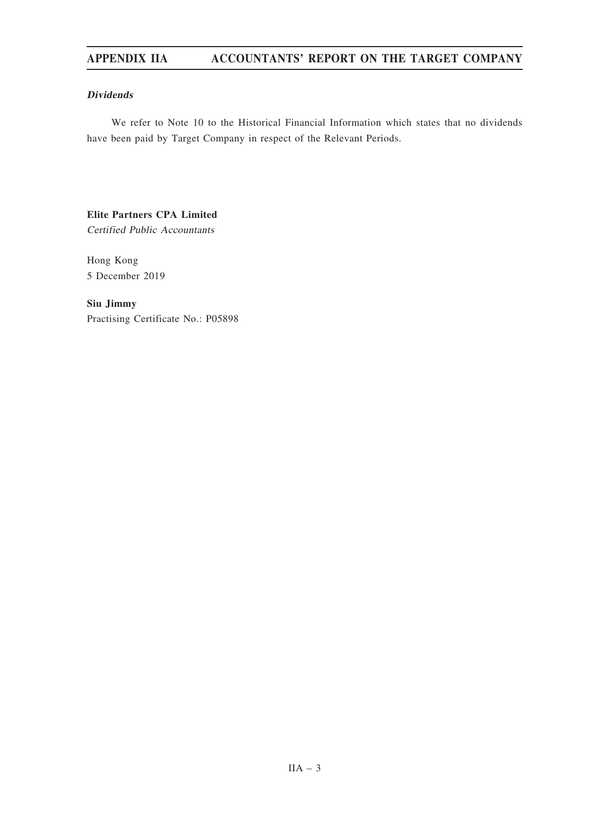### Dividends

We refer to Note 10 to the Historical Financial Information which states that no dividends have been paid by Target Company in respect of the Relevant Periods.

# Elite Partners CPA Limited

Certified Public Accountants

Hong Kong 5 December 2019

Siu Jimmy Practising Certificate No.: P05898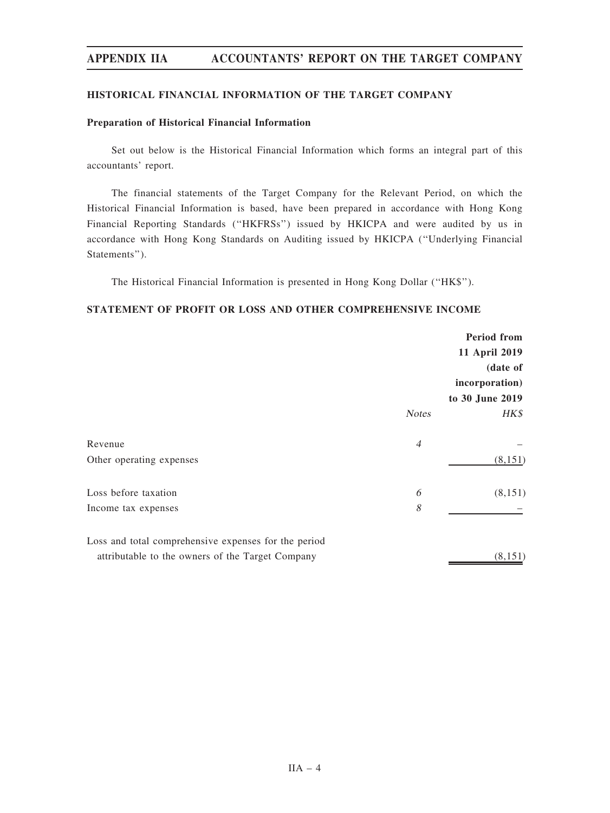#### HISTORICAL FINANCIAL INFORMATION OF THE TARGET COMPANY

#### Preparation of Historical Financial Information

Set out below is the Historical Financial Information which forms an integral part of this accountants' report.

The financial statements of the Target Company for the Relevant Period, on which the Historical Financial Information is based, have been prepared in accordance with Hong Kong Financial Reporting Standards (''HKFRSs'') issued by HKICPA and were audited by us in accordance with Hong Kong Standards on Auditing issued by HKICPA (''Underlying Financial Statements'').

The Historical Financial Information is presented in Hong Kong Dollar (''HK\$'').

#### STATEMENT OF PROFIT OR LOSS AND OTHER COMPREHENSIVE INCOME

|                                                      |                | <b>Period from</b> |
|------------------------------------------------------|----------------|--------------------|
|                                                      |                | 11 April 2019      |
|                                                      |                | (date of           |
|                                                      |                | incorporation)     |
|                                                      |                | to 30 June 2019    |
|                                                      | <b>Notes</b>   | HK\$               |
| Revenue                                              | $\overline{4}$ |                    |
| Other operating expenses                             |                | (8, 151)           |
| Loss before taxation                                 | 6              | (8,151)            |
| Income tax expenses                                  | 8              |                    |
| Loss and total comprehensive expenses for the period |                |                    |
| attributable to the owners of the Target Company     |                | (8, 151)           |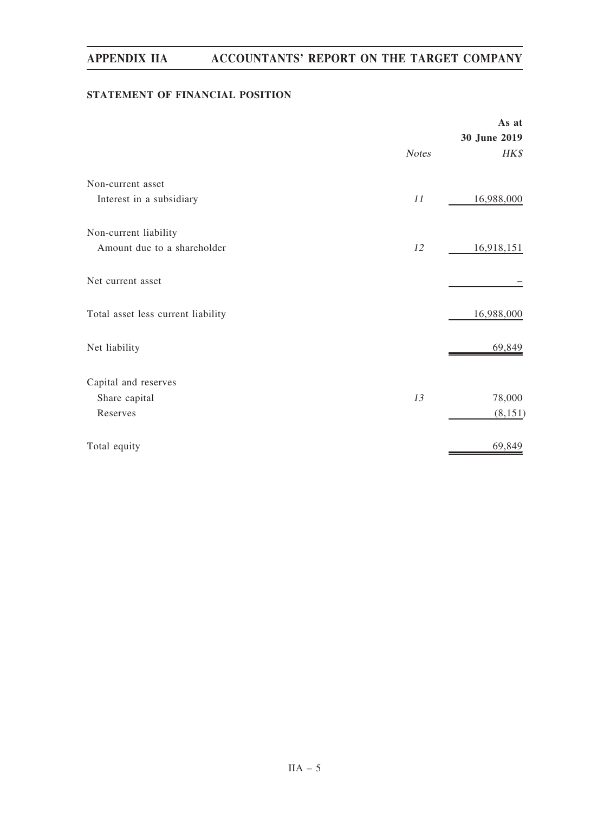# STATEMENT OF FINANCIAL POSITION

|                                    |              | As at        |
|------------------------------------|--------------|--------------|
|                                    |              | 30 June 2019 |
|                                    | <b>Notes</b> | HK\$         |
| Non-current asset                  |              |              |
| Interest in a subsidiary           | 11           | 16,988,000   |
| Non-current liability              |              |              |
| Amount due to a shareholder        | 12           | 16,918,151   |
| Net current asset                  |              |              |
| Total asset less current liability |              | 16,988,000   |
| Net liability                      |              | 69,849       |
| Capital and reserves               |              |              |
| Share capital                      | 13           | 78,000       |
| Reserves                           |              | (8,151)      |
| Total equity                       |              | 69,849       |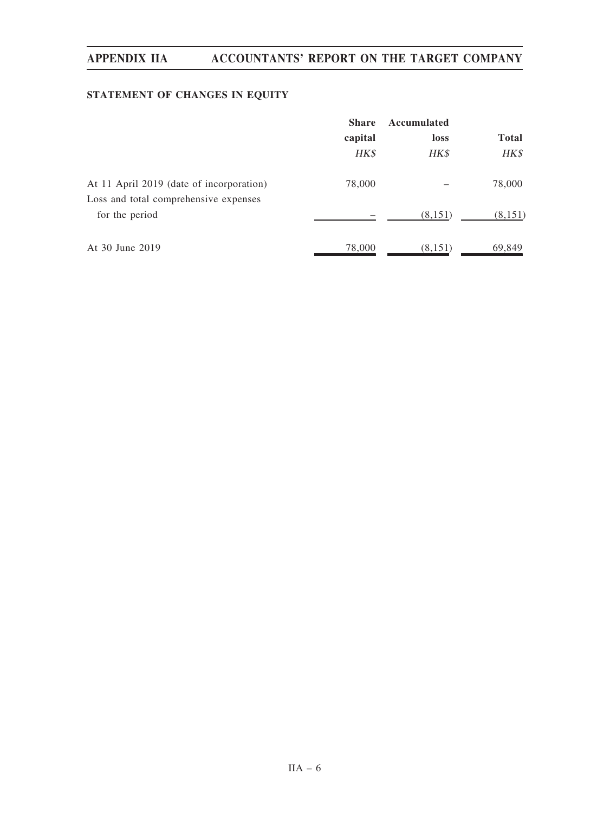# STATEMENT OF CHANGES IN EQUITY

|                                          | <b>Share</b> | Accumulated |              |  |
|------------------------------------------|--------------|-------------|--------------|--|
|                                          | capital      | loss        | <b>Total</b> |  |
|                                          | HK\$         | HK\$        | HK\$         |  |
| At 11 April 2019 (date of incorporation) | 78,000       |             | 78,000       |  |
| Loss and total comprehensive expenses    |              |             |              |  |
| for the period                           |              | (8,151)     | (8,151)      |  |
| At 30 June 2019                          | 78,000       | (8, 151)    | 69,849       |  |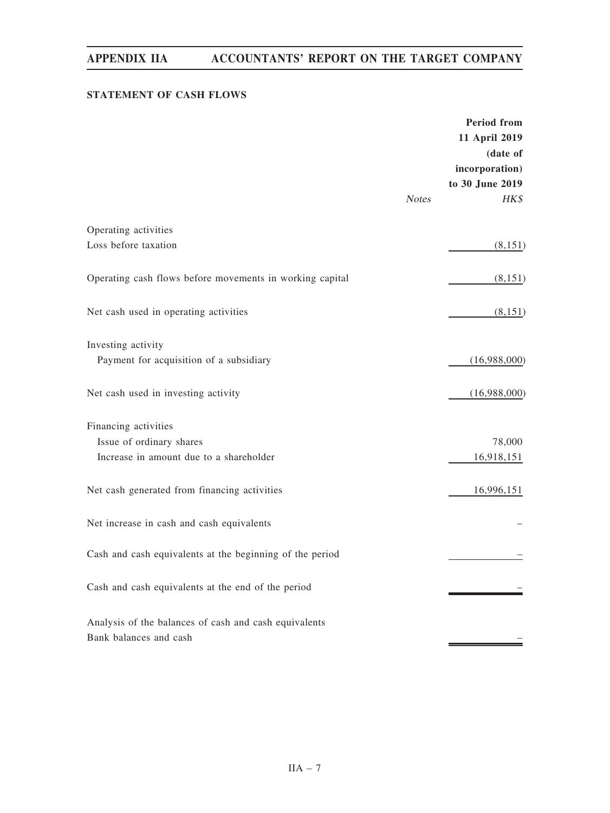# STATEMENT OF CASH FLOWS

|                                                          |              | <b>Period</b> from<br>11 April 2019<br>(date of<br>incorporation)<br>to 30 June 2019 |
|----------------------------------------------------------|--------------|--------------------------------------------------------------------------------------|
|                                                          | <b>Notes</b> | HK\$                                                                                 |
| Operating activities                                     |              |                                                                                      |
| Loss before taxation                                     |              | (8,151)                                                                              |
| Operating cash flows before movements in working capital |              | (8,151)                                                                              |
| Net cash used in operating activities                    |              | (8,151)                                                                              |
| Investing activity                                       |              |                                                                                      |
| Payment for acquisition of a subsidiary                  |              | (16,988,000)                                                                         |
| Net cash used in investing activity                      |              | (16,988,000)                                                                         |
| Financing activities                                     |              |                                                                                      |
| Issue of ordinary shares                                 |              | 78,000                                                                               |
| Increase in amount due to a shareholder                  |              | 16,918,151                                                                           |
| Net cash generated from financing activities             |              | 16,996,151                                                                           |
| Net increase in cash and cash equivalents                |              |                                                                                      |
| Cash and cash equivalents at the beginning of the period |              |                                                                                      |
| Cash and cash equivalents at the end of the period       |              |                                                                                      |
| Analysis of the balances of cash and cash equivalents    |              |                                                                                      |
| Bank balances and cash                                   |              |                                                                                      |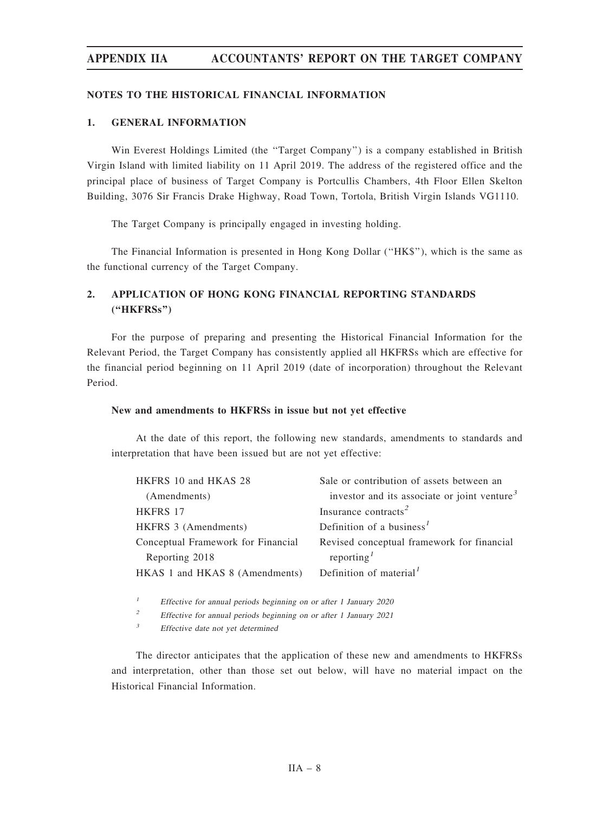#### NOTES TO THE HISTORICAL FINANCIAL INFORMATION

#### 1. GENERAL INFORMATION

Win Everest Holdings Limited (the ''Target Company'') is a company established in British Virgin Island with limited liability on 11 April 2019. The address of the registered office and the principal place of business of Target Company is Portcullis Chambers, 4th Floor Ellen Skelton Building, 3076 Sir Francis Drake Highway, Road Town, Tortola, British Virgin Islands VG1110.

The Target Company is principally engaged in investing holding.

The Financial Information is presented in Hong Kong Dollar (''HK\$''), which is the same as the functional currency of the Target Company.

# 2. APPLICATION OF HONG KONG FINANCIAL REPORTING STANDARDS (''HKFRSs'')

For the purpose of preparing and presenting the Historical Financial Information for the Relevant Period, the Target Company has consistently applied all HKFRSs which are effective for the financial period beginning on 11 April 2019 (date of incorporation) throughout the Relevant Period.

#### New and amendments to HKFRSs in issue but not yet effective

At the date of this report, the following new standards, amendments to standards and interpretation that have been issued but are not yet effective:

| HKFRS 10 and HKAS 28               | Sale or contribution of assets between an                |
|------------------------------------|----------------------------------------------------------|
| (Amendments)                       | investor and its associate or joint venture <sup>3</sup> |
| <b>HKFRS 17</b>                    | Insurance contracts <sup>2</sup>                         |
| HKFRS 3 (Amendments)               | Definition of a business <sup>1</sup>                    |
| Conceptual Framework for Financial | Revised conceptual framework for financial               |
| Reporting 2018                     | reporting <sup>1</sup>                                   |
| HKAS 1 and HKAS 8 (Amendments)     | Definition of material <sup>1</sup>                      |
|                                    |                                                          |

<sup>1</sup> Effective for annual periods beginning on or after 1 January 2020

<sup>2</sup> Effective for annual periods beginning on or after 1 January 2021

<sup>3</sup> Effective date not yet determined

The director anticipates that the application of these new and amendments to HKFRSs and interpretation, other than those set out below, will have no material impact on the Historical Financial Information.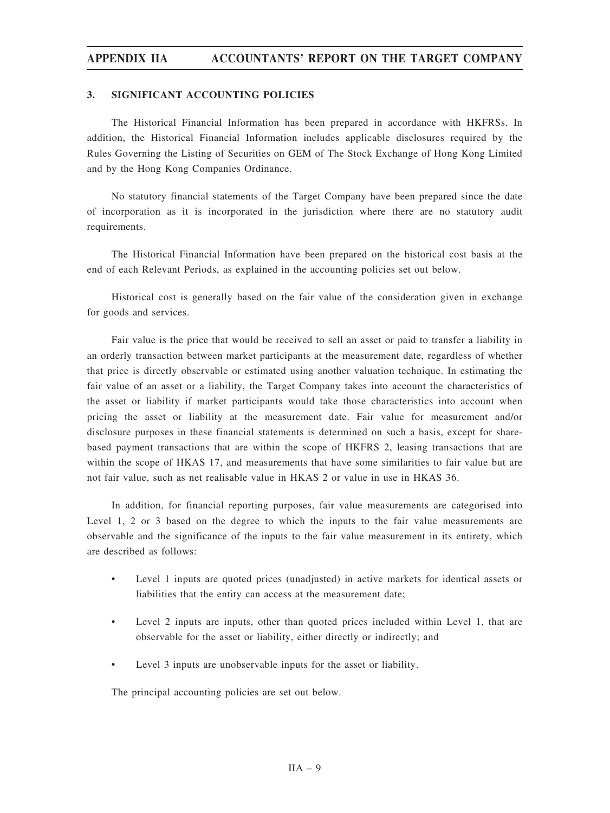#### 3. SIGNIFICANT ACCOUNTING POLICIES

The Historical Financial Information has been prepared in accordance with HKFRSs. In addition, the Historical Financial Information includes applicable disclosures required by the Rules Governing the Listing of Securities on GEM of The Stock Exchange of Hong Kong Limited and by the Hong Kong Companies Ordinance.

No statutory financial statements of the Target Company have been prepared since the date of incorporation as it is incorporated in the jurisdiction where there are no statutory audit requirements.

The Historical Financial Information have been prepared on the historical cost basis at the end of each Relevant Periods, as explained in the accounting policies set out below.

Historical cost is generally based on the fair value of the consideration given in exchange for goods and services.

Fair value is the price that would be received to sell an asset or paid to transfer a liability in an orderly transaction between market participants at the measurement date, regardless of whether that price is directly observable or estimated using another valuation technique. In estimating the fair value of an asset or a liability, the Target Company takes into account the characteristics of the asset or liability if market participants would take those characteristics into account when pricing the asset or liability at the measurement date. Fair value for measurement and/or disclosure purposes in these financial statements is determined on such a basis, except for sharebased payment transactions that are within the scope of HKFRS 2, leasing transactions that are within the scope of HKAS 17, and measurements that have some similarities to fair value but are not fair value, such as net realisable value in HKAS 2 or value in use in HKAS 36.

In addition, for financial reporting purposes, fair value measurements are categorised into Level 1, 2 or 3 based on the degree to which the inputs to the fair value measurements are observable and the significance of the inputs to the fair value measurement in its entirety, which are described as follows:

- Level 1 inputs are quoted prices (unadjusted) in active markets for identical assets or liabilities that the entity can access at the measurement date;
- Level 2 inputs are inputs, other than quoted prices included within Level 1, that are observable for the asset or liability, either directly or indirectly; and
- Level 3 inputs are unobservable inputs for the asset or liability.

The principal accounting policies are set out below.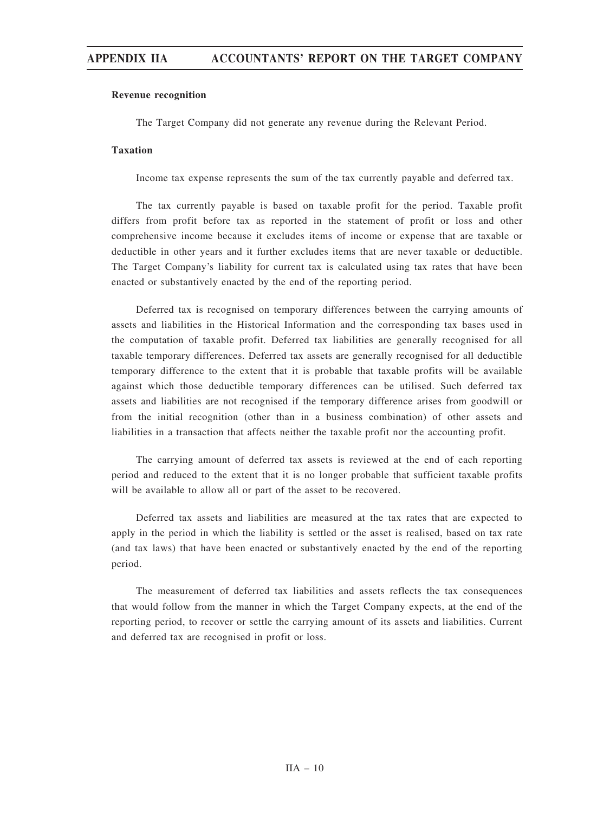## Revenue recognition

The Target Company did not generate any revenue during the Relevant Period.

## Taxation

Income tax expense represents the sum of the tax currently payable and deferred tax.

The tax currently payable is based on taxable profit for the period. Taxable profit differs from profit before tax as reported in the statement of profit or loss and other comprehensive income because it excludes items of income or expense that are taxable or deductible in other years and it further excludes items that are never taxable or deductible. The Target Company's liability for current tax is calculated using tax rates that have been enacted or substantively enacted by the end of the reporting period.

Deferred tax is recognised on temporary differences between the carrying amounts of assets and liabilities in the Historical Information and the corresponding tax bases used in the computation of taxable profit. Deferred tax liabilities are generally recognised for all taxable temporary differences. Deferred tax assets are generally recognised for all deductible temporary difference to the extent that it is probable that taxable profits will be available against which those deductible temporary differences can be utilised. Such deferred tax assets and liabilities are not recognised if the temporary difference arises from goodwill or from the initial recognition (other than in a business combination) of other assets and liabilities in a transaction that affects neither the taxable profit nor the accounting profit.

The carrying amount of deferred tax assets is reviewed at the end of each reporting period and reduced to the extent that it is no longer probable that sufficient taxable profits will be available to allow all or part of the asset to be recovered.

Deferred tax assets and liabilities are measured at the tax rates that are expected to apply in the period in which the liability is settled or the asset is realised, based on tax rate (and tax laws) that have been enacted or substantively enacted by the end of the reporting period.

The measurement of deferred tax liabilities and assets reflects the tax consequences that would follow from the manner in which the Target Company expects, at the end of the reporting period, to recover or settle the carrying amount of its assets and liabilities. Current and deferred tax are recognised in profit or loss.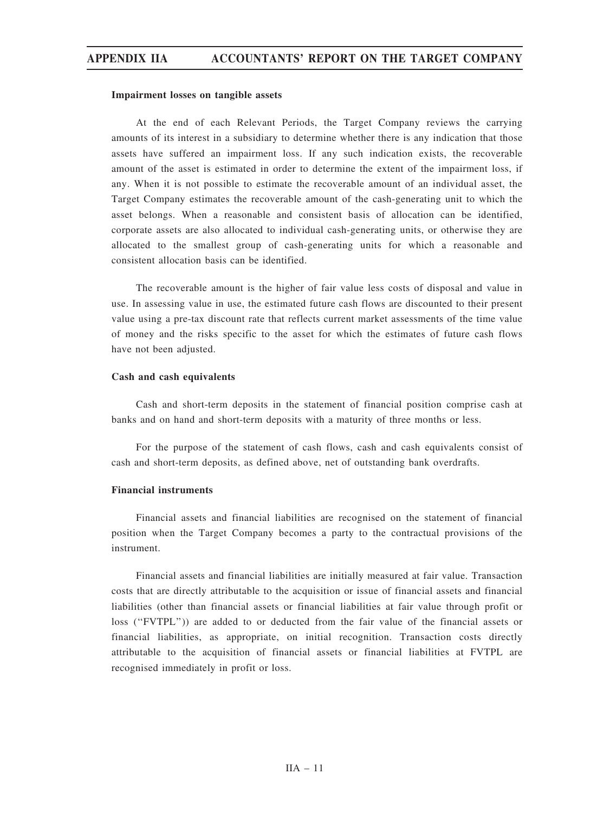### Impairment losses on tangible assets

At the end of each Relevant Periods, the Target Company reviews the carrying amounts of its interest in a subsidiary to determine whether there is any indication that those assets have suffered an impairment loss. If any such indication exists, the recoverable amount of the asset is estimated in order to determine the extent of the impairment loss, if any. When it is not possible to estimate the recoverable amount of an individual asset, the Target Company estimates the recoverable amount of the cash-generating unit to which the asset belongs. When a reasonable and consistent basis of allocation can be identified, corporate assets are also allocated to individual cash-generating units, or otherwise they are allocated to the smallest group of cash-generating units for which a reasonable and consistent allocation basis can be identified.

The recoverable amount is the higher of fair value less costs of disposal and value in use. In assessing value in use, the estimated future cash flows are discounted to their present value using a pre-tax discount rate that reflects current market assessments of the time value of money and the risks specific to the asset for which the estimates of future cash flows have not been adjusted.

### Cash and cash equivalents

Cash and short-term deposits in the statement of financial position comprise cash at banks and on hand and short-term deposits with a maturity of three months or less.

For the purpose of the statement of cash flows, cash and cash equivalents consist of cash and short-term deposits, as defined above, net of outstanding bank overdrafts.

## Financial instruments

Financial assets and financial liabilities are recognised on the statement of financial position when the Target Company becomes a party to the contractual provisions of the instrument.

Financial assets and financial liabilities are initially measured at fair value. Transaction costs that are directly attributable to the acquisition or issue of financial assets and financial liabilities (other than financial assets or financial liabilities at fair value through profit or loss (''FVTPL'')) are added to or deducted from the fair value of the financial assets or financial liabilities, as appropriate, on initial recognition. Transaction costs directly attributable to the acquisition of financial assets or financial liabilities at FVTPL are recognised immediately in profit or loss.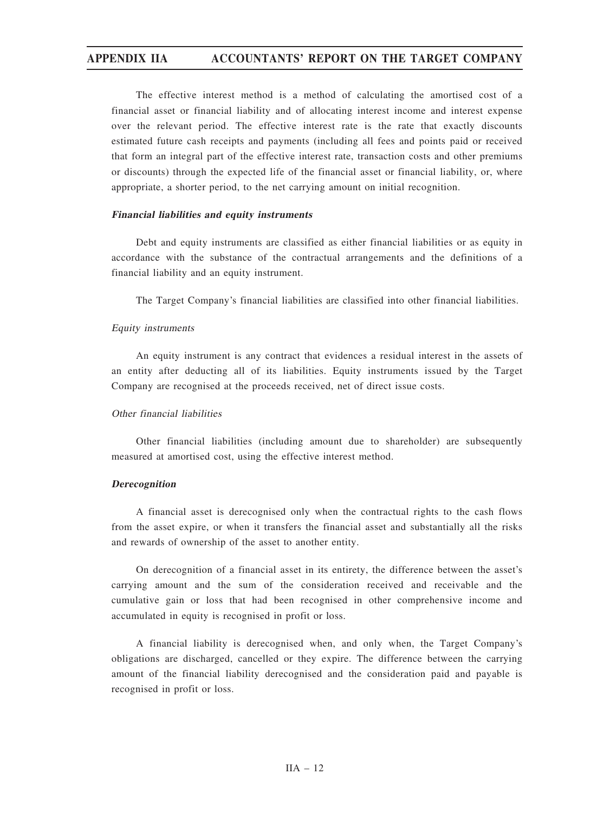The effective interest method is a method of calculating the amortised cost of a financial asset or financial liability and of allocating interest income and interest expense over the relevant period. The effective interest rate is the rate that exactly discounts estimated future cash receipts and payments (including all fees and points paid or received that form an integral part of the effective interest rate, transaction costs and other premiums or discounts) through the expected life of the financial asset or financial liability, or, where appropriate, a shorter period, to the net carrying amount on initial recognition.

## Financial liabilities and equity instruments

Debt and equity instruments are classified as either financial liabilities or as equity in accordance with the substance of the contractual arrangements and the definitions of a financial liability and an equity instrument.

The Target Company's financial liabilities are classified into other financial liabilities.

## Equity instruments

An equity instrument is any contract that evidences a residual interest in the assets of an entity after deducting all of its liabilities. Equity instruments issued by the Target Company are recognised at the proceeds received, net of direct issue costs.

## Other financial liabilities

Other financial liabilities (including amount due to shareholder) are subsequently measured at amortised cost, using the effective interest method.

### Derecognition

A financial asset is derecognised only when the contractual rights to the cash flows from the asset expire, or when it transfers the financial asset and substantially all the risks and rewards of ownership of the asset to another entity.

On derecognition of a financial asset in its entirety, the difference between the asset's carrying amount and the sum of the consideration received and receivable and the cumulative gain or loss that had been recognised in other comprehensive income and accumulated in equity is recognised in profit or loss.

A financial liability is derecognised when, and only when, the Target Company's obligations are discharged, cancelled or they expire. The difference between the carrying amount of the financial liability derecognised and the consideration paid and payable is recognised in profit or loss.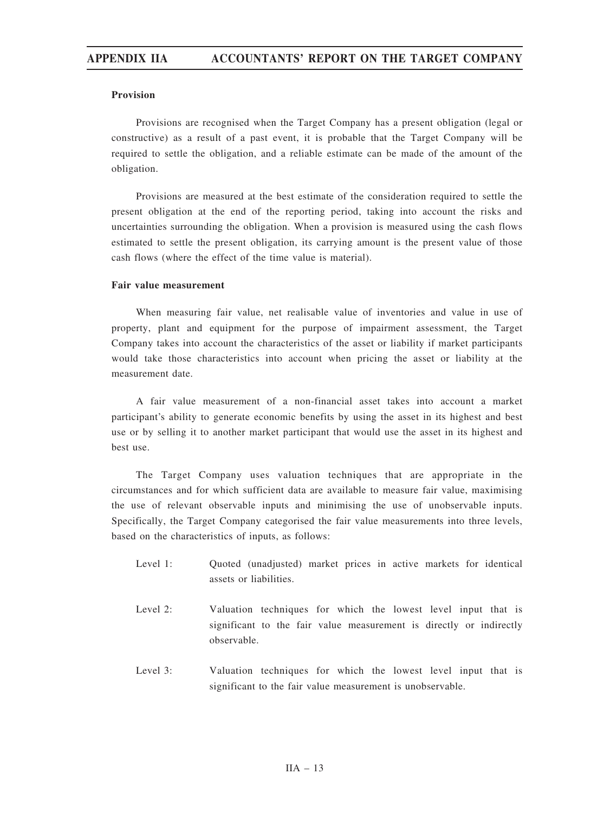## Provision

Provisions are recognised when the Target Company has a present obligation (legal or constructive) as a result of a past event, it is probable that the Target Company will be required to settle the obligation, and a reliable estimate can be made of the amount of the obligation.

Provisions are measured at the best estimate of the consideration required to settle the present obligation at the end of the reporting period, taking into account the risks and uncertainties surrounding the obligation. When a provision is measured using the cash flows estimated to settle the present obligation, its carrying amount is the present value of those cash flows (where the effect of the time value is material).

## Fair value measurement

When measuring fair value, net realisable value of inventories and value in use of property, plant and equipment for the purpose of impairment assessment, the Target Company takes into account the characteristics of the asset or liability if market participants would take those characteristics into account when pricing the asset or liability at the measurement date.

A fair value measurement of a non-financial asset takes into account a market participant's ability to generate economic benefits by using the asset in its highest and best use or by selling it to another market participant that would use the asset in its highest and best use.

The Target Company uses valuation techniques that are appropriate in the circumstances and for which sufficient data are available to measure fair value, maximising the use of relevant observable inputs and minimising the use of unobservable inputs. Specifically, the Target Company categorised the fair value measurements into three levels, based on the characteristics of inputs, as follows:

- Level 1: Quoted (unadjusted) market prices in active markets for identical assets or liabilities.
- Level 2: Valuation techniques for which the lowest level input that is significant to the fair value measurement is directly or indirectly observable.
- Level 3: Valuation techniques for which the lowest level input that is significant to the fair value measurement is unobservable.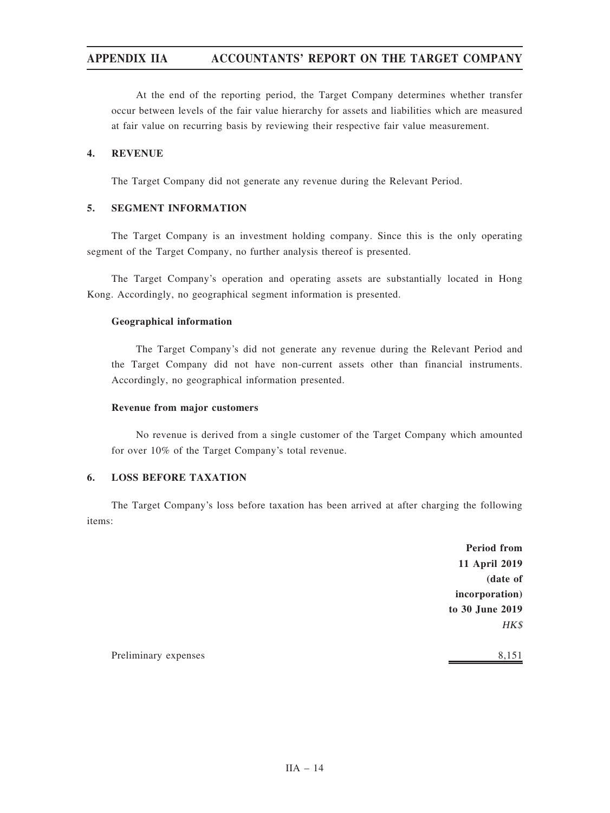At the end of the reporting period, the Target Company determines whether transfer occur between levels of the fair value hierarchy for assets and liabilities which are measured at fair value on recurring basis by reviewing their respective fair value measurement.

## 4. REVENUE

The Target Company did not generate any revenue during the Relevant Period.

# 5. SEGMENT INFORMATION

The Target Company is an investment holding company. Since this is the only operating segment of the Target Company, no further analysis thereof is presented.

The Target Company's operation and operating assets are substantially located in Hong Kong. Accordingly, no geographical segment information is presented.

# Geographical information

The Target Company's did not generate any revenue during the Relevant Period and the Target Company did not have non-current assets other than financial instruments. Accordingly, no geographical information presented.

## Revenue from major customers

No revenue is derived from a single customer of the Target Company which amounted for over 10% of the Target Company's total revenue.

# 6. LOSS BEFORE TAXATION

The Target Company's loss before taxation has been arrived at after charging the following items:

> Period from 11 April 2019 (date of incorporation) to 30 June 2019 HK\$

Preliminary expenses 8,151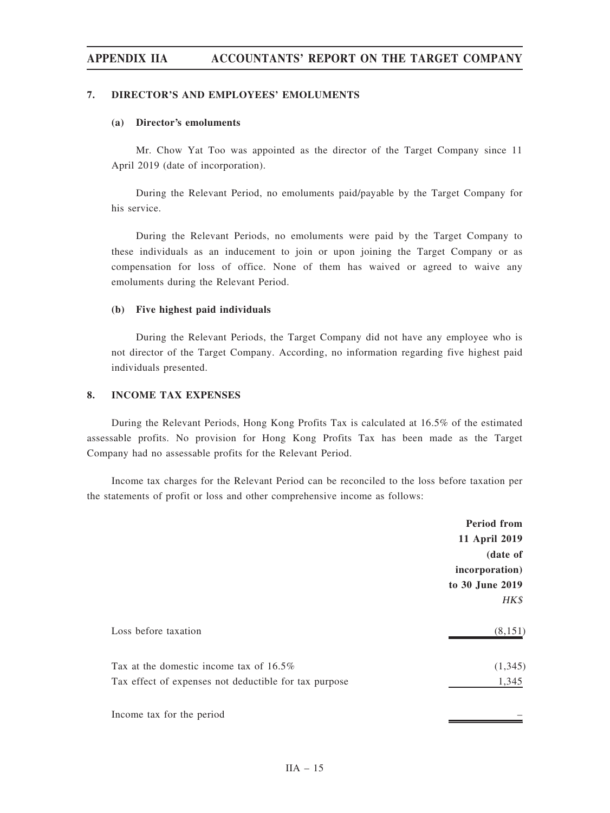## 7. DIRECTOR'S AND EMPLOYEES' EMOLUMENTS

## (a) Director's emoluments

Mr. Chow Yat Too was appointed as the director of the Target Company since 11 April 2019 (date of incorporation).

During the Relevant Period, no emoluments paid/payable by the Target Company for his service.

During the Relevant Periods, no emoluments were paid by the Target Company to these individuals as an inducement to join or upon joining the Target Company or as compensation for loss of office. None of them has waived or agreed to waive any emoluments during the Relevant Period.

## (b) Five highest paid individuals

During the Relevant Periods, the Target Company did not have any employee who is not director of the Target Company. According, no information regarding five highest paid individuals presented.

## 8. INCOME TAX EXPENSES

During the Relevant Periods, Hong Kong Profits Tax is calculated at 16.5% of the estimated assessable profits. No provision for Hong Kong Profits Tax has been made as the Target Company had no assessable profits for the Relevant Period.

Income tax charges for the Relevant Period can be reconciled to the loss before taxation per the statements of profit or loss and other comprehensive income as follows:

|                                                       | <b>Period from</b> |
|-------------------------------------------------------|--------------------|
|                                                       | 11 April 2019      |
|                                                       | (date of           |
|                                                       | incorporation)     |
|                                                       | to 30 June 2019    |
|                                                       | HK\$               |
| Loss before taxation                                  | (8, 151)           |
| Tax at the domestic income tax of $16.5\%$            | (1,345)            |
| Tax effect of expenses not deductible for tax purpose | 1,345              |
| Income tax for the period                             |                    |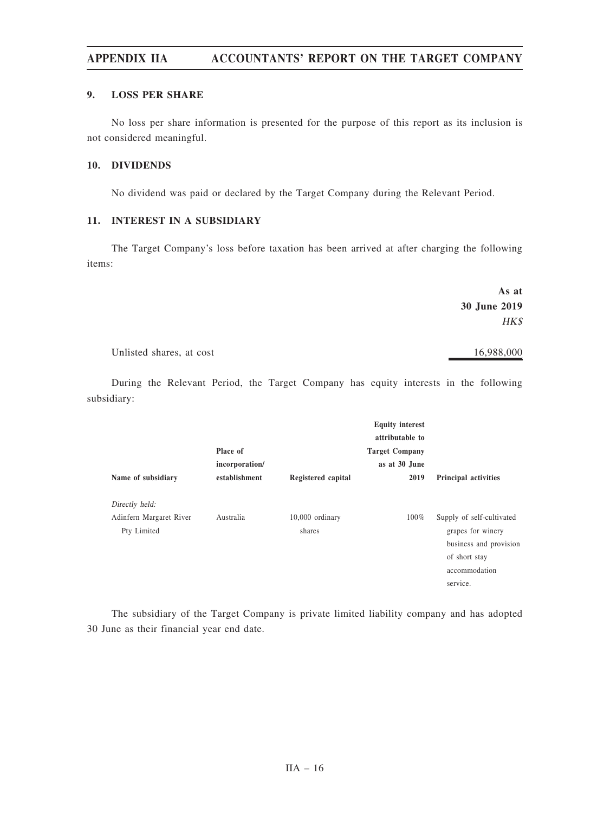# 9. LOSS PER SHARE

No loss per share information is presented for the purpose of this report as its inclusion is not considered meaningful.

## 10. DIVIDENDS

No dividend was paid or declared by the Target Company during the Relevant Period.

# 11. INTEREST IN A SUBSIDIARY

The Target Company's loss before taxation has been arrived at after charging the following items:

|                          | As at        |
|--------------------------|--------------|
|                          | 30 June 2019 |
|                          | HK\$         |
| Unlisted shares, at cost | 16,988,000   |

During the Relevant Period, the Target Company has equity interests in the following subsidiary:

| Place of      |                           | <b>Equity interest</b><br>attributable to<br><b>Target Company</b><br>as at 30 June |                                                                                                                        |
|---------------|---------------------------|-------------------------------------------------------------------------------------|------------------------------------------------------------------------------------------------------------------------|
| establishment | Registered capital        | 2019                                                                                | <b>Principal activities</b>                                                                                            |
|               |                           |                                                                                     |                                                                                                                        |
| Australia     | 10,000 ordinary<br>shares | 100%                                                                                | Supply of self-cultivated<br>grapes for winery<br>business and provision<br>of short stay<br>accommodation<br>service. |
|               | incorporation/            |                                                                                     |                                                                                                                        |

The subsidiary of the Target Company is private limited liability company and has adopted 30 June as their financial year end date.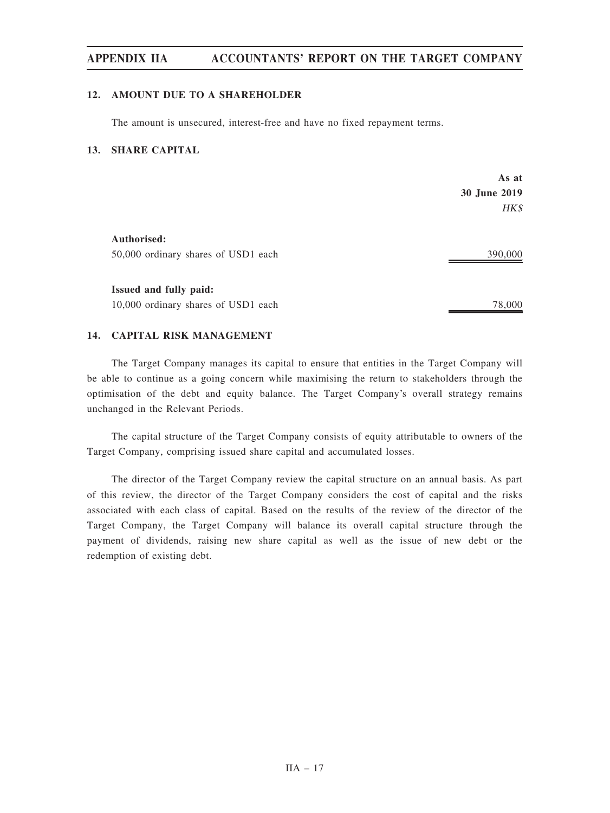## 12. AMOUNT DUE TO A SHAREHOLDER

The amount is unsecured, interest-free and have no fixed repayment terms.

# 13. SHARE CAPITAL

|                                     | As at        |
|-------------------------------------|--------------|
|                                     | 30 June 2019 |
|                                     | HK\$         |
| Authorised:                         |              |
| 50,000 ordinary shares of USD1 each | 390,000      |
| Issued and fully paid:              |              |
|                                     |              |
| 10,000 ordinary shares of USD1 each | 78,000       |

# 14. CAPITAL RISK MANAGEMENT

The Target Company manages its capital to ensure that entities in the Target Company will be able to continue as a going concern while maximising the return to stakeholders through the optimisation of the debt and equity balance. The Target Company's overall strategy remains unchanged in the Relevant Periods.

The capital structure of the Target Company consists of equity attributable to owners of the Target Company, comprising issued share capital and accumulated losses.

The director of the Target Company review the capital structure on an annual basis. As part of this review, the director of the Target Company considers the cost of capital and the risks associated with each class of capital. Based on the results of the review of the director of the Target Company, the Target Company will balance its overall capital structure through the payment of dividends, raising new share capital as well as the issue of new debt or the redemption of existing debt.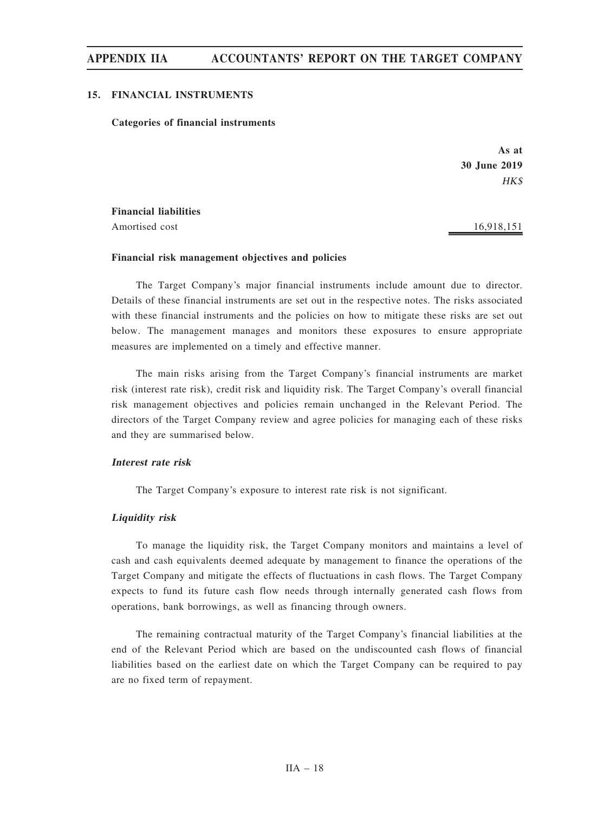## 15. FINANCIAL INSTRUMENTS

### Categories of financial instruments

As at 30 June 2019 HK\$

Financial liabilities

Amortised cost 16,918,151

# Financial risk management objectives and policies

The Target Company's major financial instruments include amount due to director. Details of these financial instruments are set out in the respective notes. The risks associated with these financial instruments and the policies on how to mitigate these risks are set out below. The management manages and monitors these exposures to ensure appropriate measures are implemented on a timely and effective manner.

The main risks arising from the Target Company's financial instruments are market risk (interest rate risk), credit risk and liquidity risk. The Target Company's overall financial risk management objectives and policies remain unchanged in the Relevant Period. The directors of the Target Company review and agree policies for managing each of these risks and they are summarised below.

## Interest rate risk

The Target Company's exposure to interest rate risk is not significant.

## Liquidity risk

To manage the liquidity risk, the Target Company monitors and maintains a level of cash and cash equivalents deemed adequate by management to finance the operations of the Target Company and mitigate the effects of fluctuations in cash flows. The Target Company expects to fund its future cash flow needs through internally generated cash flows from operations, bank borrowings, as well as financing through owners.

The remaining contractual maturity of the Target Company's financial liabilities at the end of the Relevant Period which are based on the undiscounted cash flows of financial liabilities based on the earliest date on which the Target Company can be required to pay are no fixed term of repayment.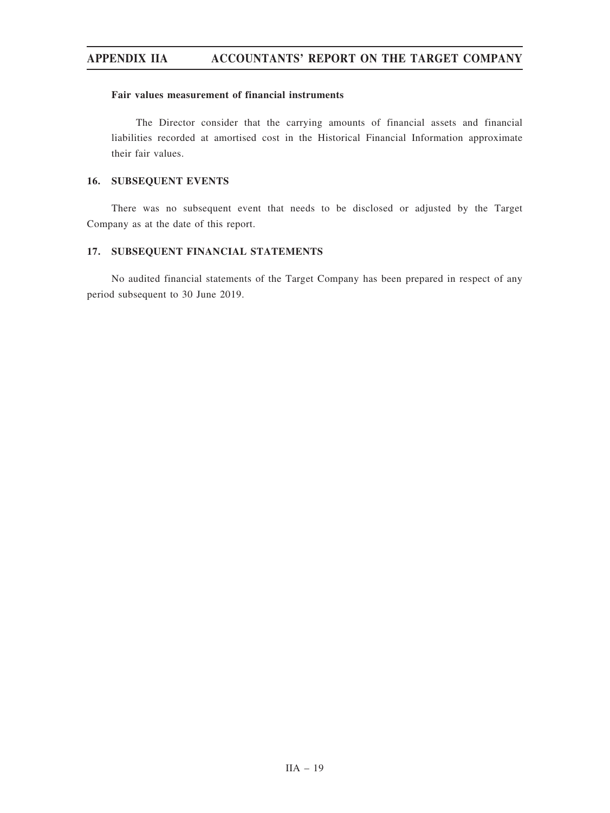## Fair values measurement of financial instruments

The Director consider that the carrying amounts of financial assets and financial liabilities recorded at amortised cost in the Historical Financial Information approximate their fair values.

# 16. SUBSEQUENT EVENTS

There was no subsequent event that needs to be disclosed or adjusted by the Target Company as at the date of this report.

# 17. SUBSEQUENT FINANCIAL STATEMENTS

No audited financial statements of the Target Company has been prepared in respect of any period subsequent to 30 June 2019.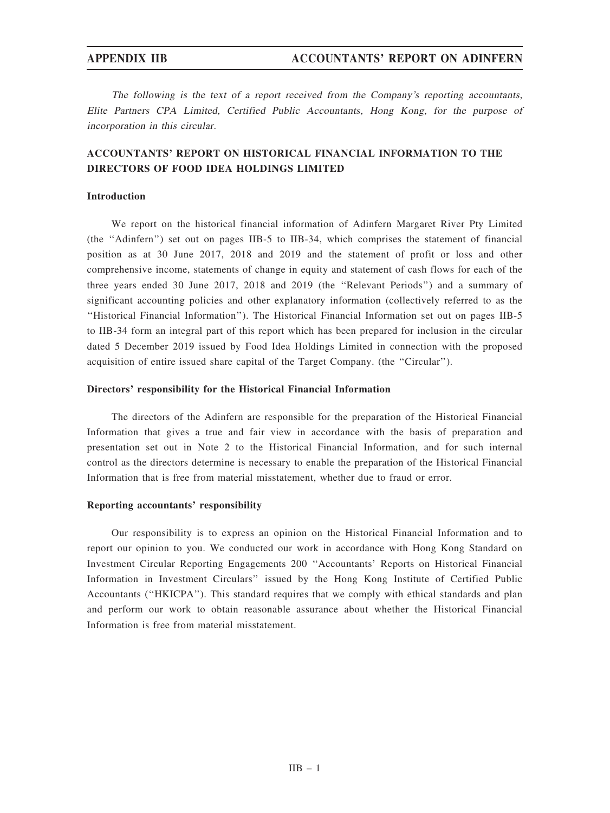The following is the text of <sup>a</sup> report received from the Company'<sup>s</sup> reporting accountants, Elite Partners CPA Limited, Certified Public Accountants, Hong Kong, for the purpose of incorporation in this circular.

# ACCOUNTANTS' REPORT ON HISTORICAL FINANCIAL INFORMATION TO THE DIRECTORS OF FOOD IDEA HOLDINGS LIMITED

# Introduction

We report on the historical financial information of Adinfern Margaret River Pty Limited (the ''Adinfern'') set out on pages IIB-5 to IIB-34, which comprises the statement of financial position as at 30 June 2017, 2018 and 2019 and the statement of profit or loss and other comprehensive income, statements of change in equity and statement of cash flows for each of the three years ended 30 June 2017, 2018 and 2019 (the ''Relevant Periods'') and a summary of significant accounting policies and other explanatory information (collectively referred to as the ''Historical Financial Information''). The Historical Financial Information set out on pages IIB-5 to IIB-34 form an integral part of this report which has been prepared for inclusion in the circular dated 5 December 2019 issued by Food Idea Holdings Limited in connection with the proposed acquisition of entire issued share capital of the Target Company. (the "Circular").

### Directors' responsibility for the Historical Financial Information

The directors of the Adinfern are responsible for the preparation of the Historical Financial Information that gives a true and fair view in accordance with the basis of preparation and presentation set out in Note 2 to the Historical Financial Information, and for such internal control as the directors determine is necessary to enable the preparation of the Historical Financial Information that is free from material misstatement, whether due to fraud or error.

## Reporting accountants' responsibility

Our responsibility is to express an opinion on the Historical Financial Information and to report our opinion to you. We conducted our work in accordance with Hong Kong Standard on Investment Circular Reporting Engagements 200 ''Accountants' Reports on Historical Financial Information in Investment Circulars'' issued by the Hong Kong Institute of Certified Public Accountants (''HKICPA''). This standard requires that we comply with ethical standards and plan and perform our work to obtain reasonable assurance about whether the Historical Financial Information is free from material misstatement.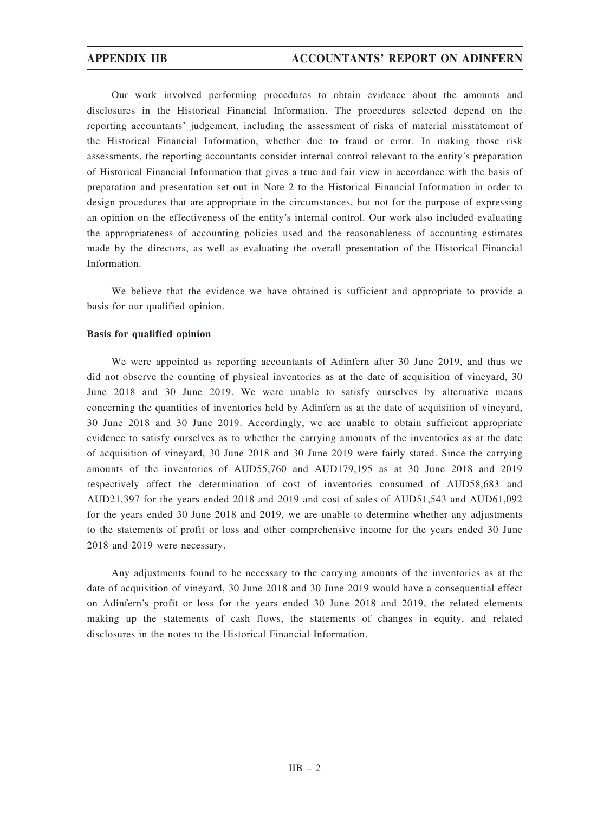Our work involved performing procedures to obtain evidence about the amounts and disclosures in the Historical Financial Information. The procedures selected depend on the reporting accountants' judgement, including the assessment of risks of material misstatement of the Historical Financial Information, whether due to fraud or error. In making those risk assessments, the reporting accountants consider internal control relevant to the entity's preparation of Historical Financial Information that gives a true and fair view in accordance with the basis of preparation and presentation set out in Note 2 to the Historical Financial Information in order to design procedures that are appropriate in the circumstances, but not for the purpose of expressing an opinion on the effectiveness of the entity's internal control. Our work also included evaluating the appropriateness of accounting policies used and the reasonableness of accounting estimates made by the directors, as well as evaluating the overall presentation of the Historical Financial Information.

We believe that the evidence we have obtained is sufficient and appropriate to provide a basis for our qualified opinion.

# Basis for qualified opinion

We were appointed as reporting accountants of Adinfern after 30 June 2019, and thus we did not observe the counting of physical inventories as at the date of acquisition of vineyard, 30 June 2018 and 30 June 2019. We were unable to satisfy ourselves by alternative means concerning the quantities of inventories held by Adinfern as at the date of acquisition of vineyard, 30 June 2018 and 30 June 2019. Accordingly, we are unable to obtain sufficient appropriate evidence to satisfy ourselves as to whether the carrying amounts of the inventories as at the date of acquisition of vineyard, 30 June 2018 and 30 June 2019 were fairly stated. Since the carrying amounts of the inventories of AUD55,760 and AUD179,195 as at 30 June 2018 and 2019 respectively affect the determination of cost of inventories consumed of AUD58,683 and AUD21,397 for the years ended 2018 and 2019 and cost of sales of AUD51,543 and AUD61,092 for the years ended 30 June 2018 and 2019, we are unable to determine whether any adjustments to the statements of profit or loss and other comprehensive income for the years ended 30 June 2018 and 2019 were necessary.

Any adjustments found to be necessary to the carrying amounts of the inventories as at the date of acquisition of vineyard, 30 June 2018 and 30 June 2019 would have a consequential effect on Adinfern's profit or loss for the years ended 30 June 2018 and 2019, the related elements making up the statements of cash flows, the statements of changes in equity, and related disclosures in the notes to the Historical Financial Information.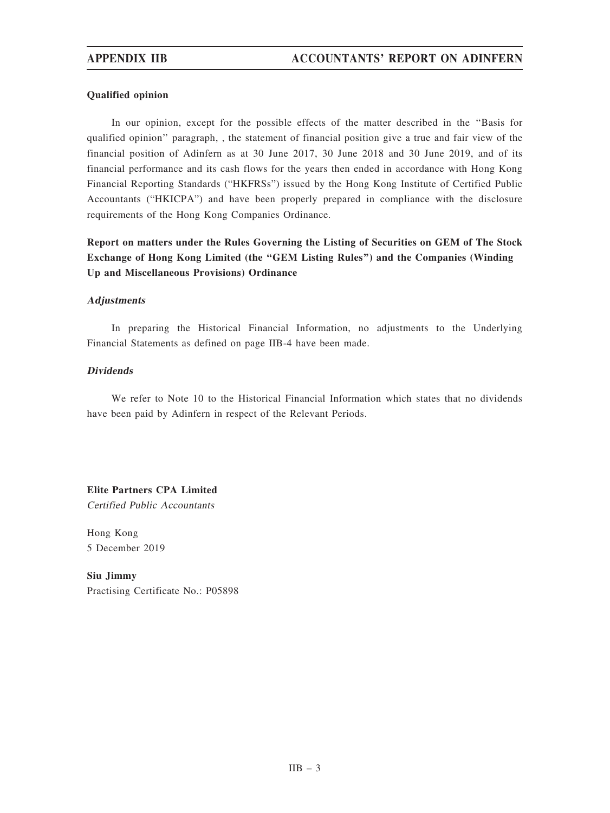# Qualified opinion

In our opinion, except for the possible effects of the matter described in the ''Basis for qualified opinion'' paragraph, , the statement of financial position give a true and fair view of the financial position of Adinfern as at 30 June 2017, 30 June 2018 and 30 June 2019, and of its financial performance and its cash flows for the years then ended in accordance with Hong Kong Financial Reporting Standards ("HKFRSs") issued by the Hong Kong Institute of Certified Public Accountants ("HKICPA") and have been properly prepared in compliance with the disclosure requirements of the Hong Kong Companies Ordinance.

Report on matters under the Rules Governing the Listing of Securities on GEM of The Stock Exchange of Hong Kong Limited (the ''GEM Listing Rules'') and the Companies (Winding Up and Miscellaneous Provisions) Ordinance

## **Adjustments**

In preparing the Historical Financial Information, no adjustments to the Underlying Financial Statements as defined on page IIB-4 have been made.

## Dividends

We refer to Note 10 to the Historical Financial Information which states that no dividends have been paid by Adinfern in respect of the Relevant Periods.

Elite Partners CPA Limited Certified Public Accountants

Hong Kong 5 December 2019

Siu Jimmy Practising Certificate No.: P05898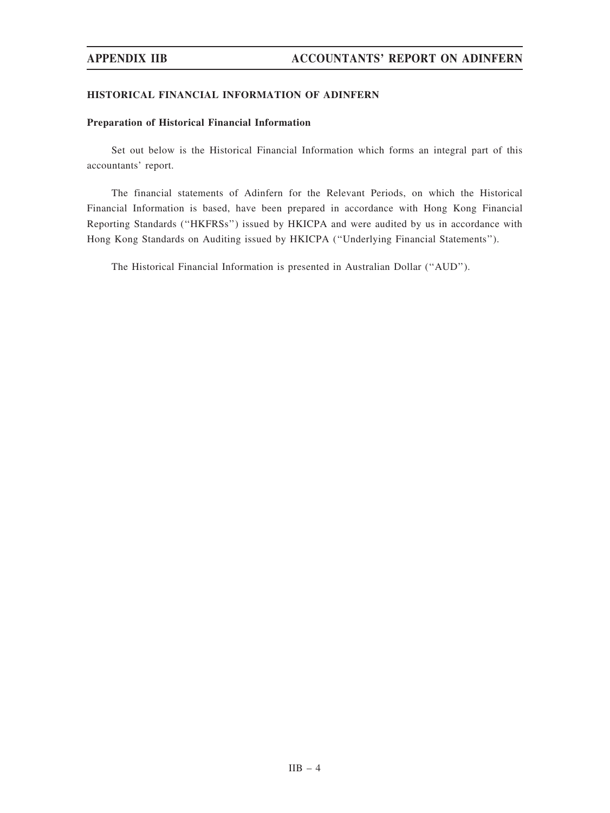## HISTORICAL FINANCIAL INFORMATION OF ADINFERN

## Preparation of Historical Financial Information

Set out below is the Historical Financial Information which forms an integral part of this accountants' report.

The financial statements of Adinfern for the Relevant Periods, on which the Historical Financial Information is based, have been prepared in accordance with Hong Kong Financial Reporting Standards (''HKFRSs'') issued by HKICPA and were audited by us in accordance with Hong Kong Standards on Auditing issued by HKICPA (''Underlying Financial Statements'').

The Historical Financial Information is presented in Australian Dollar (''AUD'').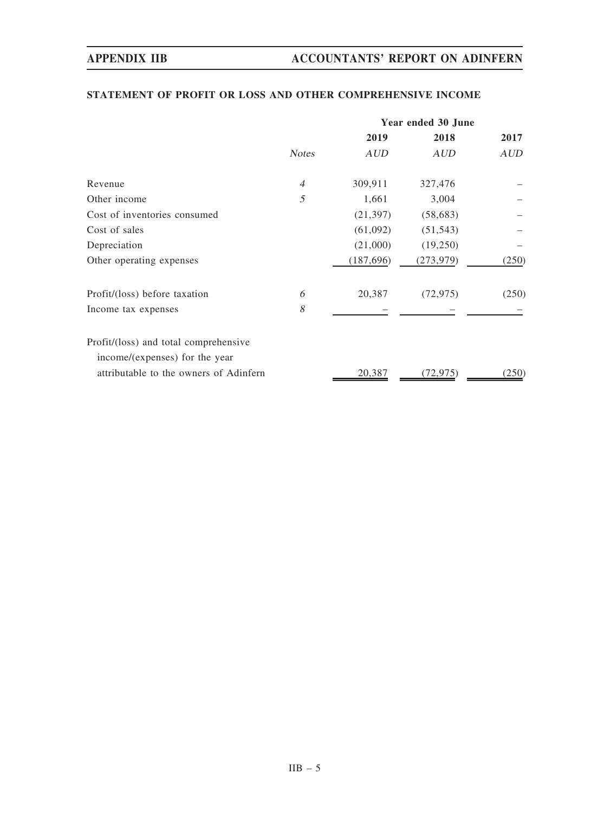# STATEMENT OF PROFIT OR LOSS AND OTHER COMPREHENSIVE INCOME

|                                                                         | Year ended 30 June |            |            |            |
|-------------------------------------------------------------------------|--------------------|------------|------------|------------|
|                                                                         |                    | 2019       | 2018       | 2017       |
|                                                                         | <b>Notes</b>       | <b>AUD</b> | <b>AUD</b> | <b>AUD</b> |
| Revenue                                                                 | $\overline{4}$     | 309,911    | 327,476    |            |
| Other income                                                            | 5                  | 1,661      | 3,004      |            |
| Cost of inventories consumed                                            |                    | (21, 397)  | (58, 683)  |            |
| Cost of sales                                                           |                    | (61,092)   | (51, 543)  |            |
| Depreciation                                                            |                    | (21,000)   | (19,250)   |            |
| Other operating expenses                                                |                    | (187, 696) | (273, 979) | (250)      |
| Profit/(loss) before taxation                                           | 6                  | 20,387     | (72, 975)  | (250)      |
| Income tax expenses                                                     | 8                  |            |            |            |
| Profit/(loss) and total comprehensive<br>income/(expenses) for the year |                    |            |            |            |
| attributable to the owners of Adinfern                                  |                    | 20,387     | (72, 975)  | (250)      |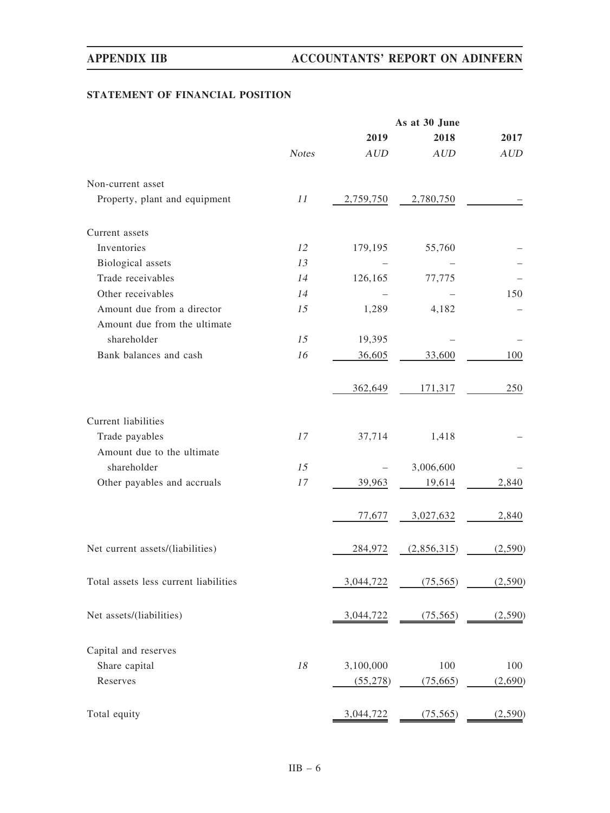# STATEMENT OF FINANCIAL POSITION

|                                       |              |            | As at 30 June |         |
|---------------------------------------|--------------|------------|---------------|---------|
|                                       |              | 2019       | 2018          | 2017    |
|                                       | <b>Notes</b> | <b>AUD</b> | <b>AUD</b>    | AUD     |
| Non-current asset                     |              |            |               |         |
| Property, plant and equipment         | 11           | 2,759,750  | 2,780,750     |         |
| Current assets                        |              |            |               |         |
| Inventories                           | 12           | 179,195    | 55,760        |         |
| Biological assets                     | 13           |            |               |         |
| Trade receivables                     | 14           | 126,165    | 77,775        |         |
| Other receivables                     | 14           |            |               | 150     |
| Amount due from a director            | 15           | 1,289      | 4,182         |         |
| Amount due from the ultimate          |              |            |               |         |
| shareholder                           | 15           | 19,395     |               |         |
| Bank balances and cash                | 16           | 36,605     | 33,600        | 100     |
|                                       |              | 362,649    | 171,317       | 250     |
| Current liabilities                   |              |            |               |         |
| Trade payables                        | 17           | 37,714     | 1,418         |         |
| Amount due to the ultimate            |              |            |               |         |
| shareholder                           | 15           |            | 3,006,600     |         |
| Other payables and accruals           | 17           | 39,963     | 19,614        | 2,840   |
|                                       |              | 77,677     | 3,027,632     | 2,840   |
| Net current assets/(liabilities)      |              | 284,972    | (2,856,315)   | (2,590) |
| Total assets less current liabilities |              | 3,044,722  | (75, 565)     | (2,590) |
| Net assets/(liabilities)              |              | 3,044,722  | (75, 565)     | (2,590) |
| Capital and reserves                  |              |            |               |         |
| Share capital                         | $18\,$       | 3,100,000  | 100           | 100     |
| Reserves                              |              | (55,278)   | (75, 665)     | (2,690) |
| Total equity                          |              | 3,044,722  | (75, 565)     | (2,590) |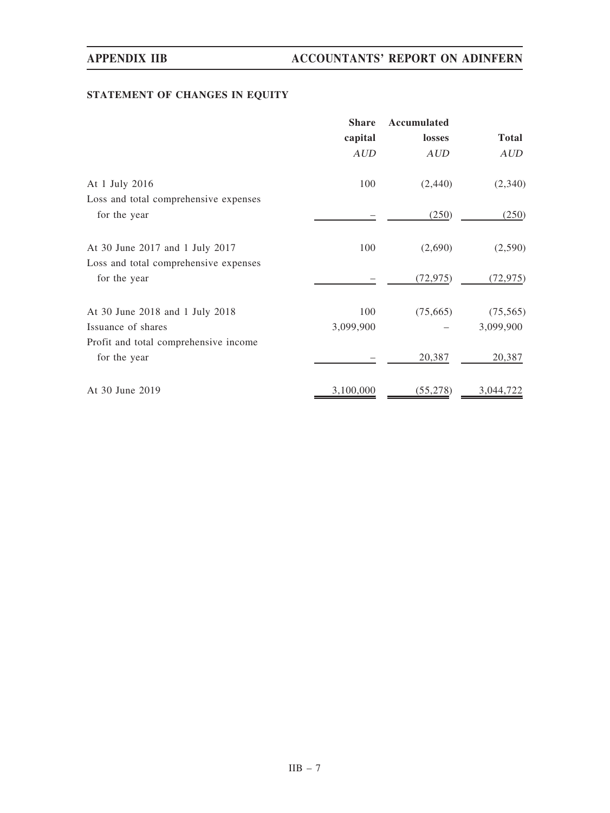# STATEMENT OF CHANGES IN EQUITY

|                                       | <b>Share</b> | Accumulated |              |
|---------------------------------------|--------------|-------------|--------------|
|                                       | capital      | losses      | <b>Total</b> |
|                                       | <b>AUD</b>   | <b>AUD</b>  | <b>AUD</b>   |
| At 1 July 2016                        | 100          | (2,440)     | (2,340)      |
| Loss and total comprehensive expenses |              |             |              |
| for the year                          |              | (250)       | (250)        |
| At 30 June 2017 and 1 July 2017       | 100          | (2,690)     | (2,590)      |
| Loss and total comprehensive expenses |              |             |              |
| for the year                          |              | (72, 975)   | (72, 975)    |
| At 30 June 2018 and 1 July 2018       | 100          | (75,665)    | (75, 565)    |
| Issuance of shares                    | 3,099,900    |             | 3,099,900    |
| Profit and total comprehensive income |              |             |              |
| for the year                          |              | 20,387      | 20,387       |
| At 30 June 2019                       | 3,100,000    | (55, 278)   | 3,044,722    |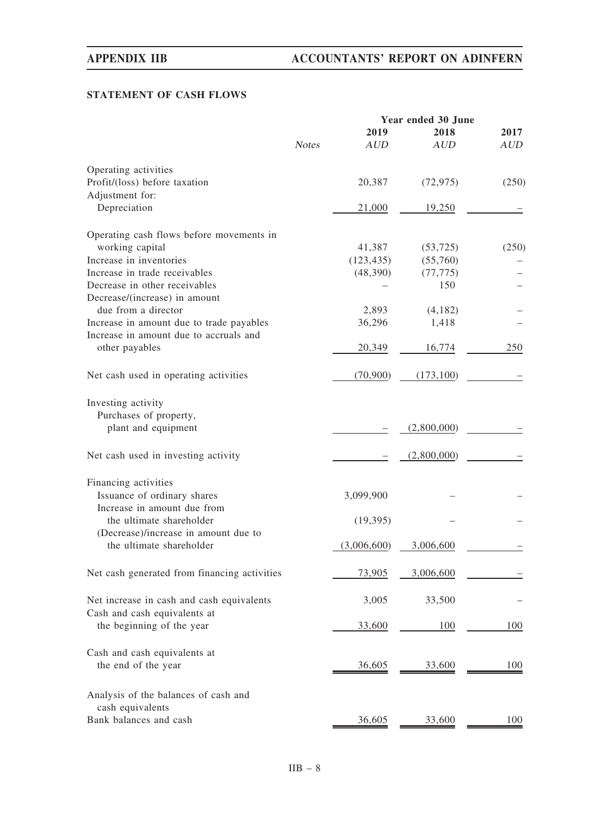# STATEMENT OF CASH FLOWS

|                                              |              |             | Year ended 30 June |            |
|----------------------------------------------|--------------|-------------|--------------------|------------|
|                                              |              | 2019        | 2018               | 2017       |
|                                              | <b>Notes</b> | <b>AUD</b>  | AUD                | <b>AUD</b> |
| Operating activities                         |              |             |                    |            |
| Profit/(loss) before taxation                |              | 20,387      | (72, 975)          | (250)      |
| Adjustment for:                              |              |             |                    |            |
| Depreciation                                 |              | 21,000      | 19,250             |            |
| Operating cash flows before movements in     |              |             |                    |            |
| working capital                              |              | 41,387      | (53, 725)          | (250)      |
| Increase in inventories                      |              | (123, 435)  | (55,760)           |            |
| Increase in trade receivables                |              | (48,390)    | (77, 775)          |            |
| Decrease in other receivables                |              |             | 150                |            |
| Decrease/(increase) in amount                |              |             |                    |            |
| due from a director                          |              | 2,893       | (4,182)            |            |
| Increase in amount due to trade payables     |              | 36,296      | 1,418              |            |
| Increase in amount due to accruals and       |              |             |                    |            |
| other payables                               |              | 20,349      | 16,774             | 250        |
| Net cash used in operating activities        |              | (70,900)    | (173, 100)         |            |
| Investing activity                           |              |             |                    |            |
| Purchases of property,                       |              |             |                    |            |
| plant and equipment                          |              |             | (2,800,000)        |            |
| Net cash used in investing activity          |              |             | (2,800,000)        |            |
| Financing activities                         |              |             |                    |            |
| Issuance of ordinary shares                  |              | 3,099,900   |                    |            |
| Increase in amount due from                  |              |             |                    |            |
| the ultimate shareholder                     |              | (19,395)    |                    |            |
| (Decrease)/increase in amount due to         |              |             |                    |            |
| the ultimate shareholder                     |              | (3,006,600) | 3,006,600          |            |
| Net cash generated from financing activities |              | 73.905      | 3.006.600          |            |
| Net increase in cash and cash equivalents    |              | 3,005       | 33,500             |            |
| Cash and cash equivalents at                 |              |             |                    |            |
| the beginning of the year                    |              | 33,600      | 100                | 100        |
| Cash and cash equivalents at                 |              |             |                    |            |
| the end of the year                          |              | 36,605      | 33,600             | 100        |
| Analysis of the balances of cash and         |              |             |                    |            |
| cash equivalents                             |              |             |                    |            |
| Bank balances and cash                       |              | 36,605      | 33,600             | 100        |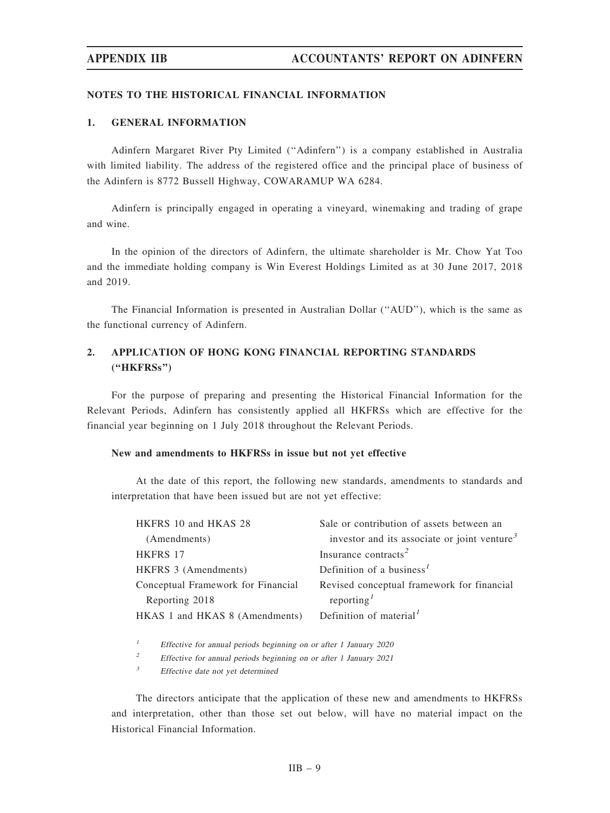### NOTES TO THE HISTORICAL FINANCIAL INFORMATION

# 1. GENERAL INFORMATION

Adinfern Margaret River Pty Limited (''Adinfern'') is a company established in Australia with limited liability. The address of the registered office and the principal place of business of the Adinfern is 8772 Bussell Highway, COWARAMUP WA 6284.

Adinfern is principally engaged in operating a vineyard, winemaking and trading of grape and wine.

In the opinion of the directors of Adinfern, the ultimate shareholder is Mr. Chow Yat Too and the immediate holding company is Win Everest Holdings Limited as at 30 June 2017, 2018 and 2019.

The Financial Information is presented in Australian Dollar (''AUD''), which is the same as the functional currency of Adinfern.

# 2. APPLICATION OF HONG KONG FINANCIAL REPORTING STANDARDS (''HKFRSs'')

For the purpose of preparing and presenting the Historical Financial Information for the Relevant Periods, Adinfern has consistently applied all HKFRSs which are effective for the financial year beginning on 1 July 2018 throughout the Relevant Periods.

### New and amendments to HKFRSs in issue but not yet effective

At the date of this report, the following new standards, amendments to standards and interpretation that have been issued but are not yet effective:

| HKFRS 10 and HKAS 28               | Sale or contribution of assets between an                |
|------------------------------------|----------------------------------------------------------|
| (Amendments)                       | investor and its associate or joint venture <sup>3</sup> |
| HKFRS 17                           | Insurance contracts <sup>2</sup>                         |
| HKFRS 3 (Amendments)               | Definition of a business <sup>1</sup>                    |
| Conceptual Framework for Financial | Revised conceptual framework for financial               |
| Reporting 2018                     | reporting $I$                                            |
| HKAS 1 and HKAS 8 (Amendments)     | Definition of material <sup>1</sup>                      |
|                                    |                                                          |

<sup>1</sup> Effective for annual periods beginning on or after 1 January 2020

<sup>2</sup> Effective for annual periods beginning on or after 1 January 2021

<sup>3</sup> Effective date not yet determined

The directors anticipate that the application of these new and amendments to HKFRSs and interpretation, other than those set out below, will have no material impact on the Historical Financial Information.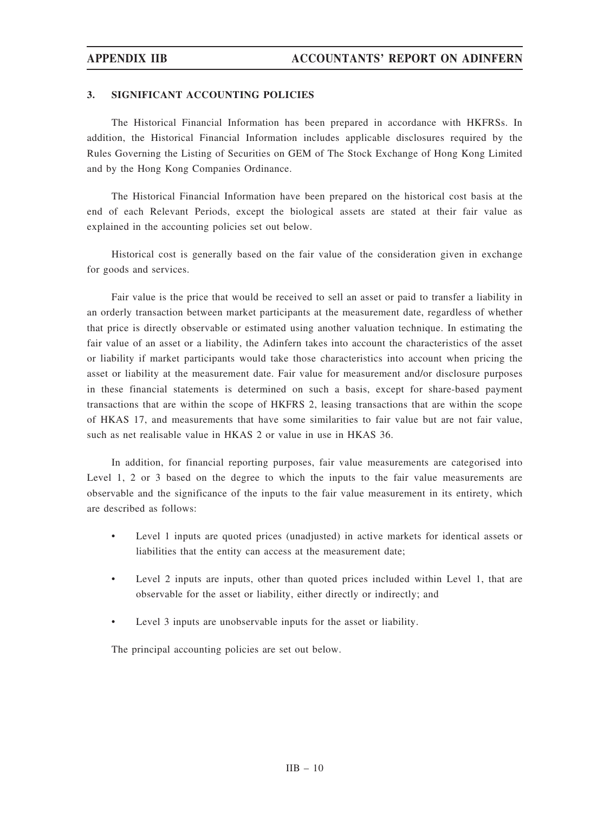# 3. SIGNIFICANT ACCOUNTING POLICIES

The Historical Financial Information has been prepared in accordance with HKFRSs. In addition, the Historical Financial Information includes applicable disclosures required by the Rules Governing the Listing of Securities on GEM of The Stock Exchange of Hong Kong Limited and by the Hong Kong Companies Ordinance.

The Historical Financial Information have been prepared on the historical cost basis at the end of each Relevant Periods, except the biological assets are stated at their fair value as explained in the accounting policies set out below.

Historical cost is generally based on the fair value of the consideration given in exchange for goods and services.

Fair value is the price that would be received to sell an asset or paid to transfer a liability in an orderly transaction between market participants at the measurement date, regardless of whether that price is directly observable or estimated using another valuation technique. In estimating the fair value of an asset or a liability, the Adinfern takes into account the characteristics of the asset or liability if market participants would take those characteristics into account when pricing the asset or liability at the measurement date. Fair value for measurement and/or disclosure purposes in these financial statements is determined on such a basis, except for share-based payment transactions that are within the scope of HKFRS 2, leasing transactions that are within the scope of HKAS 17, and measurements that have some similarities to fair value but are not fair value, such as net realisable value in HKAS 2 or value in use in HKAS 36.

In addition, for financial reporting purposes, fair value measurements are categorised into Level 1, 2 or 3 based on the degree to which the inputs to the fair value measurements are observable and the significance of the inputs to the fair value measurement in its entirety, which are described as follows:

- Level 1 inputs are quoted prices (unadjusted) in active markets for identical assets or liabilities that the entity can access at the measurement date;
- Level 2 inputs are inputs, other than quoted prices included within Level 1, that are observable for the asset or liability, either directly or indirectly; and
- Level 3 inputs are unobservable inputs for the asset or liability.

The principal accounting policies are set out below.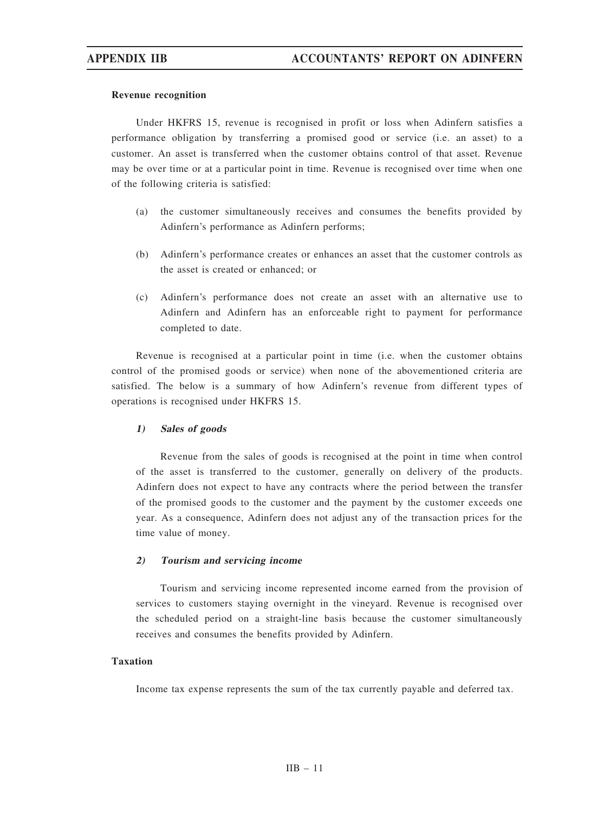### Revenue recognition

Under HKFRS 15, revenue is recognised in profit or loss when Adinfern satisfies a performance obligation by transferring a promised good or service (i.e. an asset) to a customer. An asset is transferred when the customer obtains control of that asset. Revenue may be over time or at a particular point in time. Revenue is recognised over time when one of the following criteria is satisfied:

- (a) the customer simultaneously receives and consumes the benefits provided by Adinfern's performance as Adinfern performs;
- (b) Adinfern's performance creates or enhances an asset that the customer controls as the asset is created or enhanced; or
- (c) Adinfern's performance does not create an asset with an alternative use to Adinfern and Adinfern has an enforceable right to payment for performance completed to date.

Revenue is recognised at a particular point in time (i.e. when the customer obtains control of the promised goods or service) when none of the abovementioned criteria are satisfied. The below is a summary of how Adinfern's revenue from different types of operations is recognised under HKFRS 15.

## 1) Sales of goods

Revenue from the sales of goods is recognised at the point in time when control of the asset is transferred to the customer, generally on delivery of the products. Adinfern does not expect to have any contracts where the period between the transfer of the promised goods to the customer and the payment by the customer exceeds one year. As a consequence, Adinfern does not adjust any of the transaction prices for the time value of money.

## 2) Tourism and servicing income

Tourism and servicing income represented income earned from the provision of services to customers staying overnight in the vineyard. Revenue is recognised over the scheduled period on a straight-line basis because the customer simultaneously receives and consumes the benefits provided by Adinfern.

## Taxation

Income tax expense represents the sum of the tax currently payable and deferred tax.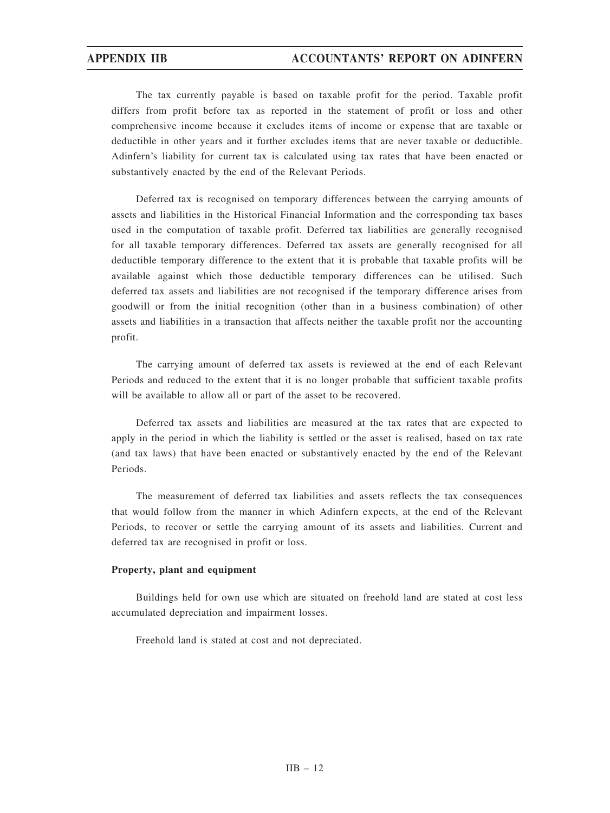The tax currently payable is based on taxable profit for the period. Taxable profit differs from profit before tax as reported in the statement of profit or loss and other comprehensive income because it excludes items of income or expense that are taxable or deductible in other years and it further excludes items that are never taxable or deductible. Adinfern's liability for current tax is calculated using tax rates that have been enacted or substantively enacted by the end of the Relevant Periods.

Deferred tax is recognised on temporary differences between the carrying amounts of assets and liabilities in the Historical Financial Information and the corresponding tax bases used in the computation of taxable profit. Deferred tax liabilities are generally recognised for all taxable temporary differences. Deferred tax assets are generally recognised for all deductible temporary difference to the extent that it is probable that taxable profits will be available against which those deductible temporary differences can be utilised. Such deferred tax assets and liabilities are not recognised if the temporary difference arises from goodwill or from the initial recognition (other than in a business combination) of other assets and liabilities in a transaction that affects neither the taxable profit nor the accounting profit.

The carrying amount of deferred tax assets is reviewed at the end of each Relevant Periods and reduced to the extent that it is no longer probable that sufficient taxable profits will be available to allow all or part of the asset to be recovered.

Deferred tax assets and liabilities are measured at the tax rates that are expected to apply in the period in which the liability is settled or the asset is realised, based on tax rate (and tax laws) that have been enacted or substantively enacted by the end of the Relevant Periods.

The measurement of deferred tax liabilities and assets reflects the tax consequences that would follow from the manner in which Adinfern expects, at the end of the Relevant Periods, to recover or settle the carrying amount of its assets and liabilities. Current and deferred tax are recognised in profit or loss.

## Property, plant and equipment

Buildings held for own use which are situated on freehold land are stated at cost less accumulated depreciation and impairment losses.

Freehold land is stated at cost and not depreciated.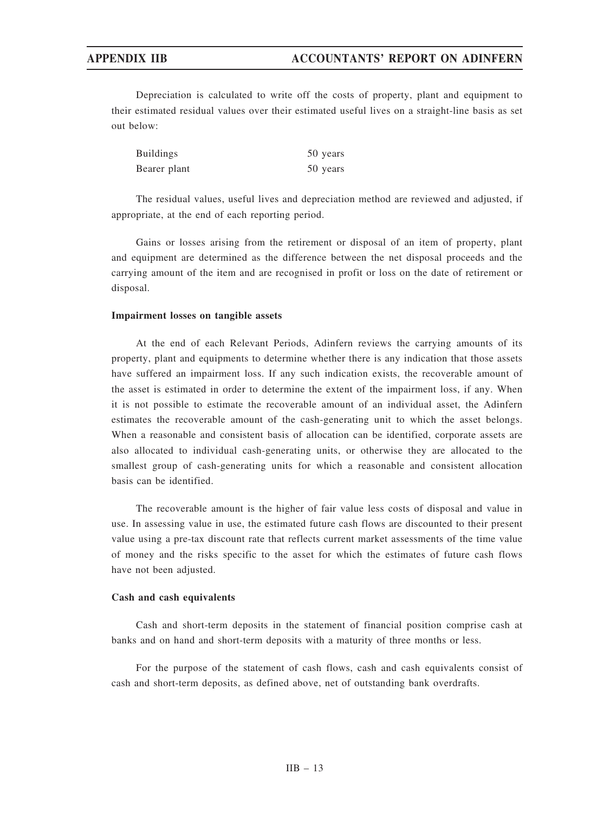Depreciation is calculated to write off the costs of property, plant and equipment to their estimated residual values over their estimated useful lives on a straight-line basis as set out below:

| <b>Buildings</b> | 50 years |
|------------------|----------|
| Bearer plant     | 50 years |

The residual values, useful lives and depreciation method are reviewed and adjusted, if appropriate, at the end of each reporting period.

Gains or losses arising from the retirement or disposal of an item of property, plant and equipment are determined as the difference between the net disposal proceeds and the carrying amount of the item and are recognised in profit or loss on the date of retirement or disposal.

## Impairment losses on tangible assets

At the end of each Relevant Periods, Adinfern reviews the carrying amounts of its property, plant and equipments to determine whether there is any indication that those assets have suffered an impairment loss. If any such indication exists, the recoverable amount of the asset is estimated in order to determine the extent of the impairment loss, if any. When it is not possible to estimate the recoverable amount of an individual asset, the Adinfern estimates the recoverable amount of the cash-generating unit to which the asset belongs. When a reasonable and consistent basis of allocation can be identified, corporate assets are also allocated to individual cash-generating units, or otherwise they are allocated to the smallest group of cash-generating units for which a reasonable and consistent allocation basis can be identified.

The recoverable amount is the higher of fair value less costs of disposal and value in use. In assessing value in use, the estimated future cash flows are discounted to their present value using a pre-tax discount rate that reflects current market assessments of the time value of money and the risks specific to the asset for which the estimates of future cash flows have not been adjusted.

### Cash and cash equivalents

Cash and short-term deposits in the statement of financial position comprise cash at banks and on hand and short-term deposits with a maturity of three months or less.

For the purpose of the statement of cash flows, cash and cash equivalents consist of cash and short-term deposits, as defined above, net of outstanding bank overdrafts.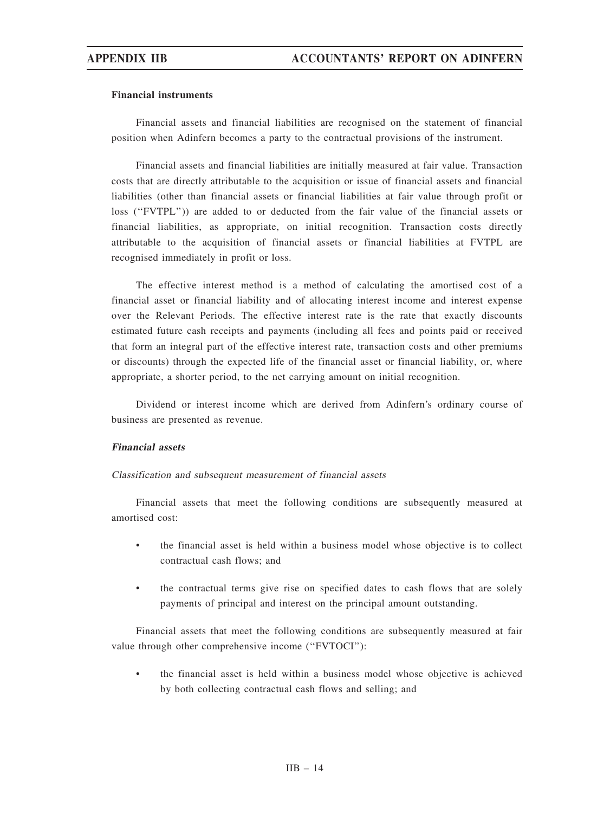### Financial instruments

Financial assets and financial liabilities are recognised on the statement of financial position when Adinfern becomes a party to the contractual provisions of the instrument.

Financial assets and financial liabilities are initially measured at fair value. Transaction costs that are directly attributable to the acquisition or issue of financial assets and financial liabilities (other than financial assets or financial liabilities at fair value through profit or loss (''FVTPL'')) are added to or deducted from the fair value of the financial assets or financial liabilities, as appropriate, on initial recognition. Transaction costs directly attributable to the acquisition of financial assets or financial liabilities at FVTPL are recognised immediately in profit or loss.

The effective interest method is a method of calculating the amortised cost of a financial asset or financial liability and of allocating interest income and interest expense over the Relevant Periods. The effective interest rate is the rate that exactly discounts estimated future cash receipts and payments (including all fees and points paid or received that form an integral part of the effective interest rate, transaction costs and other premiums or discounts) through the expected life of the financial asset or financial liability, or, where appropriate, a shorter period, to the net carrying amount on initial recognition.

Dividend or interest income which are derived from Adinfern's ordinary course of business are presented as revenue.

## Financial assets

### Classification and subsequent measurement of financial assets

Financial assets that meet the following conditions are subsequently measured at amortised cost:

- the financial asset is held within a business model whose objective is to collect contractual cash flows; and
- the contractual terms give rise on specified dates to cash flows that are solely payments of principal and interest on the principal amount outstanding.

Financial assets that meet the following conditions are subsequently measured at fair value through other comprehensive income ("FVTOCI"):

• the financial asset is held within a business model whose objective is achieved by both collecting contractual cash flows and selling; and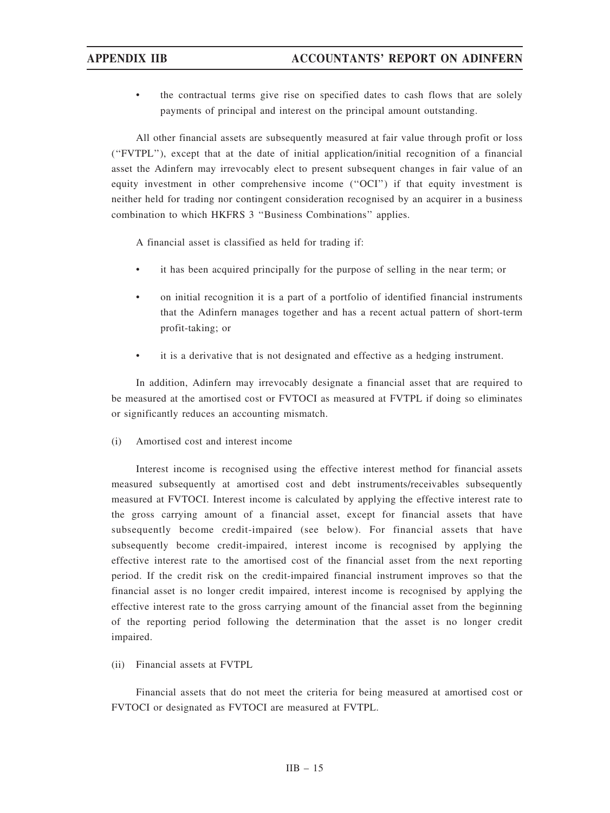the contractual terms give rise on specified dates to cash flows that are solely payments of principal and interest on the principal amount outstanding.

All other financial assets are subsequently measured at fair value through profit or loss (''FVTPL''), except that at the date of initial application/initial recognition of a financial asset the Adinfern may irrevocably elect to present subsequent changes in fair value of an equity investment in other comprehensive income (''OCI'') if that equity investment is neither held for trading nor contingent consideration recognised by an acquirer in a business combination to which HKFRS 3 ''Business Combinations'' applies.

A financial asset is classified as held for trading if:

- it has been acquired principally for the purpose of selling in the near term; or
- on initial recognition it is a part of a portfolio of identified financial instruments that the Adinfern manages together and has a recent actual pattern of short-term profit-taking; or
- it is a derivative that is not designated and effective as a hedging instrument.

In addition, Adinfern may irrevocably designate a financial asset that are required to be measured at the amortised cost or FVTOCI as measured at FVTPL if doing so eliminates or significantly reduces an accounting mismatch.

## (i) Amortised cost and interest income

Interest income is recognised using the effective interest method for financial assets measured subsequently at amortised cost and debt instruments/receivables subsequently measured at FVTOCI. Interest income is calculated by applying the effective interest rate to the gross carrying amount of a financial asset, except for financial assets that have subsequently become credit-impaired (see below). For financial assets that have subsequently become credit-impaired, interest income is recognised by applying the effective interest rate to the amortised cost of the financial asset from the next reporting period. If the credit risk on the credit-impaired financial instrument improves so that the financial asset is no longer credit impaired, interest income is recognised by applying the effective interest rate to the gross carrying amount of the financial asset from the beginning of the reporting period following the determination that the asset is no longer credit impaired.

(ii) Financial assets at FVTPL

Financial assets that do not meet the criteria for being measured at amortised cost or FVTOCI or designated as FVTOCI are measured at FVTPL.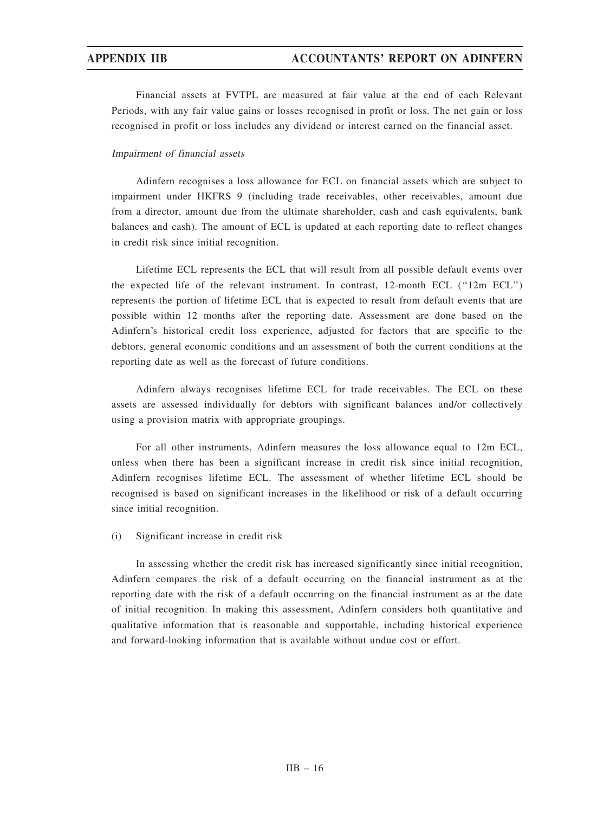Financial assets at FVTPL are measured at fair value at the end of each Relevant Periods, with any fair value gains or losses recognised in profit or loss. The net gain or loss recognised in profit or loss includes any dividend or interest earned on the financial asset.

### Impairment of financial assets

Adinfern recognises a loss allowance for ECL on financial assets which are subject to impairment under HKFRS 9 (including trade receivables, other receivables, amount due from a director, amount due from the ultimate shareholder, cash and cash equivalents, bank balances and cash). The amount of ECL is updated at each reporting date to reflect changes in credit risk since initial recognition.

Lifetime ECL represents the ECL that will result from all possible default events over the expected life of the relevant instrument. In contrast, 12-month ECL (''12m ECL'') represents the portion of lifetime ECL that is expected to result from default events that are possible within 12 months after the reporting date. Assessment are done based on the Adinfern's historical credit loss experience, adjusted for factors that are specific to the debtors, general economic conditions and an assessment of both the current conditions at the reporting date as well as the forecast of future conditions.

Adinfern always recognises lifetime ECL for trade receivables. The ECL on these assets are assessed individually for debtors with significant balances and/or collectively using a provision matrix with appropriate groupings.

For all other instruments, Adinfern measures the loss allowance equal to 12m ECL, unless when there has been a significant increase in credit risk since initial recognition, Adinfern recognises lifetime ECL. The assessment of whether lifetime ECL should be recognised is based on significant increases in the likelihood or risk of a default occurring since initial recognition.

## (i) Significant increase in credit risk

In assessing whether the credit risk has increased significantly since initial recognition, Adinfern compares the risk of a default occurring on the financial instrument as at the reporting date with the risk of a default occurring on the financial instrument as at the date of initial recognition. In making this assessment, Adinfern considers both quantitative and qualitative information that is reasonable and supportable, including historical experience and forward-looking information that is available without undue cost or effort.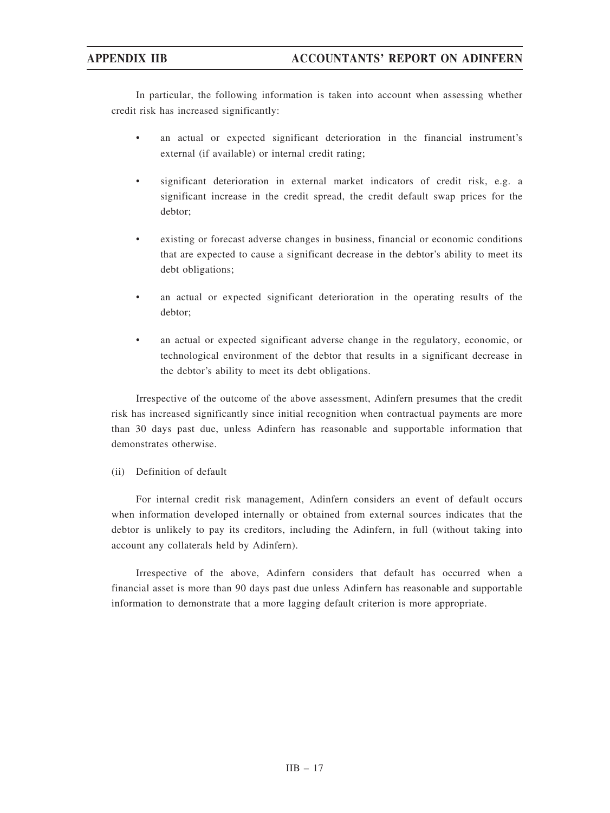In particular, the following information is taken into account when assessing whether credit risk has increased significantly:

- an actual or expected significant deterioration in the financial instrument's external (if available) or internal credit rating;
- significant deterioration in external market indicators of credit risk, e.g. a significant increase in the credit spread, the credit default swap prices for the debtor;
- existing or forecast adverse changes in business, financial or economic conditions that are expected to cause a significant decrease in the debtor's ability to meet its debt obligations;
- an actual or expected significant deterioration in the operating results of the debtor;
- an actual or expected significant adverse change in the regulatory, economic, or technological environment of the debtor that results in a significant decrease in the debtor's ability to meet its debt obligations.

Irrespective of the outcome of the above assessment, Adinfern presumes that the credit risk has increased significantly since initial recognition when contractual payments are more than 30 days past due, unless Adinfern has reasonable and supportable information that demonstrates otherwise.

# (ii) Definition of default

For internal credit risk management, Adinfern considers an event of default occurs when information developed internally or obtained from external sources indicates that the debtor is unlikely to pay its creditors, including the Adinfern, in full (without taking into account any collaterals held by Adinfern).

Irrespective of the above, Adinfern considers that default has occurred when a financial asset is more than 90 days past due unless Adinfern has reasonable and supportable information to demonstrate that a more lagging default criterion is more appropriate.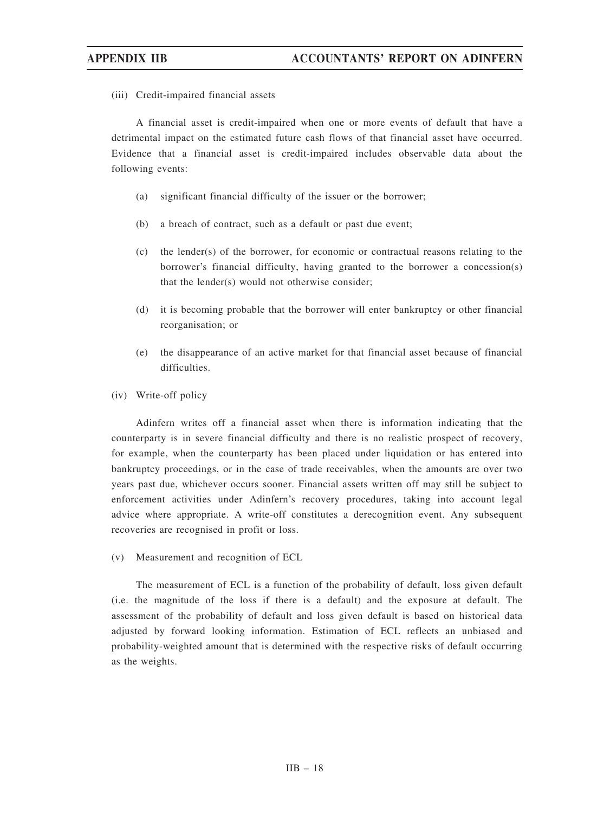(iii) Credit-impaired financial assets

A financial asset is credit-impaired when one or more events of default that have a detrimental impact on the estimated future cash flows of that financial asset have occurred. Evidence that a financial asset is credit-impaired includes observable data about the following events:

- (a) significant financial difficulty of the issuer or the borrower;
- (b) a breach of contract, such as a default or past due event;
- (c) the lender(s) of the borrower, for economic or contractual reasons relating to the borrower's financial difficulty, having granted to the borrower a concession(s) that the lender(s) would not otherwise consider;
- (d) it is becoming probable that the borrower will enter bankruptcy or other financial reorganisation; or
- (e) the disappearance of an active market for that financial asset because of financial difficulties.
- (iv) Write-off policy

Adinfern writes off a financial asset when there is information indicating that the counterparty is in severe financial difficulty and there is no realistic prospect of recovery, for example, when the counterparty has been placed under liquidation or has entered into bankruptcy proceedings, or in the case of trade receivables, when the amounts are over two years past due, whichever occurs sooner. Financial assets written off may still be subject to enforcement activities under Adinfern's recovery procedures, taking into account legal advice where appropriate. A write-off constitutes a derecognition event. Any subsequent recoveries are recognised in profit or loss.

(v) Measurement and recognition of ECL

The measurement of ECL is a function of the probability of default, loss given default (i.e. the magnitude of the loss if there is a default) and the exposure at default. The assessment of the probability of default and loss given default is based on historical data adjusted by forward looking information. Estimation of ECL reflects an unbiased and probability-weighted amount that is determined with the respective risks of default occurring as the weights.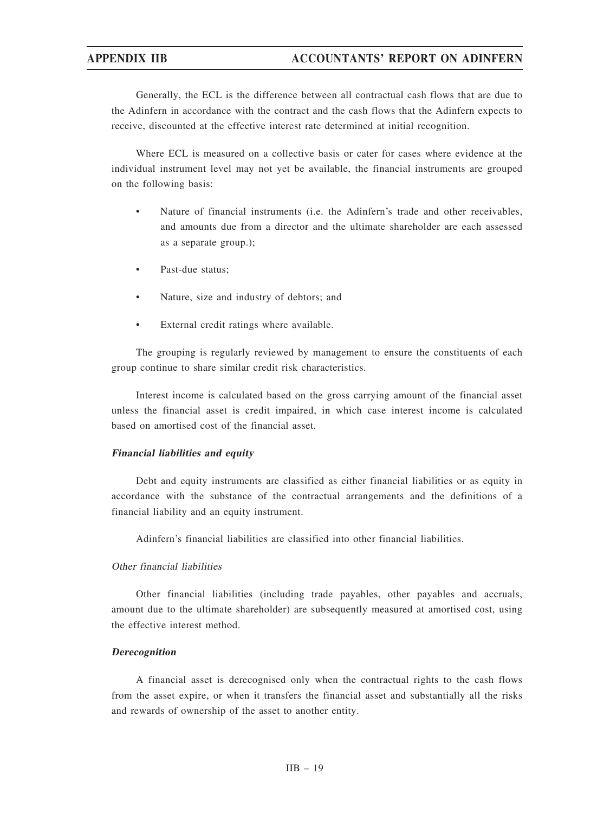Generally, the ECL is the difference between all contractual cash flows that are due to the Adinfern in accordance with the contract and the cash flows that the Adinfern expects to receive, discounted at the effective interest rate determined at initial recognition.

Where ECL is measured on a collective basis or cater for cases where evidence at the individual instrument level may not yet be available, the financial instruments are grouped on the following basis:

- Nature of financial instruments (i.e. the Adinfern's trade and other receivables, and amounts due from a director and the ultimate shareholder are each assessed as a separate group.);
- Past-due status;
- Nature, size and industry of debtors; and
- External credit ratings where available.

The grouping is regularly reviewed by management to ensure the constituents of each group continue to share similar credit risk characteristics.

Interest income is calculated based on the gross carrying amount of the financial asset unless the financial asset is credit impaired, in which case interest income is calculated based on amortised cost of the financial asset.

## Financial liabilities and equity

Debt and equity instruments are classified as either financial liabilities or as equity in accordance with the substance of the contractual arrangements and the definitions of a financial liability and an equity instrument.

Adinfern's financial liabilities are classified into other financial liabilities.

## Other financial liabilities

Other financial liabilities (including trade payables, other payables and accruals, amount due to the ultimate shareholder) are subsequently measured at amortised cost, using the effective interest method.

### Derecognition

A financial asset is derecognised only when the contractual rights to the cash flows from the asset expire, or when it transfers the financial asset and substantially all the risks and rewards of ownership of the asset to another entity.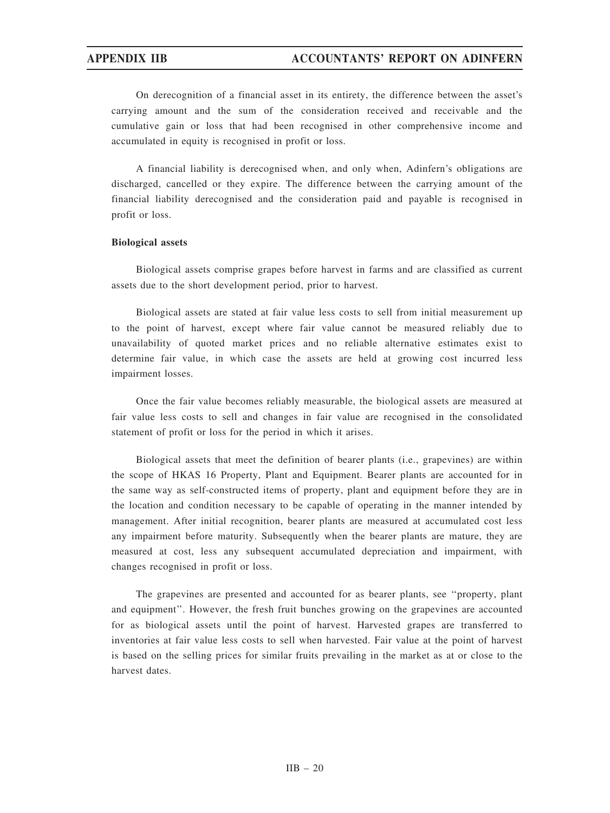On derecognition of a financial asset in its entirety, the difference between the asset's carrying amount and the sum of the consideration received and receivable and the cumulative gain or loss that had been recognised in other comprehensive income and accumulated in equity is recognised in profit or loss.

A financial liability is derecognised when, and only when, Adinfern's obligations are discharged, cancelled or they expire. The difference between the carrying amount of the financial liability derecognised and the consideration paid and payable is recognised in profit or loss.

## Biological assets

Biological assets comprise grapes before harvest in farms and are classified as current assets due to the short development period, prior to harvest.

Biological assets are stated at fair value less costs to sell from initial measurement up to the point of harvest, except where fair value cannot be measured reliably due to unavailability of quoted market prices and no reliable alternative estimates exist to determine fair value, in which case the assets are held at growing cost incurred less impairment losses.

Once the fair value becomes reliably measurable, the biological assets are measured at fair value less costs to sell and changes in fair value are recognised in the consolidated statement of profit or loss for the period in which it arises.

Biological assets that meet the definition of bearer plants (i.e., grapevines) are within the scope of HKAS 16 Property, Plant and Equipment. Bearer plants are accounted for in the same way as self-constructed items of property, plant and equipment before they are in the location and condition necessary to be capable of operating in the manner intended by management. After initial recognition, bearer plants are measured at accumulated cost less any impairment before maturity. Subsequently when the bearer plants are mature, they are measured at cost, less any subsequent accumulated depreciation and impairment, with changes recognised in profit or loss.

The grapevines are presented and accounted for as bearer plants, see ''property, plant and equipment''. However, the fresh fruit bunches growing on the grapevines are accounted for as biological assets until the point of harvest. Harvested grapes are transferred to inventories at fair value less costs to sell when harvested. Fair value at the point of harvest is based on the selling prices for similar fruits prevailing in the market as at or close to the harvest dates.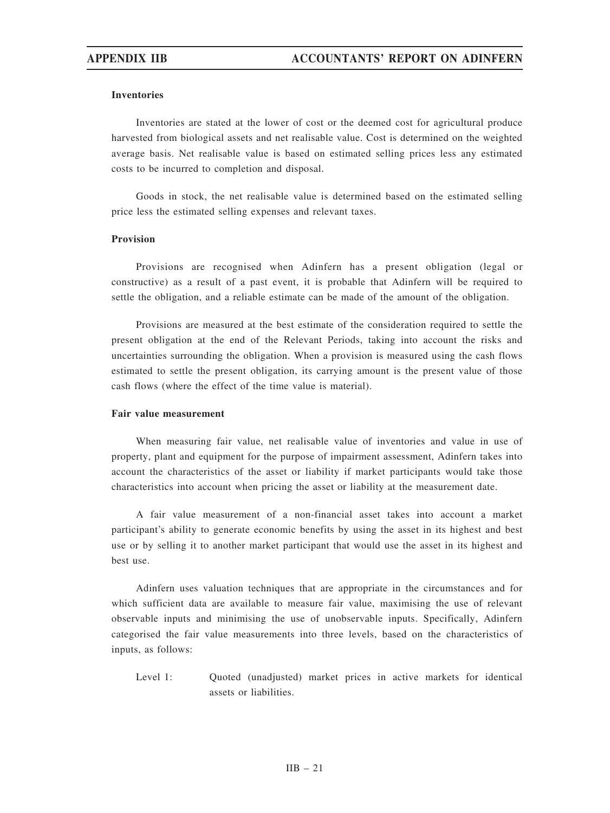## Inventories

Inventories are stated at the lower of cost or the deemed cost for agricultural produce harvested from biological assets and net realisable value. Cost is determined on the weighted average basis. Net realisable value is based on estimated selling prices less any estimated costs to be incurred to completion and disposal.

Goods in stock, the net realisable value is determined based on the estimated selling price less the estimated selling expenses and relevant taxes.

## Provision

Provisions are recognised when Adinfern has a present obligation (legal or constructive) as a result of a past event, it is probable that Adinfern will be required to settle the obligation, and a reliable estimate can be made of the amount of the obligation.

Provisions are measured at the best estimate of the consideration required to settle the present obligation at the end of the Relevant Periods, taking into account the risks and uncertainties surrounding the obligation. When a provision is measured using the cash flows estimated to settle the present obligation, its carrying amount is the present value of those cash flows (where the effect of the time value is material).

# Fair value measurement

When measuring fair value, net realisable value of inventories and value in use of property, plant and equipment for the purpose of impairment assessment, Adinfern takes into account the characteristics of the asset or liability if market participants would take those characteristics into account when pricing the asset or liability at the measurement date.

A fair value measurement of a non-financial asset takes into account a market participant's ability to generate economic benefits by using the asset in its highest and best use or by selling it to another market participant that would use the asset in its highest and best use.

Adinfern uses valuation techniques that are appropriate in the circumstances and for which sufficient data are available to measure fair value, maximising the use of relevant observable inputs and minimising the use of unobservable inputs. Specifically, Adinfern categorised the fair value measurements into three levels, based on the characteristics of inputs, as follows:

Level 1: Quoted (unadjusted) market prices in active markets for identical assets or liabilities.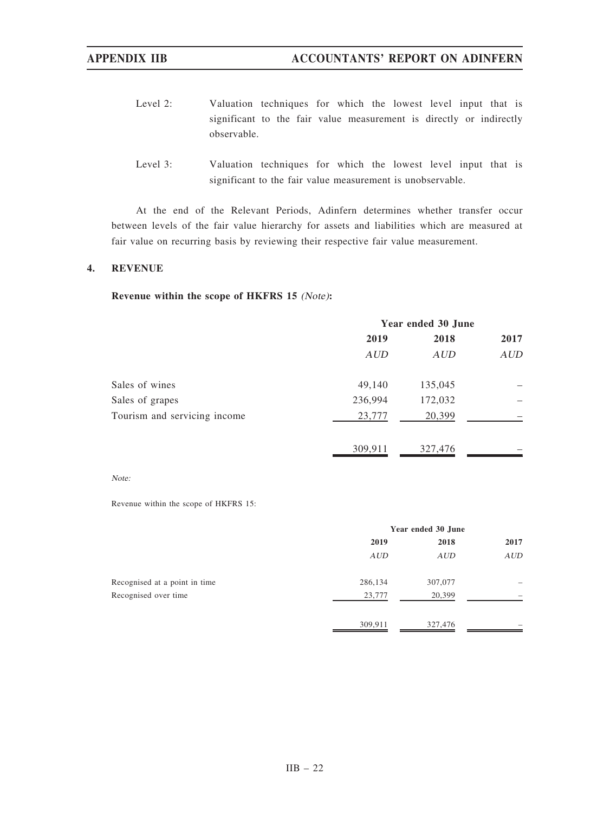- Level 2: Valuation techniques for which the lowest level input that is significant to the fair value measurement is directly or indirectly observable.
- Level 3: Valuation techniques for which the lowest level input that is significant to the fair value measurement is unobservable.

At the end of the Relevant Periods, Adinfern determines whether transfer occur between levels of the fair value hierarchy for assets and liabilities which are measured at fair value on recurring basis by reviewing their respective fair value measurement.

## 4. REVENUE

# Revenue within the scope of HKFRS 15 (Note):

|                              | Year ended 30 June |            |            |
|------------------------------|--------------------|------------|------------|
|                              | 2019               | 2018       | 2017       |
|                              | AUD                | <b>AUD</b> | <b>AUD</b> |
| Sales of wines               | 49,140             | 135,045    |            |
| Sales of grapes              | 236,994            | 172,032    |            |
| Tourism and servicing income | 23,777             | 20,399     |            |
|                              | 309,911            | 327,476    |            |

### Note:

Revenue within the scope of HKFRS 15:

|                               | Year ended 30 June |            |      |
|-------------------------------|--------------------|------------|------|
|                               | 2019               | 2018       | 2017 |
|                               | AUD                | <b>AUD</b> | AUD  |
| Recognised at a point in time | 286,134            | 307,077    |      |
| Recognised over time          | 23,777             | 20,399     |      |
|                               | 309,911            | 327,476    |      |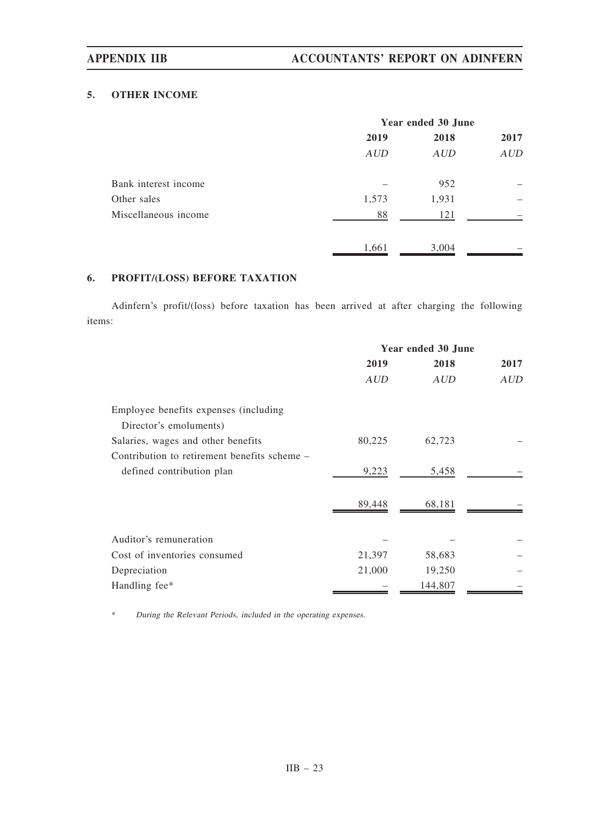# 5. OTHER INCOME

|                      | Year ended 30 June |       |            |
|----------------------|--------------------|-------|------------|
|                      | 2019               | 2018  | 2017       |
|                      | AUD                | AUD   | <b>AUD</b> |
| Bank interest income |                    | 952   |            |
| Other sales          | 1,573              | 1,931 |            |
| Miscellaneous income | 88                 | 121   |            |
|                      | 1,661              | 3,004 |            |

# 6. PROFIT/(LOSS) BEFORE TAXATION

Adinfern's profit/(loss) before taxation has been arrived at after charging the following items:

|                                              | Year ended 30 June |         |      |
|----------------------------------------------|--------------------|---------|------|
|                                              | 2019               | 2018    | 2017 |
|                                              | <b>AUD</b>         | AUD     | AUD  |
| Employee benefits expenses (including        |                    |         |      |
| Director's emoluments)                       |                    |         |      |
| Salaries, wages and other benefits           | 80,225             | 62,723  |      |
| Contribution to retirement benefits scheme – |                    |         |      |
| defined contribution plan                    | 9,223              | 5,458   |      |
|                                              | 89,448             | 68,181  |      |
|                                              |                    |         |      |
| Auditor's remuneration                       |                    |         |      |
| Cost of inventories consumed                 | 21,397             | 58,683  |      |
| Depreciation                                 | 21,000             | 19,250  |      |
| Handling fee*                                |                    | 144,807 |      |

\* During the Relevant Periods, included in the operating expenses.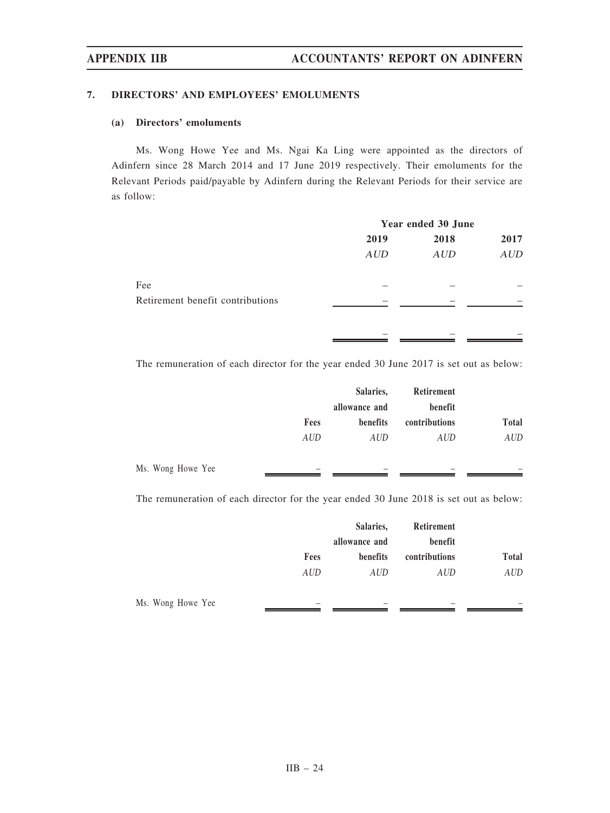## 7. DIRECTORS' AND EMPLOYEES' EMOLUMENTS

# (a) Directors' emoluments

Ms. Wong Howe Yee and Ms. Ngai Ka Ling were appointed as the directors of Adinfern since 28 March 2014 and 17 June 2019 respectively. Their emoluments for the Relevant Periods paid/payable by Adinfern during the Relevant Periods for their service are as follow:

|                                  | Year ended 30 June |      |            |
|----------------------------------|--------------------|------|------------|
|                                  | 2019               | 2018 | 2017       |
|                                  | AUD                | AUD  | <b>AUD</b> |
| Fee                              |                    |      |            |
| Retirement benefit contributions |                    |      |            |
|                                  |                    |      |            |

The remuneration of each director for the year ended 30 June 2017 is set out as below:

|                   |            | Salaries,     | Retirement    |              |
|-------------------|------------|---------------|---------------|--------------|
|                   |            | allowance and | benefit       |              |
|                   | Fees       | benefits      | contributions | <b>Total</b> |
|                   | <b>AUD</b> | AUD           | AUD           | <b>AUD</b>   |
| Ms. Wong Howe Yee |            |               |               |              |

The remuneration of each director for the year ended 30 June 2018 is set out as below:

|                   |                          | Salaries,     | Retirement    |              |
|-------------------|--------------------------|---------------|---------------|--------------|
|                   |                          | allowance and | benefit       |              |
|                   | Fees                     | benefits      | contributions | <b>Total</b> |
|                   | <b>AUD</b>               | AUD           | <b>AUD</b>    | AUD          |
| Ms. Wong Howe Yee | $\overline{\phantom{a}}$ |               |               |              |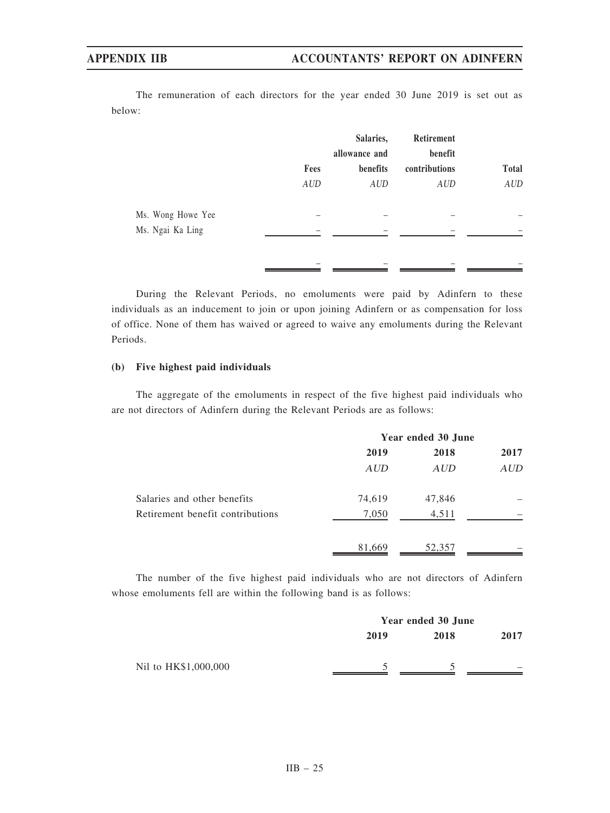The remuneration of each directors for the year ended 30 June 2019 is set out as below:

|                   |                    | Salaries,              | Retirement           |              |
|-------------------|--------------------|------------------------|----------------------|--------------|
|                   |                    | allowance and          | benefit              | <b>Total</b> |
|                   | Fees<br><b>AUD</b> | benefits<br><b>AUD</b> | contributions<br>AUD | AUD          |
| Ms. Wong Howe Yee |                    |                        |                      |              |
| Ms. Ngai Ka Ling  |                    |                        |                      |              |
|                   | -                  |                        |                      |              |

During the Relevant Periods, no emoluments were paid by Adinfern to these individuals as an inducement to join or upon joining Adinfern or as compensation for loss of office. None of them has waived or agreed to waive any emoluments during the Relevant Periods.

## (b) Five highest paid individuals

The aggregate of the emoluments in respect of the five highest paid individuals who are not directors of Adinfern during the Relevant Periods are as follows:

|                                  | Year ended 30 June |            |      |
|----------------------------------|--------------------|------------|------|
|                                  | 2019               | 2018       | 2017 |
|                                  | AUD                | <b>AUD</b> | AUD  |
| Salaries and other benefits      | 74,619             | 47,846     |      |
| Retirement benefit contributions | 7,050              | 4,511      |      |
|                                  | 81,669             | 52,357     |      |

The number of the five highest paid individuals who are not directors of Adinfern whose emoluments fell are within the following band is as follows:

|                      | Year ended 30 June |      |      |
|----------------------|--------------------|------|------|
|                      | 2019               | 2018 | 2017 |
| Nil to HK\$1,000,000 |                    |      |      |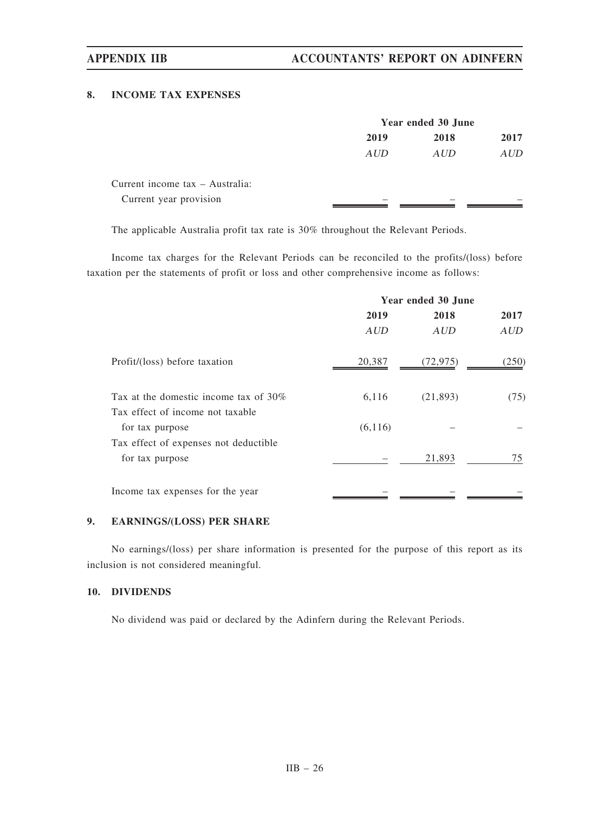## 8. INCOME TAX EXPENSES

|                                 | Year ended 30 June |      |      |
|---------------------------------|--------------------|------|------|
|                                 | 2019               | 2018 | 2017 |
|                                 | AUD                | AUD  | AUD  |
| Current income tax – Australia: |                    |      |      |
| Current year provision          | _                  |      |      |

The applicable Australia profit tax rate is 30% throughout the Relevant Periods.

Income tax charges for the Relevant Periods can be reconciled to the profits/(loss) before taxation per the statements of profit or loss and other comprehensive income as follows:

|                                                                              | Year ended 30 June |           |            |
|------------------------------------------------------------------------------|--------------------|-----------|------------|
|                                                                              | 2019               | 2018      | 2017       |
|                                                                              | <b>AUD</b>         | AUD       | <b>AUD</b> |
| Profit/(loss) before taxation                                                | 20,387             | (72, 975) | (250)      |
| Tax at the domestic income tax of $30\%$<br>Tax effect of income not taxable | 6,116              | (21,893)  | (75)       |
| for tax purpose                                                              | (6, 116)           |           |            |
| Tax effect of expenses not deductible<br>for tax purpose                     |                    | 21,893    | 75         |
| Income tax expenses for the year                                             |                    |           |            |

# 9. EARNINGS/(LOSS) PER SHARE

No earnings/(loss) per share information is presented for the purpose of this report as its inclusion is not considered meaningful.

# 10. DIVIDENDS

No dividend was paid or declared by the Adinfern during the Relevant Periods.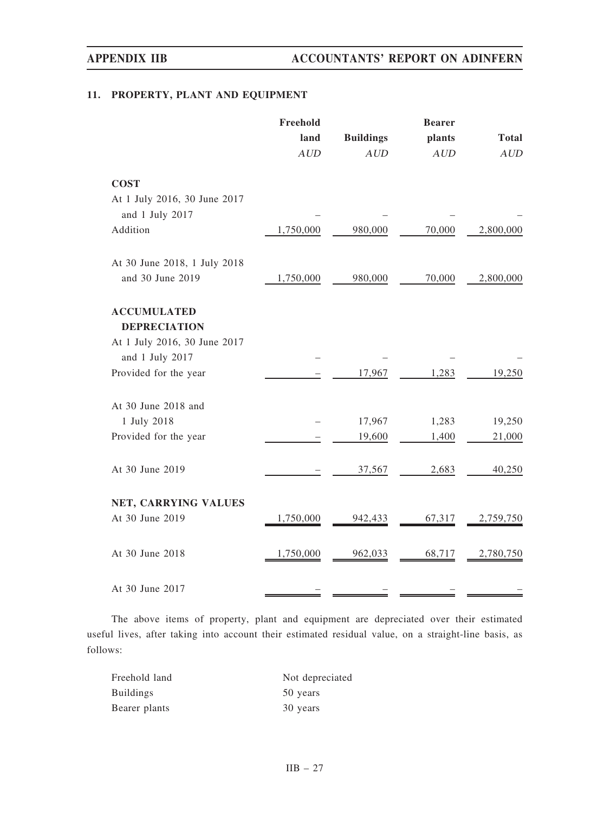# 11. PROPERTY, PLANT AND EQUIPMENT

|                                                 | Freehold  |                  | <b>Bearer</b> |              |  |
|-------------------------------------------------|-----------|------------------|---------------|--------------|--|
|                                                 | land      | <b>Buildings</b> | plants        | <b>Total</b> |  |
|                                                 | AUD       | AUD              | AUD           | AUD          |  |
| <b>COST</b>                                     |           |                  |               |              |  |
| At 1 July 2016, 30 June 2017<br>and 1 July 2017 |           |                  |               |              |  |
| Addition                                        | 1,750,000 | 980,000          | 70,000        | 2,800,000    |  |
| At 30 June 2018, 1 July 2018                    |           |                  |               |              |  |
| and 30 June 2019                                | 1,750,000 | 980,000          | 70,000        | 2,800,000    |  |
| <b>ACCUMULATED</b>                              |           |                  |               |              |  |
| <b>DEPRECIATION</b>                             |           |                  |               |              |  |
| At 1 July 2016, 30 June 2017                    |           |                  |               |              |  |
| and 1 July 2017                                 |           |                  |               |              |  |
| Provided for the year                           |           | 17,967           | 1,283         | 19,250       |  |
| At 30 June 2018 and                             |           |                  |               |              |  |
| 1 July 2018                                     |           | 17,967           | 1,283         | 19,250       |  |
| Provided for the year                           |           | 19,600           | 1,400         | 21,000       |  |
| At 30 June 2019                                 |           | 37,567           | 2,683         | 40,250       |  |
| NET, CARRYING VALUES                            |           |                  |               |              |  |
| At 30 June 2019                                 | 1,750,000 | 942,433          | 67,317        | 2,759,750    |  |
| At 30 June 2018                                 | 1,750,000 | 962,033          | 68,717        | 2,780,750    |  |
| At 30 June 2017                                 |           |                  |               |              |  |

The above items of property, plant and equipment are depreciated over their estimated useful lives, after taking into account their estimated residual value, on a straight-line basis, as follows:

| Freehold land    | Not depreciated |
|------------------|-----------------|
| <b>Buildings</b> | 50 years        |
| Bearer plants    | 30 years        |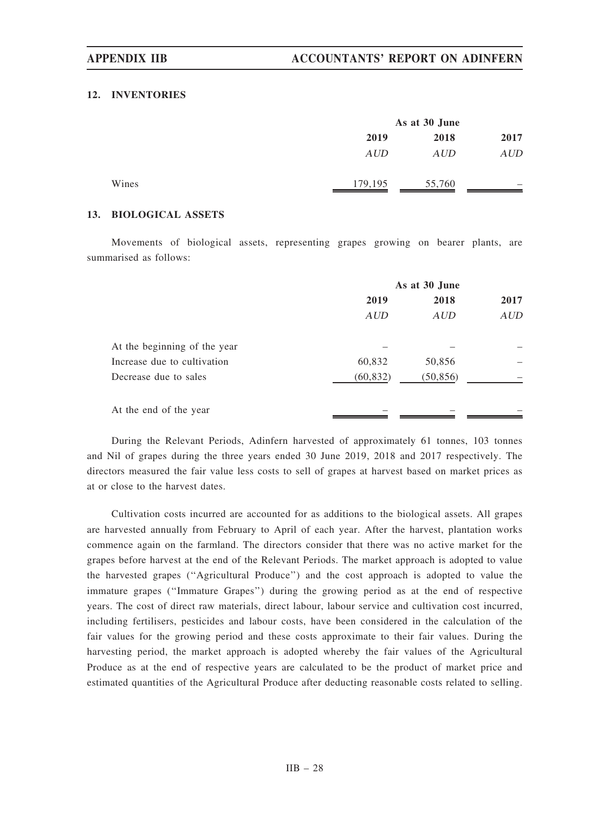### 12. INVENTORIES

|       |         | As at 30 June |                          |  |  |
|-------|---------|---------------|--------------------------|--|--|
|       | 2019    | 2018          |                          |  |  |
|       | AUD     | AUD           | AUD                      |  |  |
| Wines | 179,195 | 55,760        | $\overline{\phantom{a}}$ |  |  |

## 13. BIOLOGICAL ASSETS

Movements of biological assets, representing grapes growing on bearer plants, are summarised as follows:

|                              | As at 30 June |            |            |  |  |
|------------------------------|---------------|------------|------------|--|--|
|                              | 2019          | 2018       | 2017       |  |  |
|                              | <b>AUD</b>    | <b>AUD</b> | <b>AUD</b> |  |  |
| At the beginning of the year |               |            |            |  |  |
| Increase due to cultivation  | 60,832        | 50,856     |            |  |  |
| Decrease due to sales        | (60, 832)     | (50, 856)  |            |  |  |
| At the end of the year       |               |            |            |  |  |

During the Relevant Periods, Adinfern harvested of approximately 61 tonnes, 103 tonnes and Nil of grapes during the three years ended 30 June 2019, 2018 and 2017 respectively. The directors measured the fair value less costs to sell of grapes at harvest based on market prices as at or close to the harvest dates.

Cultivation costs incurred are accounted for as additions to the biological assets. All grapes are harvested annually from February to April of each year. After the harvest, plantation works commence again on the farmland. The directors consider that there was no active market for the grapes before harvest at the end of the Relevant Periods. The market approach is adopted to value the harvested grapes (''Agricultural Produce'') and the cost approach is adopted to value the immature grapes (''Immature Grapes'') during the growing period as at the end of respective years. The cost of direct raw materials, direct labour, labour service and cultivation cost incurred, including fertilisers, pesticides and labour costs, have been considered in the calculation of the fair values for the growing period and these costs approximate to their fair values. During the harvesting period, the market approach is adopted whereby the fair values of the Agricultural Produce as at the end of respective years are calculated to be the product of market price and estimated quantities of the Agricultural Produce after deducting reasonable costs related to selling.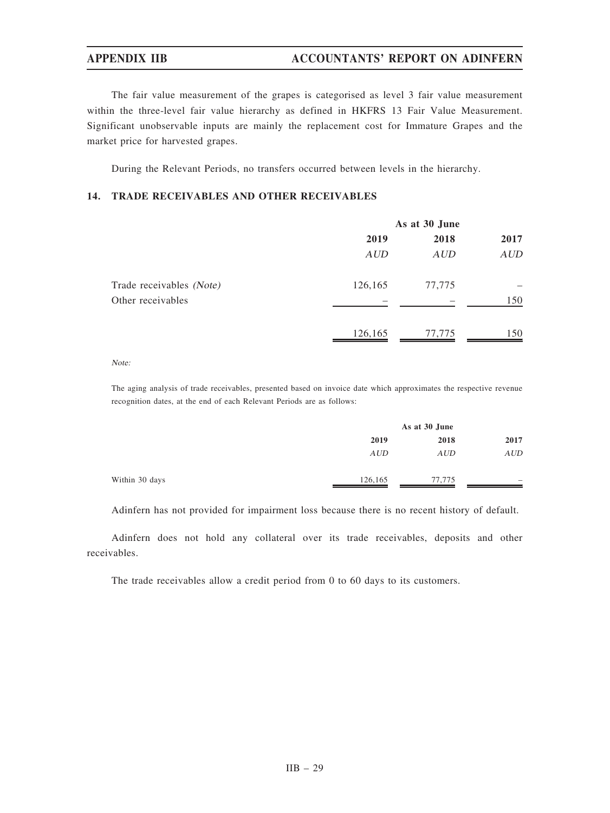# APPENDIX IIB ACCOUNTANTS' REPORT ON ADINFERN

The fair value measurement of the grapes is categorised as level 3 fair value measurement within the three-level fair value hierarchy as defined in HKFRS 13 Fair Value Measurement. Significant unobservable inputs are mainly the replacement cost for Immature Grapes and the market price for harvested grapes.

During the Relevant Periods, no transfers occurred between levels in the hierarchy.

# 14. TRADE RECEIVABLES AND OTHER RECEIVABLES

|                          | As at 30 June |            |            |  |  |
|--------------------------|---------------|------------|------------|--|--|
|                          | 2019          | 2018       | 2017       |  |  |
|                          | <b>AUD</b>    | <b>AUD</b> | <b>AUD</b> |  |  |
| Trade receivables (Note) | 126,165       | 77,775     |            |  |  |
| Other receivables        |               |            | 150        |  |  |
|                          | 126,165       | 77,775     | 150        |  |  |

Note:

The aging analysis of trade receivables, presented based on invoice date which approximates the respective revenue recognition dates, at the end of each Relevant Periods are as follows:

|                | As at 30 June |            |                   |  |
|----------------|---------------|------------|-------------------|--|
|                | 2019          | 2018       |                   |  |
|                | <b>AUD</b>    | <b>AUD</b> | <b>AUD</b>        |  |
| Within 30 days | 126,165       | 77.775     | $\hspace{0.05cm}$ |  |

Adinfern has not provided for impairment loss because there is no recent history of default.

Adinfern does not hold any collateral over its trade receivables, deposits and other receivables.

The trade receivables allow a credit period from 0 to 60 days to its customers.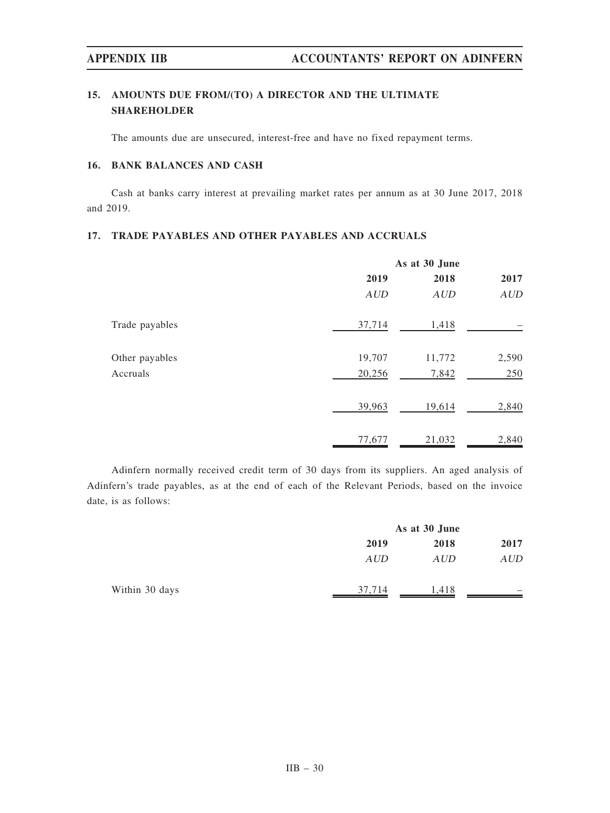# 15. AMOUNTS DUE FROM/(TO) A DIRECTOR AND THE ULTIMATE SHAREHOLDER

The amounts due are unsecured, interest-free and have no fixed repayment terms.

# 16. BANK BALANCES AND CASH

Cash at banks carry interest at prevailing market rates per annum as at 30 June 2017, 2018 and 2019.

# 17. TRADE PAYABLES AND OTHER PAYABLES AND ACCRUALS

|                |            | As at 30 June |       |  |  |  |
|----------------|------------|---------------|-------|--|--|--|
|                | 2019       | 2018          | 2017  |  |  |  |
|                | <b>AUD</b> | <b>AUD</b>    | AUD   |  |  |  |
| Trade payables | 37,714     | 1,418         |       |  |  |  |
| Other payables | 19,707     | 11,772        | 2,590 |  |  |  |
| Accruals       | 20,256     | 7,842         | 250   |  |  |  |
|                | 39,963     | 19,614        | 2,840 |  |  |  |
|                | 77,677     | 21,032        | 2,840 |  |  |  |

Adinfern normally received credit term of 30 days from its suppliers. An aged analysis of Adinfern's trade payables, as at the end of each of the Relevant Periods, based on the invoice date, is as follows:

|                |            | As at 30 June |                          |  |  |
|----------------|------------|---------------|--------------------------|--|--|
|                | 2019       | 2018          |                          |  |  |
|                | <b>AUD</b> | <b>AUD</b>    | AUD                      |  |  |
| Within 30 days | 37,714     | 1,418         | $\overline{\phantom{a}}$ |  |  |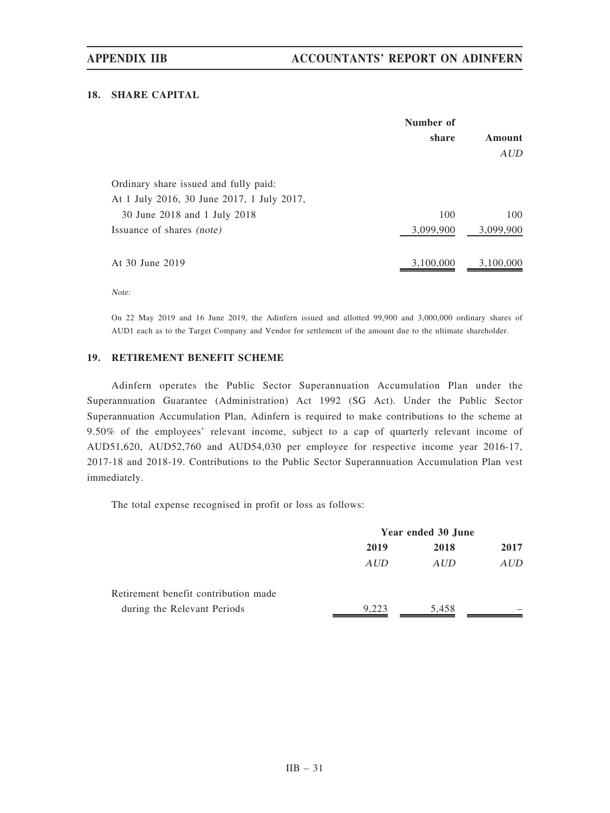# 18. SHARE CAPITAL

|                                            | Number of |               |
|--------------------------------------------|-----------|---------------|
|                                            | share     | <b>Amount</b> |
|                                            |           | AUD           |
| Ordinary share issued and fully paid:      |           |               |
| At 1 July 2016, 30 June 2017, 1 July 2017, |           |               |
| 30 June 2018 and 1 July 2018               | 100       | 100           |
| Issuance of shares <i>(note)</i>           | 3,099,900 | 3,099,900     |
| At 30 June 2019                            | 3,100,000 | 3,100,000     |

Note:

On 22 May 2019 and 16 June 2019, the Adinfern issued and allotted 99,900 and 3,000,000 ordinary shares of AUD1 each as to the Target Company and Vendor for settlement of the amount due to the ultimate shareholder.

# 19. RETIREMENT BENEFIT SCHEME

Adinfern operates the Public Sector Superannuation Accumulation Plan under the Superannuation Guarantee (Administration) Act 1992 (SG Act). Under the Public Sector Superannuation Accumulation Plan, Adinfern is required to make contributions to the scheme at 9.50% of the employees' relevant income, subject to a cap of quarterly relevant income of AUD51,620, AUD52,760 and AUD54,030 per employee for respective income year 2016-17, 2017-18 and 2018-19. Contributions to the Public Sector Superannuation Accumulation Plan vest immediately.

The total expense recognised in profit or loss as follows:

|                                      | Year ended 30 June |       |      |
|--------------------------------------|--------------------|-------|------|
|                                      | 2019               | 2018  | 2017 |
|                                      | AUD                | AUD   | AUD  |
| Retirement benefit contribution made |                    |       |      |
| during the Relevant Periods          | 9.223              | 5,458 |      |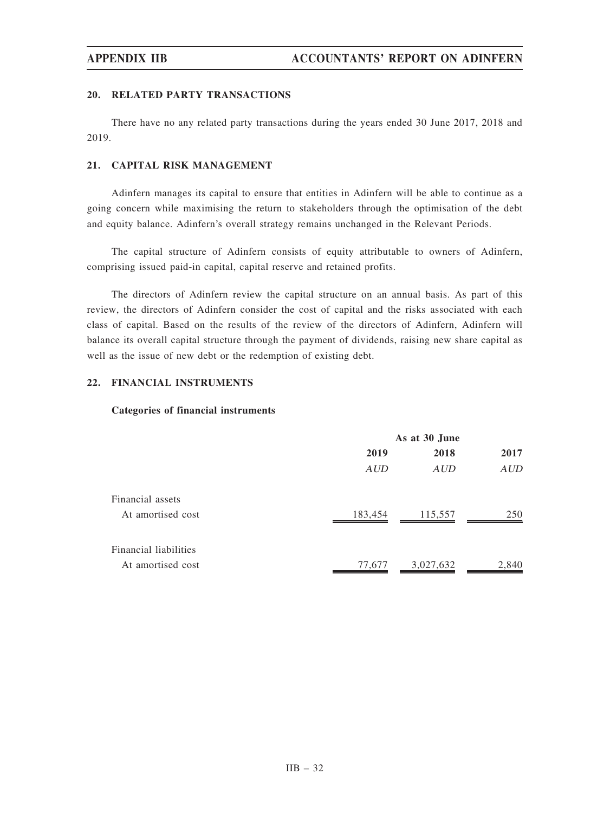## 20. RELATED PARTY TRANSACTIONS

There have no any related party transactions during the years ended 30 June 2017, 2018 and 2019.

## 21. CAPITAL RISK MANAGEMENT

Adinfern manages its capital to ensure that entities in Adinfern will be able to continue as a going concern while maximising the return to stakeholders through the optimisation of the debt and equity balance. Adinfern's overall strategy remains unchanged in the Relevant Periods.

The capital structure of Adinfern consists of equity attributable to owners of Adinfern, comprising issued paid-in capital, capital reserve and retained profits.

The directors of Adinfern review the capital structure on an annual basis. As part of this review, the directors of Adinfern consider the cost of capital and the risks associated with each class of capital. Based on the results of the review of the directors of Adinfern, Adinfern will balance its overall capital structure through the payment of dividends, raising new share capital as well as the issue of new debt or the redemption of existing debt.

## 22. FINANCIAL INSTRUMENTS

## Categories of financial instruments

|                                            | As at 30 June |            |            |  |  |
|--------------------------------------------|---------------|------------|------------|--|--|
|                                            | 2019          | 2018       | 2017       |  |  |
|                                            | AUD           | <b>AUD</b> | <b>AUD</b> |  |  |
| Financial assets<br>At amortised cost      | 183,454       | 115,557    | 250        |  |  |
| Financial liabilities<br>At amortised cost | 77,677        | 3,027,632  | 2,840      |  |  |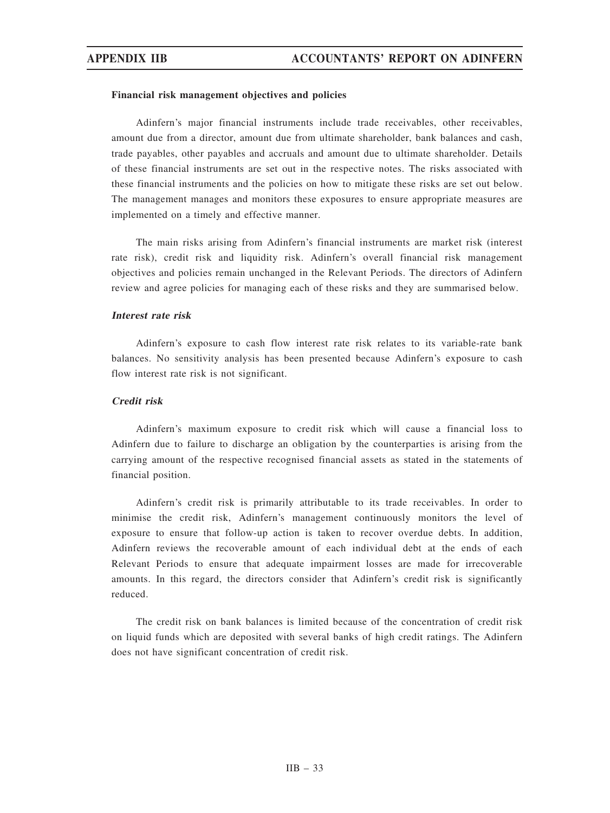### Financial risk management objectives and policies

Adinfern's major financial instruments include trade receivables, other receivables, amount due from a director, amount due from ultimate shareholder, bank balances and cash, trade payables, other payables and accruals and amount due to ultimate shareholder. Details of these financial instruments are set out in the respective notes. The risks associated with these financial instruments and the policies on how to mitigate these risks are set out below. The management manages and monitors these exposures to ensure appropriate measures are implemented on a timely and effective manner.

The main risks arising from Adinfern's financial instruments are market risk (interest rate risk), credit risk and liquidity risk. Adinfern's overall financial risk management objectives and policies remain unchanged in the Relevant Periods. The directors of Adinfern review and agree policies for managing each of these risks and they are summarised below.

# Interest rate risk

Adinfern's exposure to cash flow interest rate risk relates to its variable-rate bank balances. No sensitivity analysis has been presented because Adinfern's exposure to cash flow interest rate risk is not significant.

### Credit risk

Adinfern's maximum exposure to credit risk which will cause a financial loss to Adinfern due to failure to discharge an obligation by the counterparties is arising from the carrying amount of the respective recognised financial assets as stated in the statements of financial position.

Adinfern's credit risk is primarily attributable to its trade receivables. In order to minimise the credit risk, Adinfern's management continuously monitors the level of exposure to ensure that follow-up action is taken to recover overdue debts. In addition, Adinfern reviews the recoverable amount of each individual debt at the ends of each Relevant Periods to ensure that adequate impairment losses are made for irrecoverable amounts. In this regard, the directors consider that Adinfern's credit risk is significantly reduced.

The credit risk on bank balances is limited because of the concentration of credit risk on liquid funds which are deposited with several banks of high credit ratings. The Adinfern does not have significant concentration of credit risk.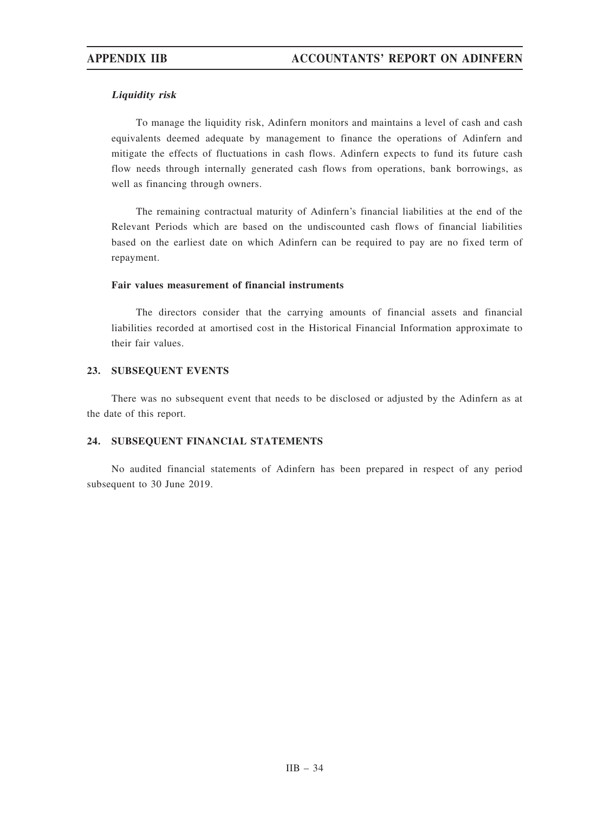# Liquidity risk

To manage the liquidity risk, Adinfern monitors and maintains a level of cash and cash equivalents deemed adequate by management to finance the operations of Adinfern and mitigate the effects of fluctuations in cash flows. Adinfern expects to fund its future cash flow needs through internally generated cash flows from operations, bank borrowings, as well as financing through owners.

The remaining contractual maturity of Adinfern's financial liabilities at the end of the Relevant Periods which are based on the undiscounted cash flows of financial liabilities based on the earliest date on which Adinfern can be required to pay are no fixed term of repayment.

## Fair values measurement of financial instruments

The directors consider that the carrying amounts of financial assets and financial liabilities recorded at amortised cost in the Historical Financial Information approximate to their fair values.

# 23. SUBSEQUENT EVENTS

There was no subsequent event that needs to be disclosed or adjusted by the Adinfern as at the date of this report.

# 24. SUBSEQUENT FINANCIAL STATEMENTS

No audited financial statements of Adinfern has been prepared in respect of any period subsequent to 30 June 2019.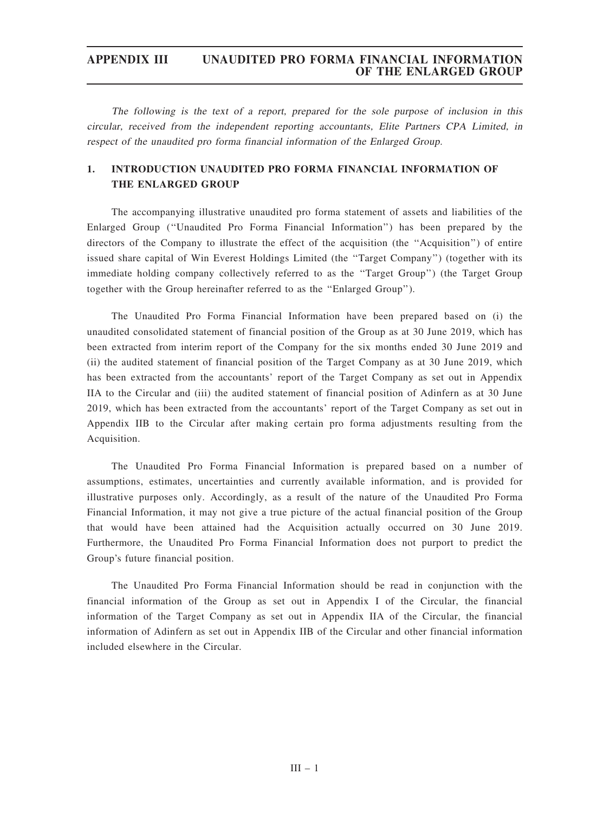The following is the text of <sup>a</sup> report, prepared for the sole purpose of inclusion in this circular, received from the independent reporting accountants, Elite Partners CPA Limited, in respect of the unaudited pro forma financial information of the Enlarged Group.

# 1. INTRODUCTION UNAUDITED PRO FORMA FINANCIAL INFORMATION OF THE ENLARGED GROUP

The accompanying illustrative unaudited pro forma statement of assets and liabilities of the Enlarged Group (''Unaudited Pro Forma Financial Information'') has been prepared by the directors of the Company to illustrate the effect of the acquisition (the ''Acquisition'') of entire issued share capital of Win Everest Holdings Limited (the ''Target Company'') (together with its immediate holding company collectively referred to as the ''Target Group'') (the Target Group together with the Group hereinafter referred to as the ''Enlarged Group'').

The Unaudited Pro Forma Financial Information have been prepared based on (i) the unaudited consolidated statement of financial position of the Group as at 30 June 2019, which has been extracted from interim report of the Company for the six months ended 30 June 2019 and (ii) the audited statement of financial position of the Target Company as at 30 June 2019, which has been extracted from the accountants' report of the Target Company as set out in Appendix IIA to the Circular and (iii) the audited statement of financial position of Adinfern as at 30 June 2019, which has been extracted from the accountants' report of the Target Company as set out in Appendix IIB to the Circular after making certain pro forma adjustments resulting from the Acquisition.

The Unaudited Pro Forma Financial Information is prepared based on a number of assumptions, estimates, uncertainties and currently available information, and is provided for illustrative purposes only. Accordingly, as a result of the nature of the Unaudited Pro Forma Financial Information, it may not give a true picture of the actual financial position of the Group that would have been attained had the Acquisition actually occurred on 30 June 2019. Furthermore, the Unaudited Pro Forma Financial Information does not purport to predict the Group's future financial position.

The Unaudited Pro Forma Financial Information should be read in conjunction with the financial information of the Group as set out in Appendix I of the Circular, the financial information of the Target Company as set out in Appendix IIA of the Circular, the financial information of Adinfern as set out in Appendix IIB of the Circular and other financial information included elsewhere in the Circular.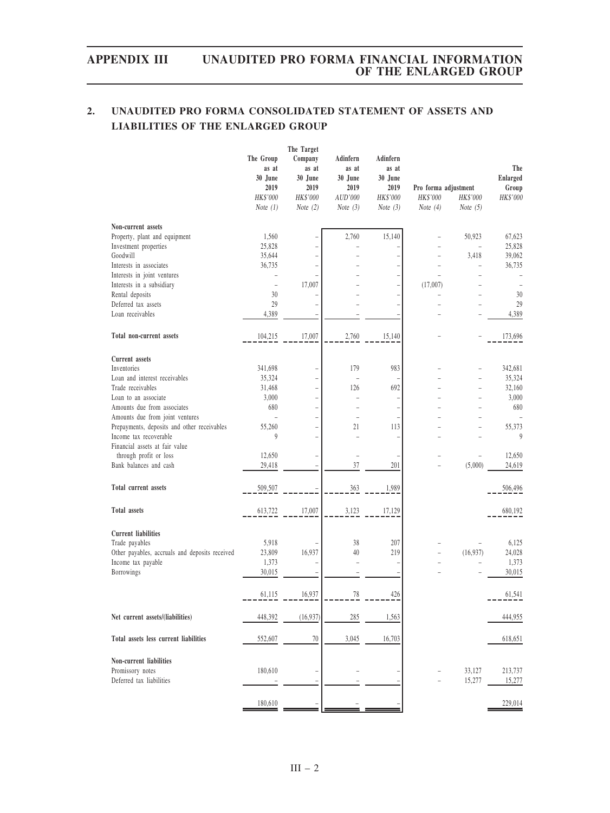# 2. UNAUDITED PRO FORMA CONSOLIDATED STATEMENT OF ASSETS AND LIABILITIES OF THE ENLARGED GROUP

|                                                          | The Group<br>as at<br>30 June<br>2019<br>HK\$'000<br>Note $(1)$ | The Target<br>Company<br>as at<br>30 June<br>2019<br>HK\$'000<br>Note $(2)$ | Adinfern<br>as at<br>30 June<br>2019<br>AUD'000<br>Note $(3)$ | Adinfern<br>as at<br>30 June<br>2019<br>HK\$'000<br>Note $(3)$ | Pro forma adjustment<br>HK\$'000<br>Note $(4)$ | HK\$'000<br>Note $(5)$ | The<br>Enlarged<br>Group<br>HK\$'000 |
|----------------------------------------------------------|-----------------------------------------------------------------|-----------------------------------------------------------------------------|---------------------------------------------------------------|----------------------------------------------------------------|------------------------------------------------|------------------------|--------------------------------------|
| Non-current assets                                       |                                                                 |                                                                             |                                                               |                                                                |                                                |                        |                                      |
| Property, plant and equipment                            | 1,560                                                           |                                                                             | 2,760                                                         | 15,140                                                         |                                                | 50,923                 | 67,623                               |
| Investment properties                                    | 25,828                                                          |                                                                             |                                                               |                                                                |                                                | $\overline{a}$         | 25,828                               |
| Goodwill                                                 | 35,644                                                          |                                                                             |                                                               |                                                                | $\overline{\phantom{a}}$                       | 3,418                  | 39,062                               |
| Interests in associates                                  | 36,735                                                          | $\overline{a}$                                                              |                                                               |                                                                |                                                |                        | 36,735                               |
| Interests in joint ventures                              |                                                                 |                                                                             |                                                               |                                                                | $\overline{\phantom{a}}$                       | ۰                      |                                      |
| Interests in a subsidiary                                | $\overline{\phantom{0}}$<br>30                                  | 17,007                                                                      |                                                               |                                                                | (17,007)                                       | ۰                      | 30                                   |
| Rental deposits<br>Deferred tax assets                   | 29                                                              |                                                                             |                                                               |                                                                |                                                |                        | 29                                   |
| Loan receivables                                         | 4,389                                                           |                                                                             |                                                               |                                                                |                                                |                        | 4,389                                |
|                                                          |                                                                 |                                                                             |                                                               |                                                                |                                                |                        |                                      |
| Total non-current assets                                 | 104,215                                                         | 17,007                                                                      | 2,760                                                         | 15,140                                                         |                                                |                        | 173,696                              |
| <b>Current</b> assets                                    |                                                                 |                                                                             |                                                               |                                                                |                                                |                        |                                      |
| Inventories                                              | 341,698                                                         |                                                                             | 179                                                           | 983                                                            |                                                |                        | 342,681                              |
| Loan and interest receivables                            | 35,324                                                          | $\overline{a}$                                                              | L,                                                            |                                                                |                                                |                        | 35,324                               |
| Trade receivables                                        | 31,468                                                          | $\overline{a}$                                                              | 126                                                           | 692                                                            |                                                | ۰                      | 32,160                               |
| Loan to an associate                                     | 3,000                                                           |                                                                             |                                                               |                                                                |                                                | $\overline{a}$         | 3,000                                |
| Amounts due from associates                              | 680                                                             | $\overline{a}$                                                              |                                                               |                                                                |                                                | ۳                      | 680                                  |
| Amounts due from joint ventures                          |                                                                 |                                                                             | ÷                                                             |                                                                |                                                |                        |                                      |
| Prepayments, deposits and other receivables              | 55,260                                                          |                                                                             | 21                                                            | 113                                                            |                                                |                        | 55,373                               |
| Income tax recoverable                                   | 9                                                               | $\overline{a}$                                                              |                                                               |                                                                |                                                |                        | 9                                    |
| Financial assets at fair value<br>through profit or loss | 12,650                                                          |                                                                             | $\overline{a}$                                                |                                                                |                                                |                        | 12,650                               |
| Bank balances and cash                                   | 29,418                                                          |                                                                             | 37                                                            | 201                                                            |                                                | (5,000)                | 24,619                               |
|                                                          |                                                                 |                                                                             |                                                               |                                                                |                                                |                        |                                      |
| Total current assets                                     | 509,507                                                         |                                                                             | 363                                                           | 1,989                                                          |                                                |                        | 506,496                              |
| <b>Total assets</b>                                      | 613,722                                                         | 17,007                                                                      | 3,123                                                         | 17,129                                                         |                                                |                        | 680,192                              |
| <b>Current liabilities</b>                               |                                                                 |                                                                             |                                                               |                                                                |                                                |                        |                                      |
| Trade payables                                           | 5,918                                                           |                                                                             | 38                                                            | 207                                                            |                                                |                        | 6,125                                |
| Other payables, accruals and deposits received           | 23,809                                                          | 16,937                                                                      | 40                                                            | 219                                                            |                                                | (16,937)               | 24,028                               |
| Income tax payable                                       | 1,373                                                           |                                                                             | $\overline{a}$                                                |                                                                |                                                |                        | 1,373                                |
| Borrowings                                               | 30,015                                                          |                                                                             |                                                               |                                                                |                                                |                        | 30,015                               |
|                                                          | 61,115                                                          | 16,937                                                                      | 78                                                            | 426                                                            |                                                |                        | 61,541                               |
| Net current assets/(liabilities)                         | 448,392                                                         | (16,937)                                                                    | 285                                                           | 1,563                                                          |                                                |                        | 444,955                              |
| Total assets less current liabilities                    | 552,607                                                         | 70                                                                          | 3,045                                                         | 16,703                                                         |                                                |                        | 618,651                              |
| Non-current liabilities<br>Promissory notes              | 180,610                                                         |                                                                             |                                                               |                                                                |                                                | 33,127                 | 213,737                              |
| Deferred tax liabilities                                 |                                                                 |                                                                             |                                                               |                                                                |                                                | 15,277                 | 15,277                               |
|                                                          | 180,610                                                         |                                                                             |                                                               |                                                                |                                                |                        | 229,014                              |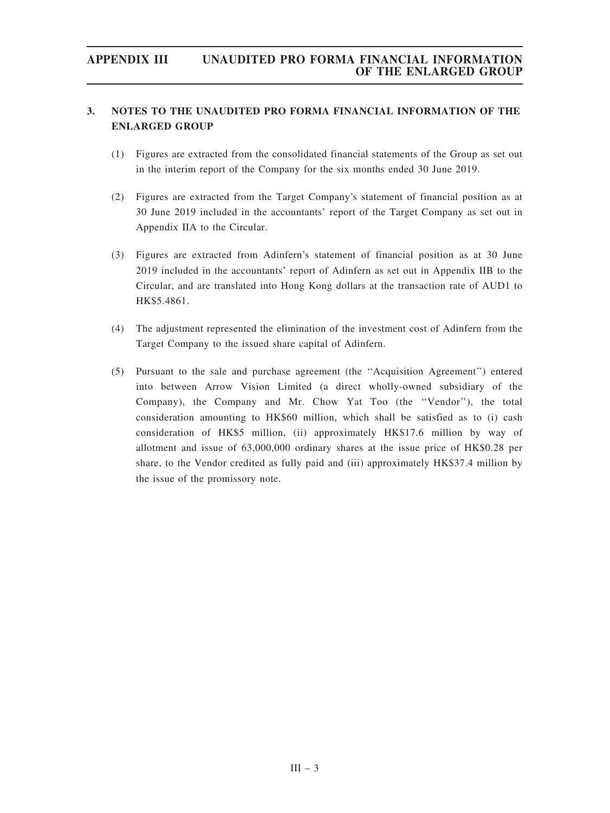# 3. NOTES TO THE UNAUDITED PRO FORMA FINANCIAL INFORMATION OF THE ENLARGED GROUP

- (1) Figures are extracted from the consolidated financial statements of the Group as set out in the interim report of the Company for the six months ended 30 June 2019.
- (2) Figures are extracted from the Target Company's statement of financial position as at 30 June 2019 included in the accountants' report of the Target Company as set out in Appendix IIA to the Circular.
- (3) Figures are extracted from Adinfern's statement of financial position as at 30 June 2019 included in the accountants' report of Adinfern as set out in Appendix IIB to the Circular, and are translated into Hong Kong dollars at the transaction rate of AUD1 to HK\$5.4861.
- (4) The adjustment represented the elimination of the investment cost of Adinfern from the Target Company to the issued share capital of Adinfern.
- (5) Pursuant to the sale and purchase agreement (the ''Acquisition Agreement'') entered into between Arrow Vision Limited (a direct wholly-owned subsidiary of the Company), the Company and Mr. Chow Yat Too (the ''Vendor''), the total consideration amounting to HK\$60 million, which shall be satisfied as to (i) cash consideration of HK\$5 million, (ii) approximately HK\$17.6 million by way of allotment and issue of 63,000,000 ordinary shares at the issue price of HK\$0.28 per share, to the Vendor credited as fully paid and (iii) approximately HK\$37.4 million by the issue of the promissory note.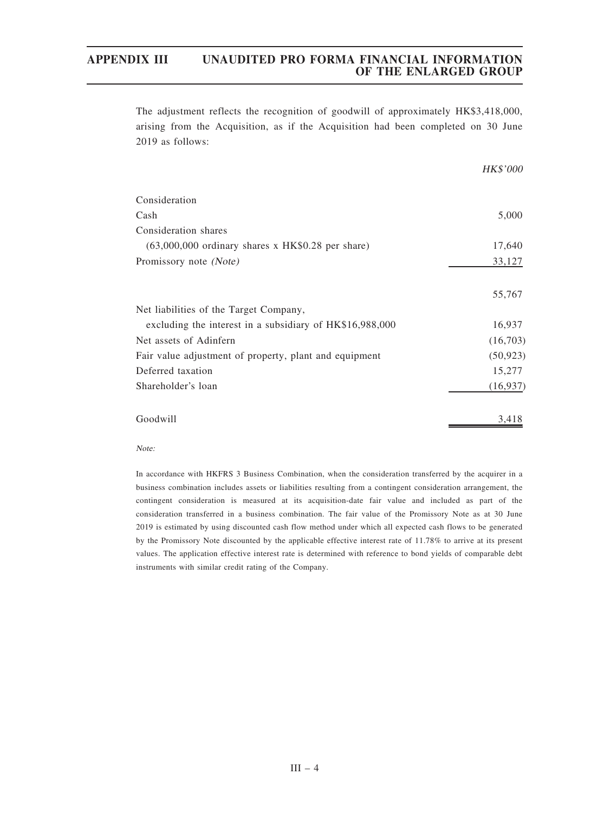The adjustment reflects the recognition of goodwill of approximately HK\$3,418,000, arising from the Acquisition, as if the Acquisition had been completed on 30 June 2019 as follows:

|                                                          | HK\$'000  |
|----------------------------------------------------------|-----------|
| Consideration                                            |           |
| Cash                                                     | 5,000     |
| Consideration shares                                     |           |
| $(63,000,000)$ ordinary shares x HK\$0.28 per share)     | 17,640    |
| Promissory note (Note)                                   | 33,127    |
|                                                          | 55,767    |
| Net liabilities of the Target Company,                   |           |
| excluding the interest in a subsidiary of HK\$16,988,000 | 16,937    |
| Net assets of Adinfern                                   | (16,703)  |
| Fair value adjustment of property, plant and equipment   | (50, 923) |
| Deferred taxation                                        | 15,277    |
| Shareholder's loan                                       | (16, 937) |
| Goodwill                                                 | 3,418     |

Note:

In accordance with HKFRS 3 Business Combination, when the consideration transferred by the acquirer in a business combination includes assets or liabilities resulting from a contingent consideration arrangement, the contingent consideration is measured at its acquisition-date fair value and included as part of the consideration transferred in a business combination. The fair value of the Promissory Note as at 30 June 2019 is estimated by using discounted cash flow method under which all expected cash flows to be generated by the Promissory Note discounted by the applicable effective interest rate of 11.78% to arrive at its present values. The application effective interest rate is determined with reference to bond yields of comparable debt instruments with similar credit rating of the Company.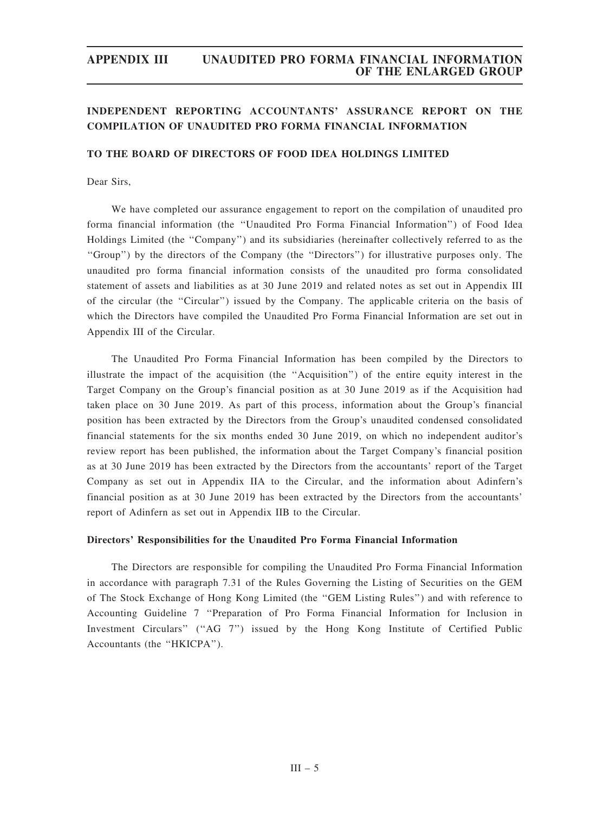# INDEPENDENT REPORTING ACCOUNTANTS' ASSURANCE REPORT ON THE COMPILATION OF UNAUDITED PRO FORMA FINANCIAL INFORMATION

## TO THE BOARD OF DIRECTORS OF FOOD IDEA HOLDINGS LIMITED

Dear Sirs,

We have completed our assurance engagement to report on the compilation of unaudited pro forma financial information (the ''Unaudited Pro Forma Financial Information'') of Food Idea Holdings Limited (the ''Company'') and its subsidiaries (hereinafter collectively referred to as the ''Group'') by the directors of the Company (the ''Directors'') for illustrative purposes only. The unaudited pro forma financial information consists of the unaudited pro forma consolidated statement of assets and liabilities as at 30 June 2019 and related notes as set out in Appendix III of the circular (the "Circular") issued by the Company. The applicable criteria on the basis of which the Directors have compiled the Unaudited Pro Forma Financial Information are set out in Appendix III of the Circular.

The Unaudited Pro Forma Financial Information has been compiled by the Directors to illustrate the impact of the acquisition (the ''Acquisition'') of the entire equity interest in the Target Company on the Group's financial position as at 30 June 2019 as if the Acquisition had taken place on 30 June 2019. As part of this process, information about the Group's financial position has been extracted by the Directors from the Group's unaudited condensed consolidated financial statements for the six months ended 30 June 2019, on which no independent auditor's review report has been published, the information about the Target Company's financial position as at 30 June 2019 has been extracted by the Directors from the accountants' report of the Target Company as set out in Appendix IIA to the Circular, and the information about Adinfern's financial position as at 30 June 2019 has been extracted by the Directors from the accountants' report of Adinfern as set out in Appendix IIB to the Circular.

### Directors' Responsibilities for the Unaudited Pro Forma Financial Information

The Directors are responsible for compiling the Unaudited Pro Forma Financial Information in accordance with paragraph 7.31 of the Rules Governing the Listing of Securities on the GEM of The Stock Exchange of Hong Kong Limited (the ''GEM Listing Rules'') and with reference to Accounting Guideline 7 ''Preparation of Pro Forma Financial Information for Inclusion in Investment Circulars" ("AG 7") issued by the Hong Kong Institute of Certified Public Accountants (the ''HKICPA'').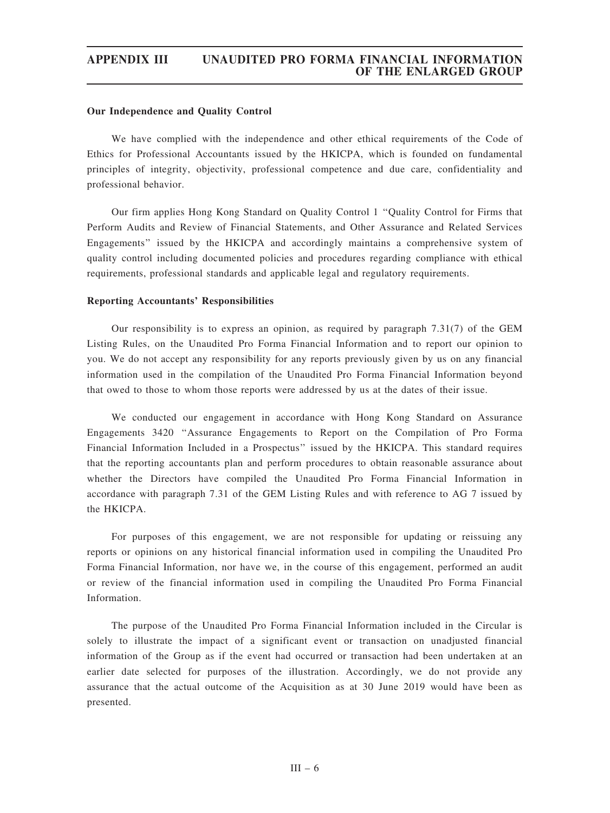## Our Independence and Quality Control

We have complied with the independence and other ethical requirements of the Code of Ethics for Professional Accountants issued by the HKICPA, which is founded on fundamental principles of integrity, objectivity, professional competence and due care, confidentiality and professional behavior.

Our firm applies Hong Kong Standard on Quality Control 1 ''Quality Control for Firms that Perform Audits and Review of Financial Statements, and Other Assurance and Related Services Engagements'' issued by the HKICPA and accordingly maintains a comprehensive system of quality control including documented policies and procedures regarding compliance with ethical requirements, professional standards and applicable legal and regulatory requirements.

## Reporting Accountants' Responsibilities

Our responsibility is to express an opinion, as required by paragraph 7.31(7) of the GEM Listing Rules, on the Unaudited Pro Forma Financial Information and to report our opinion to you. We do not accept any responsibility for any reports previously given by us on any financial information used in the compilation of the Unaudited Pro Forma Financial Information beyond that owed to those to whom those reports were addressed by us at the dates of their issue.

We conducted our engagement in accordance with Hong Kong Standard on Assurance Engagements 3420 ''Assurance Engagements to Report on the Compilation of Pro Forma Financial Information Included in a Prospectus'' issued by the HKICPA. This standard requires that the reporting accountants plan and perform procedures to obtain reasonable assurance about whether the Directors have compiled the Unaudited Pro Forma Financial Information in accordance with paragraph 7.31 of the GEM Listing Rules and with reference to AG 7 issued by the HKICPA.

For purposes of this engagement, we are not responsible for updating or reissuing any reports or opinions on any historical financial information used in compiling the Unaudited Pro Forma Financial Information, nor have we, in the course of this engagement, performed an audit or review of the financial information used in compiling the Unaudited Pro Forma Financial Information.

The purpose of the Unaudited Pro Forma Financial Information included in the Circular is solely to illustrate the impact of a significant event or transaction on unadjusted financial information of the Group as if the event had occurred or transaction had been undertaken at an earlier date selected for purposes of the illustration. Accordingly, we do not provide any assurance that the actual outcome of the Acquisition as at 30 June 2019 would have been as presented.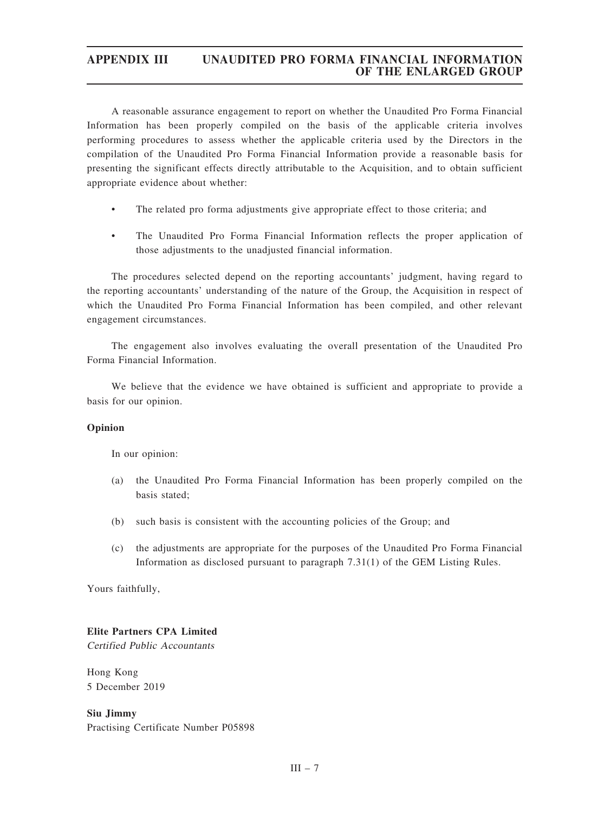A reasonable assurance engagement to report on whether the Unaudited Pro Forma Financial Information has been properly compiled on the basis of the applicable criteria involves performing procedures to assess whether the applicable criteria used by the Directors in the compilation of the Unaudited Pro Forma Financial Information provide a reasonable basis for presenting the significant effects directly attributable to the Acquisition, and to obtain sufficient appropriate evidence about whether:

- The related pro forma adjustments give appropriate effect to those criteria; and
- The Unaudited Pro Forma Financial Information reflects the proper application of those adjustments to the unadjusted financial information.

The procedures selected depend on the reporting accountants' judgment, having regard to the reporting accountants' understanding of the nature of the Group, the Acquisition in respect of which the Unaudited Pro Forma Financial Information has been compiled, and other relevant engagement circumstances.

The engagement also involves evaluating the overall presentation of the Unaudited Pro Forma Financial Information.

We believe that the evidence we have obtained is sufficient and appropriate to provide a basis for our opinion.

# Opinion

In our opinion:

- (a) the Unaudited Pro Forma Financial Information has been properly compiled on the basis stated;
- (b) such basis is consistent with the accounting policies of the Group; and
- (c) the adjustments are appropriate for the purposes of the Unaudited Pro Forma Financial Information as disclosed pursuant to paragraph 7.31(1) of the GEM Listing Rules.

Yours faithfully,

# Elite Partners CPA Limited

Certified Public Accountants

Hong Kong 5 December 2019

Siu Jimmy Practising Certificate Number P05898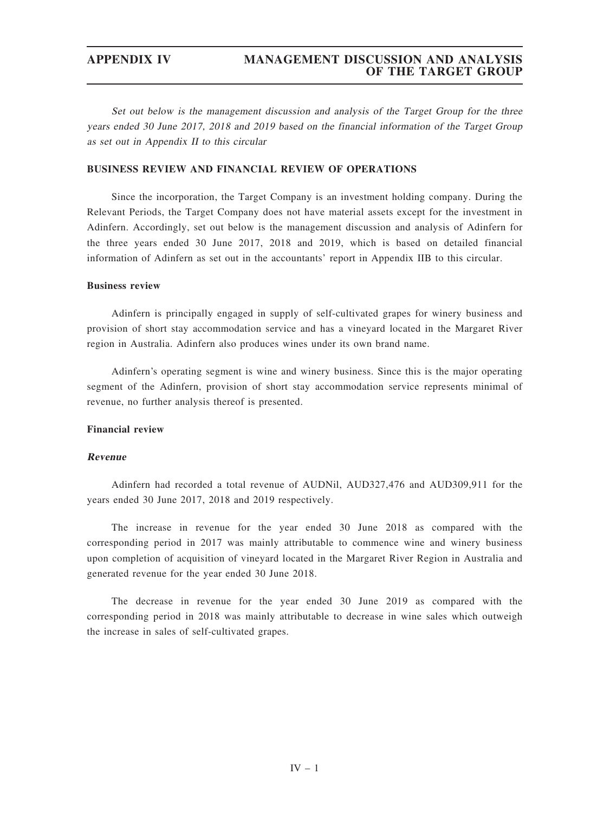Set out below is the management discussion and analysis of the Target Group for the three years ended 30 June 2017, 2018 and 2019 based on the financial information of the Target Group as set out in Appendix II to this circular

## BUSINESS REVIEW AND FINANCIAL REVIEW OF OPERATIONS

Since the incorporation, the Target Company is an investment holding company. During the Relevant Periods, the Target Company does not have material assets except for the investment in Adinfern. Accordingly, set out below is the management discussion and analysis of Adinfern for the three years ended 30 June 2017, 2018 and 2019, which is based on detailed financial information of Adinfern as set out in the accountants' report in Appendix IIB to this circular.

## Business review

Adinfern is principally engaged in supply of self-cultivated grapes for winery business and provision of short stay accommodation service and has a vineyard located in the Margaret River region in Australia. Adinfern also produces wines under its own brand name.

Adinfern's operating segment is wine and winery business. Since this is the major operating segment of the Adinfern, provision of short stay accommodation service represents minimal of revenue, no further analysis thereof is presented.

## Financial review

## Revenue

Adinfern had recorded a total revenue of AUDNil, AUD327,476 and AUD309,911 for the years ended 30 June 2017, 2018 and 2019 respectively.

The increase in revenue for the year ended 30 June 2018 as compared with the corresponding period in 2017 was mainly attributable to commence wine and winery business upon completion of acquisition of vineyard located in the Margaret River Region in Australia and generated revenue for the year ended 30 June 2018.

The decrease in revenue for the year ended 30 June 2019 as compared with the corresponding period in 2018 was mainly attributable to decrease in wine sales which outweigh the increase in sales of self-cultivated grapes.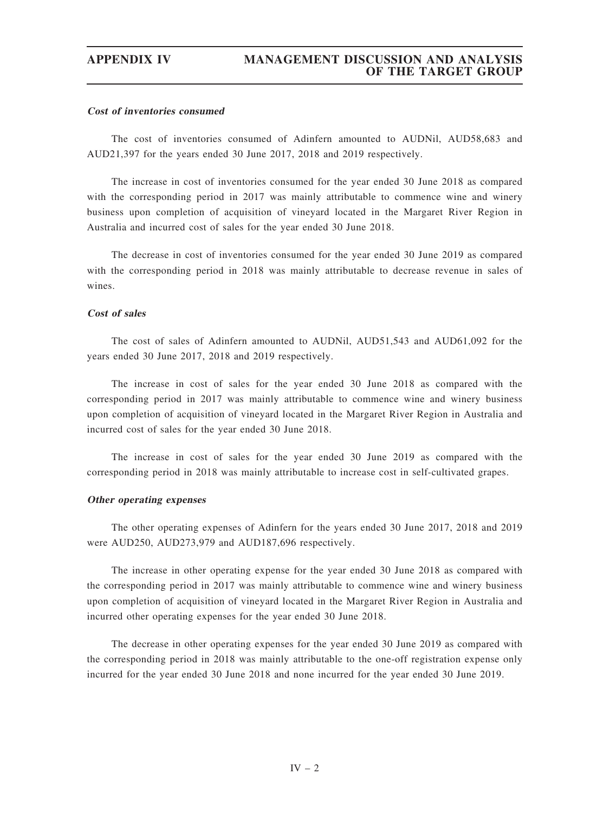### Cost of inventories consumed

The cost of inventories consumed of Adinfern amounted to AUDNil, AUD58,683 and AUD21,397 for the years ended 30 June 2017, 2018 and 2019 respectively.

The increase in cost of inventories consumed for the year ended 30 June 2018 as compared with the corresponding period in 2017 was mainly attributable to commence wine and winery business upon completion of acquisition of vineyard located in the Margaret River Region in Australia and incurred cost of sales for the year ended 30 June 2018.

The decrease in cost of inventories consumed for the year ended 30 June 2019 as compared with the corresponding period in 2018 was mainly attributable to decrease revenue in sales of wines.

## Cost of sales

The cost of sales of Adinfern amounted to AUDNil, AUD51,543 and AUD61,092 for the years ended 30 June 2017, 2018 and 2019 respectively.

The increase in cost of sales for the year ended 30 June 2018 as compared with the corresponding period in 2017 was mainly attributable to commence wine and winery business upon completion of acquisition of vineyard located in the Margaret River Region in Australia and incurred cost of sales for the year ended 30 June 2018.

The increase in cost of sales for the year ended 30 June 2019 as compared with the corresponding period in 2018 was mainly attributable to increase cost in self-cultivated grapes.

### Other operating expenses

The other operating expenses of Adinfern for the years ended 30 June 2017, 2018 and 2019 were AUD250, AUD273,979 and AUD187,696 respectively.

The increase in other operating expense for the year ended 30 June 2018 as compared with the corresponding period in 2017 was mainly attributable to commence wine and winery business upon completion of acquisition of vineyard located in the Margaret River Region in Australia and incurred other operating expenses for the year ended 30 June 2018.

The decrease in other operating expenses for the year ended 30 June 2019 as compared with the corresponding period in 2018 was mainly attributable to the one-off registration expense only incurred for the year ended 30 June 2018 and none incurred for the year ended 30 June 2019.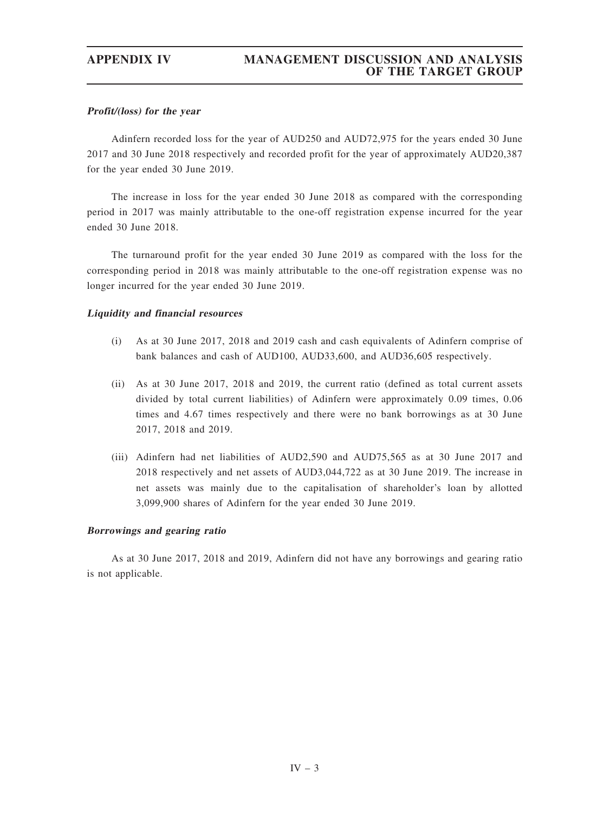## Profit/(loss) for the year

Adinfern recorded loss for the year of AUD250 and AUD72,975 for the years ended 30 June 2017 and 30 June 2018 respectively and recorded profit for the year of approximately AUD20,387 for the year ended 30 June 2019.

The increase in loss for the year ended 30 June 2018 as compared with the corresponding period in 2017 was mainly attributable to the one-off registration expense incurred for the year ended 30 June 2018.

The turnaround profit for the year ended 30 June 2019 as compared with the loss for the corresponding period in 2018 was mainly attributable to the one-off registration expense was no longer incurred for the year ended 30 June 2019.

## Liquidity and financial resources

- (i) As at 30 June 2017, 2018 and 2019 cash and cash equivalents of Adinfern comprise of bank balances and cash of AUD100, AUD33,600, and AUD36,605 respectively.
- (ii) As at 30 June 2017, 2018 and 2019, the current ratio (defined as total current assets divided by total current liabilities) of Adinfern were approximately 0.09 times, 0.06 times and 4.67 times respectively and there were no bank borrowings as at 30 June 2017, 2018 and 2019.
- (iii) Adinfern had net liabilities of AUD2,590 and AUD75,565 as at 30 June 2017 and 2018 respectively and net assets of AUD3,044,722 as at 30 June 2019. The increase in net assets was mainly due to the capitalisation of shareholder's loan by allotted 3,099,900 shares of Adinfern for the year ended 30 June 2019.

## Borrowings and gearing ratio

As at 30 June 2017, 2018 and 2019, Adinfern did not have any borrowings and gearing ratio is not applicable.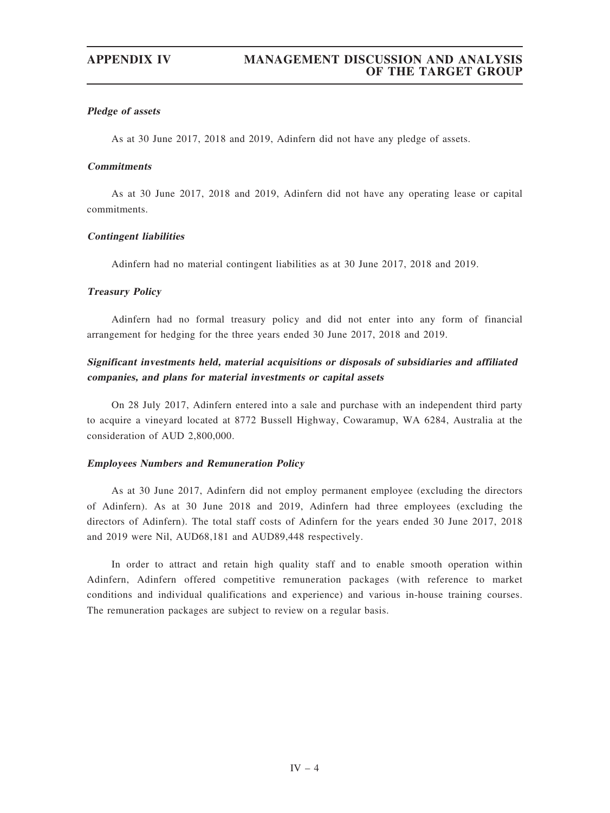## Pledge of assets

As at 30 June 2017, 2018 and 2019, Adinfern did not have any pledge of assets.

# **Commitments**

As at 30 June 2017, 2018 and 2019, Adinfern did not have any operating lease or capital commitments.

## Contingent liabilities

Adinfern had no material contingent liabilities as at 30 June 2017, 2018 and 2019.

### Treasury Policy

Adinfern had no formal treasury policy and did not enter into any form of financial arrangement for hedging for the three years ended 30 June 2017, 2018 and 2019.

# Significant investments held, material acquisitions or disposals of subsidiaries and affiliated companies, and plans for material investments or capital assets

On 28 July 2017, Adinfern entered into a sale and purchase with an independent third party to acquire a vineyard located at 8772 Bussell Highway, Cowaramup, WA 6284, Australia at the consideration of AUD 2,800,000.

## Employees Numbers and Remuneration Policy

As at 30 June 2017, Adinfern did not employ permanent employee (excluding the directors of Adinfern). As at 30 June 2018 and 2019, Adinfern had three employees (excluding the directors of Adinfern). The total staff costs of Adinfern for the years ended 30 June 2017, 2018 and 2019 were Nil, AUD68,181 and AUD89,448 respectively.

In order to attract and retain high quality staff and to enable smooth operation within Adinfern, Adinfern offered competitive remuneration packages (with reference to market conditions and individual qualifications and experience) and various in-house training courses. The remuneration packages are subject to review on a regular basis.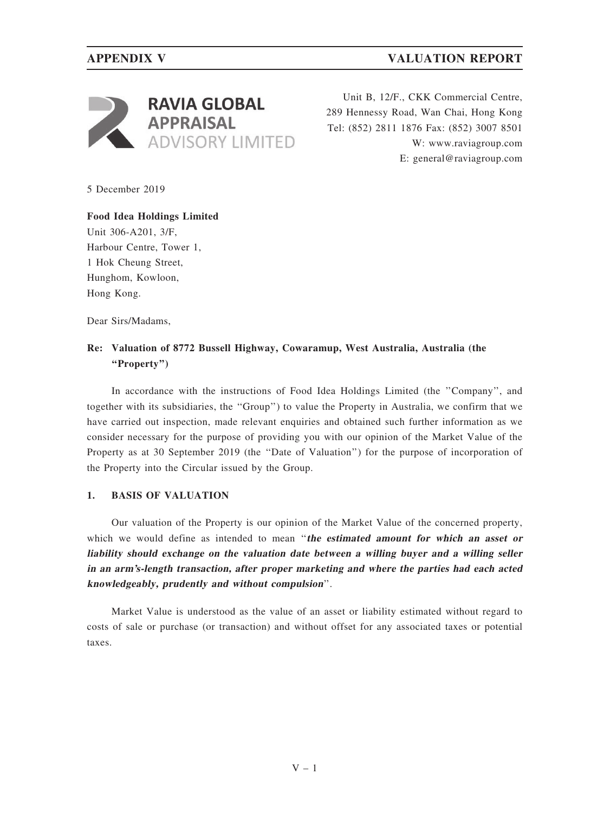

Unit B, 12/F., CKK Commercial Centre, 289 Hennessy Road, Wan Chai, Hong Kong Tel: (852) 2811 1876 Fax: (852) 3007 8501 W: www.raviagroup.com E: general@raviagroup.com

5 December 2019

Food Idea Holdings Limited Unit 306-A201, 3/F, Harbour Centre, Tower 1, 1 Hok Cheung Street, Hunghom, Kowloon, Hong Kong.

Dear Sirs/Madams,

# Re: Valuation of 8772 Bussell Highway, Cowaramup, West Australia, Australia (the ''Property'')

In accordance with the instructions of Food Idea Holdings Limited (the ''Company'', and together with its subsidiaries, the ''Group'') to value the Property in Australia, we confirm that we have carried out inspection, made relevant enquiries and obtained such further information as we consider necessary for the purpose of providing you with our opinion of the Market Value of the Property as at 30 September 2019 (the ''Date of Valuation'') for the purpose of incorporation of the Property into the Circular issued by the Group.

# 1. BASIS OF VALUATION

Our valuation of the Property is our opinion of the Market Value of the concerned property, which we would define as intended to mean "the estimated amount for which an asset or liability should exchange on the valuation date between <sup>a</sup> willing buyer and <sup>a</sup> willing seller in an arm's-length transaction, after proper marketing and where the parties had each acted knowledgeably, prudently and without compulsion''.

Market Value is understood as the value of an asset or liability estimated without regard to costs of sale or purchase (or transaction) and without offset for any associated taxes or potential taxes.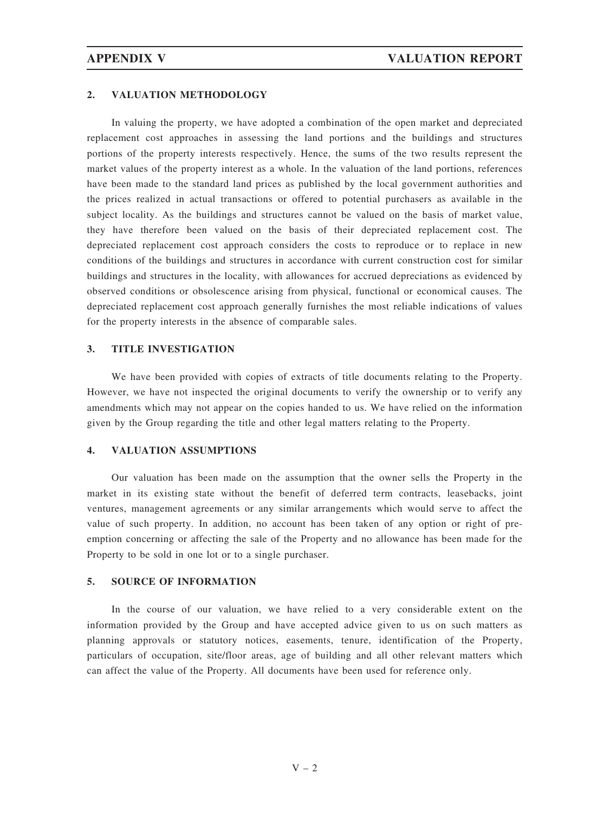### 2. VALUATION METHODOLOGY

In valuing the property, we have adopted a combination of the open market and depreciated replacement cost approaches in assessing the land portions and the buildings and structures portions of the property interests respectively. Hence, the sums of the two results represent the market values of the property interest as a whole. In the valuation of the land portions, references have been made to the standard land prices as published by the local government authorities and the prices realized in actual transactions or offered to potential purchasers as available in the subject locality. As the buildings and structures cannot be valued on the basis of market value, they have therefore been valued on the basis of their depreciated replacement cost. The depreciated replacement cost approach considers the costs to reproduce or to replace in new conditions of the buildings and structures in accordance with current construction cost for similar buildings and structures in the locality, with allowances for accrued depreciations as evidenced by observed conditions or obsolescence arising from physical, functional or economical causes. The depreciated replacement cost approach generally furnishes the most reliable indications of values for the property interests in the absence of comparable sales.

## 3. TITLE INVESTIGATION

We have been provided with copies of extracts of title documents relating to the Property. However, we have not inspected the original documents to verify the ownership or to verify any amendments which may not appear on the copies handed to us. We have relied on the information given by the Group regarding the title and other legal matters relating to the Property.

## 4. VALUATION ASSUMPTIONS

Our valuation has been made on the assumption that the owner sells the Property in the market in its existing state without the benefit of deferred term contracts, leasebacks, joint ventures, management agreements or any similar arrangements which would serve to affect the value of such property. In addition, no account has been taken of any option or right of preemption concerning or affecting the sale of the Property and no allowance has been made for the Property to be sold in one lot or to a single purchaser.

## 5. SOURCE OF INFORMATION

In the course of our valuation, we have relied to a very considerable extent on the information provided by the Group and have accepted advice given to us on such matters as planning approvals or statutory notices, easements, tenure, identification of the Property, particulars of occupation, site/floor areas, age of building and all other relevant matters which can affect the value of the Property. All documents have been used for reference only.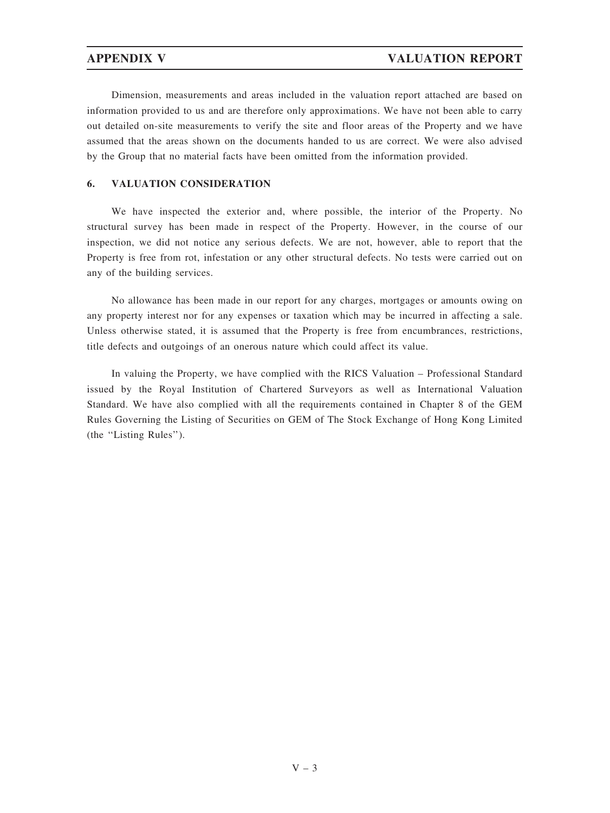Dimension, measurements and areas included in the valuation report attached are based on information provided to us and are therefore only approximations. We have not been able to carry out detailed on-site measurements to verify the site and floor areas of the Property and we have assumed that the areas shown on the documents handed to us are correct. We were also advised by the Group that no material facts have been omitted from the information provided.

## 6. VALUATION CONSIDERATION

We have inspected the exterior and, where possible, the interior of the Property. No structural survey has been made in respect of the Property. However, in the course of our inspection, we did not notice any serious defects. We are not, however, able to report that the Property is free from rot, infestation or any other structural defects. No tests were carried out on any of the building services.

No allowance has been made in our report for any charges, mortgages or amounts owing on any property interest nor for any expenses or taxation which may be incurred in affecting a sale. Unless otherwise stated, it is assumed that the Property is free from encumbrances, restrictions, title defects and outgoings of an onerous nature which could affect its value.

In valuing the Property, we have complied with the RICS Valuation – Professional Standard issued by the Royal Institution of Chartered Surveyors as well as International Valuation Standard. We have also complied with all the requirements contained in Chapter 8 of the GEM Rules Governing the Listing of Securities on GEM of The Stock Exchange of Hong Kong Limited (the ''Listing Rules'').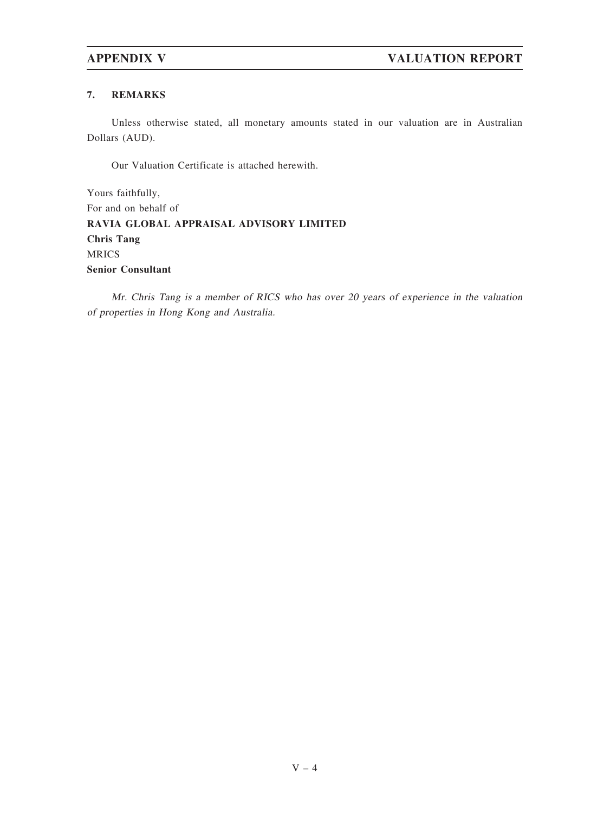# 7. REMARKS

Unless otherwise stated, all monetary amounts stated in our valuation are in Australian Dollars (AUD).

Our Valuation Certificate is attached herewith.

Yours faithfully, For and on behalf of RAVIA GLOBAL APPRAISAL ADVISORY LIMITED Chris Tang MRICS Senior Consultant

Mr. Chris Tang is <sup>a</sup> member of RICS who has over 20 years of experience in the valuation of properties in Hong Kong and Australia.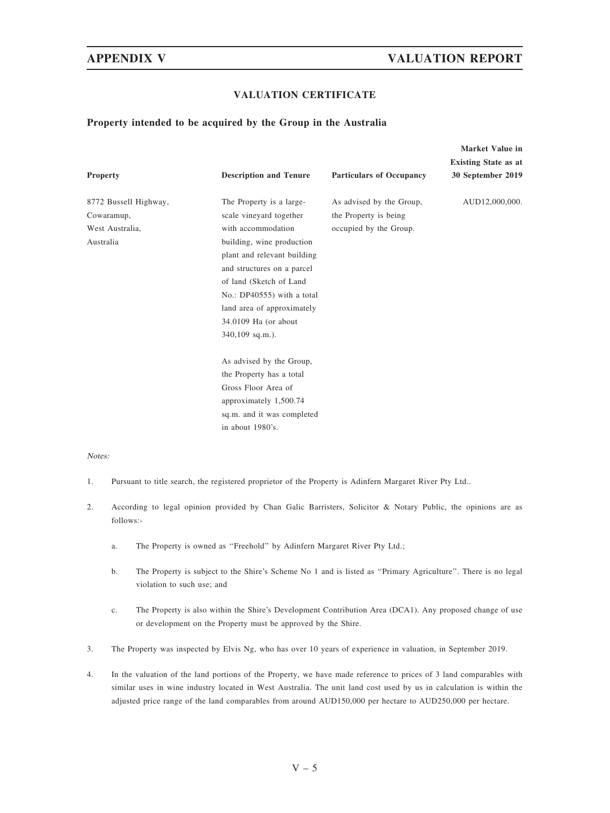# APPENDIX V VALUATION REPORT

Market Value in

## VALUATION CERTIFICATE

## Property intended to be acquired by the Group in the Australia

| <b>Property</b>       | <b>Description and Tenure</b> | <b>Particulars of Occupancy</b> | 19141 NGC 741UG 111<br><b>Existing State as at</b><br>30 September 2019 |
|-----------------------|-------------------------------|---------------------------------|-------------------------------------------------------------------------|
| 8772 Bussell Highway, | The Property is a large-      | As advised by the Group,        | AUD12,000,000.                                                          |
|                       |                               |                                 |                                                                         |
| Cowaramup,            | scale vineyard together       | the Property is being           |                                                                         |
| West Australia,       | with accommodation            | occupied by the Group.          |                                                                         |
| Australia             | building, wine production     |                                 |                                                                         |
|                       | plant and relevant building   |                                 |                                                                         |
|                       | and structures on a parcel    |                                 |                                                                         |
|                       | of land (Sketch of Land       |                                 |                                                                         |
|                       | No.: DP40555) with a total    |                                 |                                                                         |
|                       | land area of approximately    |                                 |                                                                         |
|                       | 34.0109 Ha (or about          |                                 |                                                                         |
|                       | $340,109$ sq.m.).             |                                 |                                                                         |
|                       | As advised by the Group,      |                                 |                                                                         |
|                       | the Property has a total      |                                 |                                                                         |
|                       | Gross Floor Area of           |                                 |                                                                         |
|                       | approximately 1,500.74        |                                 |                                                                         |
|                       | sq.m. and it was completed    |                                 |                                                                         |
|                       | in about 1980's.              |                                 |                                                                         |

### Notes:

- 1. Pursuant to title search, the registered proprietor of the Property is Adinfern Margaret River Pty Ltd..
- 2. According to legal opinion provided by Chan Galic Barristers, Solicitor & Notary Public, the opinions are as follows:
	- a. The Property is owned as ''Freehold'' by Adinfern Margaret River Pty Ltd.;
	- b. The Property is subject to the Shire's Scheme No 1 and is listed as "Primary Agriculture". There is no legal violation to such use; and
	- c. The Property is also within the Shire's Development Contribution Area (DCA1). Any proposed change of use or development on the Property must be approved by the Shire.
- 3. The Property was inspected by Elvis Ng, who has over 10 years of experience in valuation, in September 2019.
- 4. In the valuation of the land portions of the Property, we have made reference to prices of 3 land comparables with similar uses in wine industry located in West Australia. The unit land cost used by us in calculation is within the adjusted price range of the land comparables from around AUD150,000 per hectare to AUD250,000 per hectare.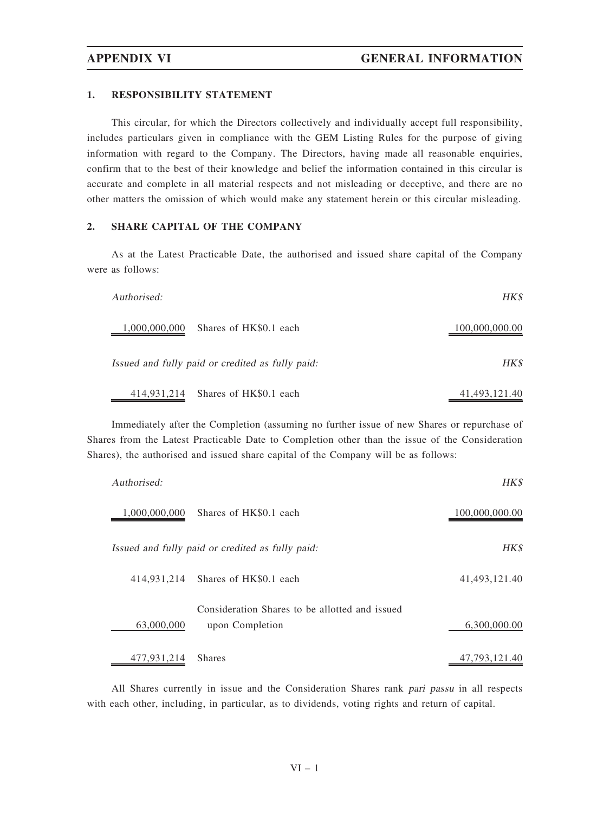### 1. RESPONSIBILITY STATEMENT

This circular, for which the Directors collectively and individually accept full responsibility, includes particulars given in compliance with the GEM Listing Rules for the purpose of giving information with regard to the Company. The Directors, having made all reasonable enquiries, confirm that to the best of their knowledge and belief the information contained in this circular is accurate and complete in all material respects and not misleading or deceptive, and there are no other matters the omission of which would make any statement herein or this circular misleading.

## 2. SHARE CAPITAL OF THE COMPANY

As at the Latest Practicable Date, the authorised and issued share capital of the Company were as follows:

| Authorised:                                      | HK\$           |
|--------------------------------------------------|----------------|
| Shares of HK\$0.1 each<br>1,000,000,000          | 100,000,000.00 |
| Issued and fully paid or credited as fully paid: | HK\$           |
| 414,931,214 Shares of HK\$0.1 each               | 41,493,121.40  |

Immediately after the Completion (assuming no further issue of new Shares or repurchase of Shares from the Latest Practicable Date to Completion other than the issue of the Consideration Shares), the authorised and issued share capital of the Company will be as follows:

| Authorised:   |                                                                   | HK\$           |
|---------------|-------------------------------------------------------------------|----------------|
| 1,000,000,000 | Shares of HK\$0.1 each                                            | 100,000,000.00 |
|               | Issued and fully paid or credited as fully paid:                  | HK\$           |
|               | 414,931,214 Shares of HK\$0.1 each                                | 41,493,121.40  |
| 63,000,000    | Consideration Shares to be allotted and issued<br>upon Completion | 6,300,000.00   |
| 477,931,214   | <b>Shares</b>                                                     | 47.793.121.40  |

All Shares currently in issue and the Consideration Shares rank pari passu in all respects with each other, including, in particular, as to dividends, voting rights and return of capital.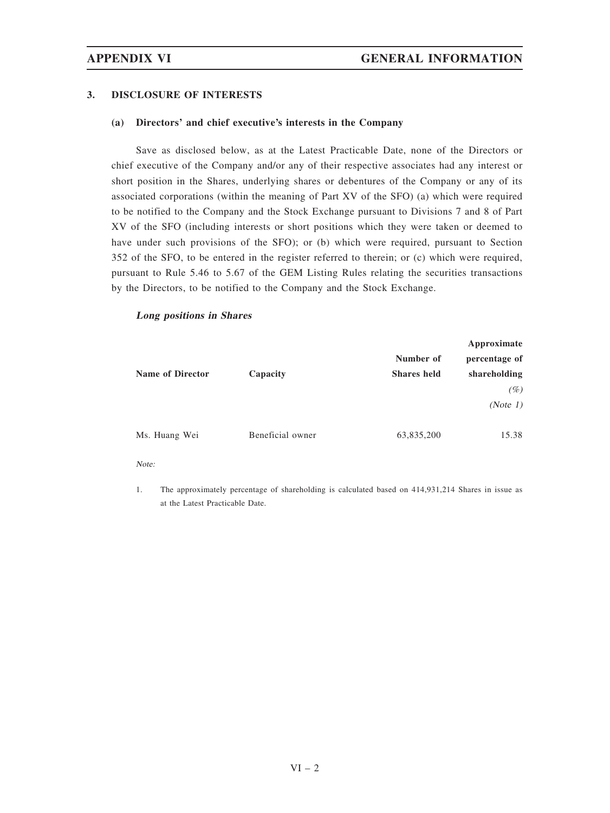## 3. DISCLOSURE OF INTERESTS

## (a) Directors' and chief executive's interests in the Company

Save as disclosed below, as at the Latest Practicable Date, none of the Directors or chief executive of the Company and/or any of their respective associates had any interest or short position in the Shares, underlying shares or debentures of the Company or any of its associated corporations (within the meaning of Part XV of the SFO) (a) which were required to be notified to the Company and the Stock Exchange pursuant to Divisions 7 and 8 of Part XV of the SFO (including interests or short positions which they were taken or deemed to have under such provisions of the SFO); or (b) which were required, pursuant to Section 352 of the SFO, to be entered in the register referred to therein; or (c) which were required, pursuant to Rule 5.46 to 5.67 of the GEM Listing Rules relating the securities transactions by the Directors, to be notified to the Company and the Stock Exchange.

## Long positions in Shares

|                         |                  | Approximate        |               |
|-------------------------|------------------|--------------------|---------------|
|                         |                  | Number of          | percentage of |
| <b>Name of Director</b> | Capacity         | <b>Shares</b> held | shareholding  |
|                         |                  |                    | (%)           |
|                         |                  |                    | (Note 1)      |
| Ms. Huang Wei           | Beneficial owner | 63,835,200         | 15.38         |

Note:

1. The approximately percentage of shareholding is calculated based on 414,931,214 Shares in issue as at the Latest Practicable Date.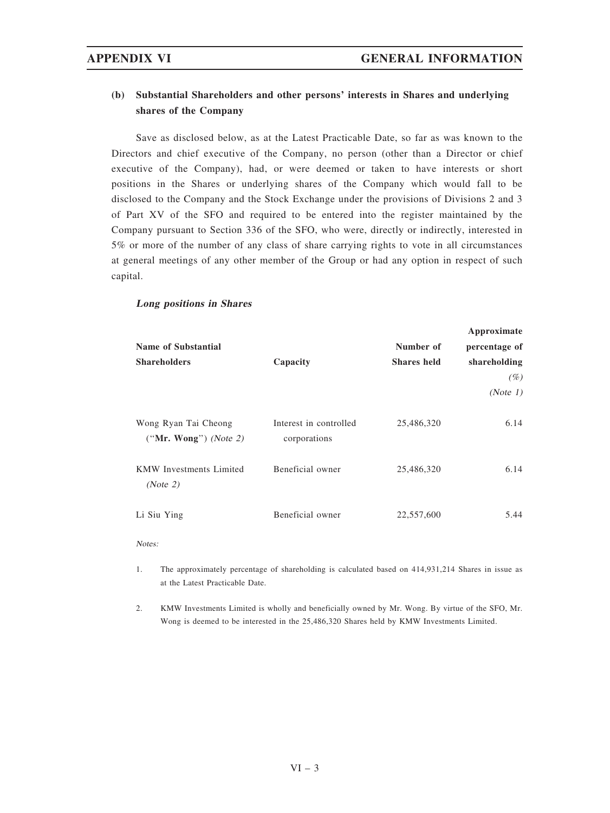# (b) Substantial Shareholders and other persons' interests in Shares and underlying shares of the Company

Save as disclosed below, as at the Latest Practicable Date, so far as was known to the Directors and chief executive of the Company, no person (other than a Director or chief executive of the Company), had, or were deemed or taken to have interests or short positions in the Shares or underlying shares of the Company which would fall to be disclosed to the Company and the Stock Exchange under the provisions of Divisions 2 and 3 of Part XV of the SFO and required to be entered into the register maintained by the Company pursuant to Section 336 of the SFO, who were, directly or indirectly, interested in 5% or more of the number of any class of share carrying rights to vote in all circumstances at general meetings of any other member of the Group or had any option in respect of such capital.

## Long positions in Shares

|                                                 |                                        |                    | Approximate   |
|-------------------------------------------------|----------------------------------------|--------------------|---------------|
| <b>Name of Substantial</b>                      |                                        | Number of          | percentage of |
| <b>Shareholders</b>                             | Capacity                               | <b>Shares</b> held | shareholding  |
|                                                 |                                        |                    | (%)           |
|                                                 |                                        |                    | (Note 1)      |
| Wong Ryan Tai Cheong<br>$("Mr. Wong")$ (Note 2) | Interest in controlled<br>corporations | 25,486,320         | 6.14          |
| <b>KMW</b> Investments Limited<br>(Note 2)      | Beneficial owner                       | 25,486,320         | 6.14          |
| Li Siu Ying                                     | Beneficial owner                       | 22,557,600         | 5.44          |

Notes:

- 1. The approximately percentage of shareholding is calculated based on 414,931,214 Shares in issue as at the Latest Practicable Date.
- 2. KMW Investments Limited is wholly and beneficially owned by Mr. Wong. By virtue of the SFO, Mr. Wong is deemed to be interested in the 25,486,320 Shares held by KMW Investments Limited.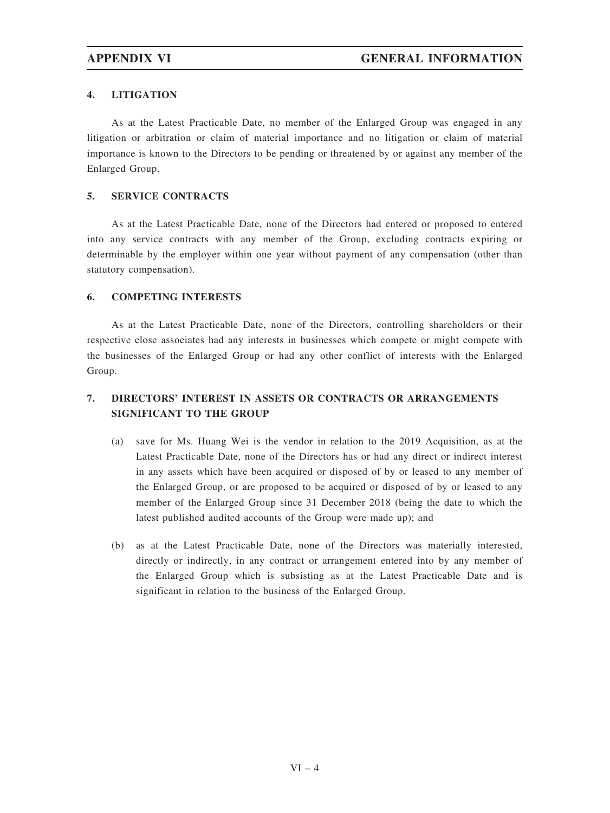# 4. LITIGATION

As at the Latest Practicable Date, no member of the Enlarged Group was engaged in any litigation or arbitration or claim of material importance and no litigation or claim of material importance is known to the Directors to be pending or threatened by or against any member of the Enlarged Group.

# 5. SERVICE CONTRACTS

As at the Latest Practicable Date, none of the Directors had entered or proposed to entered into any service contracts with any member of the Group, excluding contracts expiring or determinable by the employer within one year without payment of any compensation (other than statutory compensation).

## 6. COMPETING INTERESTS

As at the Latest Practicable Date, none of the Directors, controlling shareholders or their respective close associates had any interests in businesses which compete or might compete with the businesses of the Enlarged Group or had any other conflict of interests with the Enlarged Group.

# 7. DIRECTORS' INTEREST IN ASSETS OR CONTRACTS OR ARRANGEMENTS SIGNIFICANT TO THE GROUP

- (a) save for Ms. Huang Wei is the vendor in relation to the 2019 Acquisition, as at the Latest Practicable Date, none of the Directors has or had any direct or indirect interest in any assets which have been acquired or disposed of by or leased to any member of the Enlarged Group, or are proposed to be acquired or disposed of by or leased to any member of the Enlarged Group since 31 December 2018 (being the date to which the latest published audited accounts of the Group were made up); and
- (b) as at the Latest Practicable Date, none of the Directors was materially interested, directly or indirectly, in any contract or arrangement entered into by any member of the Enlarged Group which is subsisting as at the Latest Practicable Date and is significant in relation to the business of the Enlarged Group.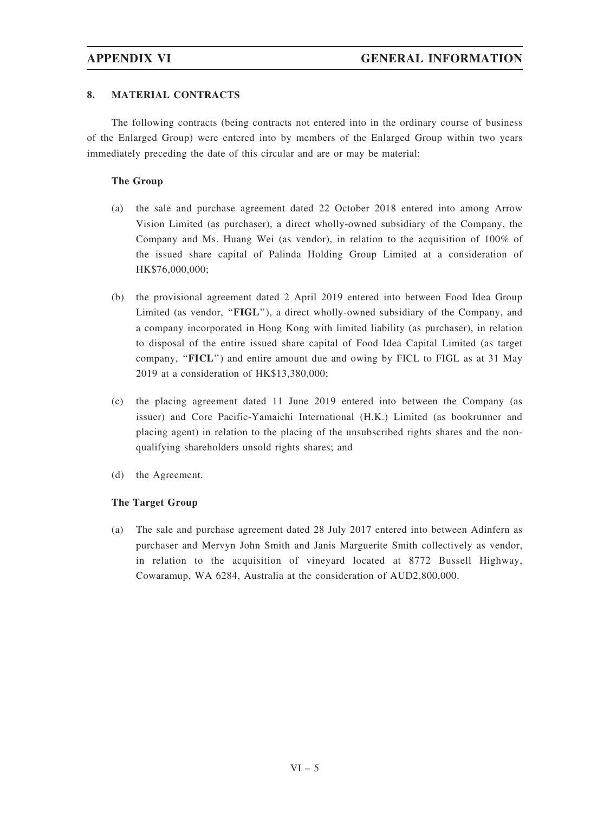# 8. MATERIAL CONTRACTS

The following contracts (being contracts not entered into in the ordinary course of business of the Enlarged Group) were entered into by members of the Enlarged Group within two years immediately preceding the date of this circular and are or may be material:

## The Group

- (a) the sale and purchase agreement dated 22 October 2018 entered into among Arrow Vision Limited (as purchaser), a direct wholly-owned subsidiary of the Company, the Company and Ms. Huang Wei (as vendor), in relation to the acquisition of 100% of the issued share capital of Palinda Holding Group Limited at a consideration of HK\$76,000,000;
- (b) the provisional agreement dated 2 April 2019 entered into between Food Idea Group Limited (as vendor, "**FIGL**"), a direct wholly-owned subsidiary of the Company, and a company incorporated in Hong Kong with limited liability (as purchaser), in relation to disposal of the entire issued share capital of Food Idea Capital Limited (as target company, "FICL") and entire amount due and owing by FICL to FIGL as at 31 May 2019 at a consideration of HK\$13,380,000;
- (c) the placing agreement dated 11 June 2019 entered into between the Company (as issuer) and Core Pacific-Yamaichi International (H.K.) Limited (as bookrunner and placing agent) in relation to the placing of the unsubscribed rights shares and the nonqualifying shareholders unsold rights shares; and
- (d) the Agreement.

# The Target Group

(a) The sale and purchase agreement dated 28 July 2017 entered into between Adinfern as purchaser and Mervyn John Smith and Janis Marguerite Smith collectively as vendor, in relation to the acquisition of vineyard located at 8772 Bussell Highway, Cowaramup, WA 6284, Australia at the consideration of AUD2,800,000.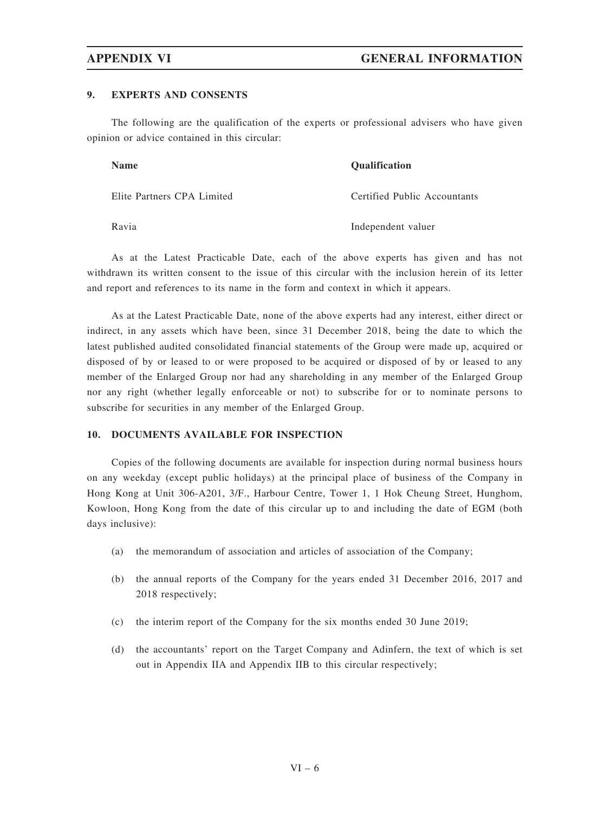## 9. EXPERTS AND CONSENTS

The following are the qualification of the experts or professional advisers who have given opinion or advice contained in this circular:

| <b>Name</b>                | <b>Oualification</b>         |
|----------------------------|------------------------------|
| Elite Partners CPA Limited | Certified Public Accountants |
| Ravia                      | Independent valuer           |

As at the Latest Practicable Date, each of the above experts has given and has not withdrawn its written consent to the issue of this circular with the inclusion herein of its letter and report and references to its name in the form and context in which it appears.

As at the Latest Practicable Date, none of the above experts had any interest, either direct or indirect, in any assets which have been, since 31 December 2018, being the date to which the latest published audited consolidated financial statements of the Group were made up, acquired or disposed of by or leased to or were proposed to be acquired or disposed of by or leased to any member of the Enlarged Group nor had any shareholding in any member of the Enlarged Group nor any right (whether legally enforceable or not) to subscribe for or to nominate persons to subscribe for securities in any member of the Enlarged Group.

## 10. DOCUMENTS AVAILABLE FOR INSPECTION

Copies of the following documents are available for inspection during normal business hours on any weekday (except public holidays) at the principal place of business of the Company in Hong Kong at Unit 306-A201, 3/F., Harbour Centre, Tower 1, 1 Hok Cheung Street, Hunghom, Kowloon, Hong Kong from the date of this circular up to and including the date of EGM (both days inclusive):

- (a) the memorandum of association and articles of association of the Company;
- (b) the annual reports of the Company for the years ended 31 December 2016, 2017 and 2018 respectively;
- (c) the interim report of the Company for the six months ended 30 June 2019;
- (d) the accountants' report on the Target Company and Adinfern, the text of which is set out in Appendix IIA and Appendix IIB to this circular respectively;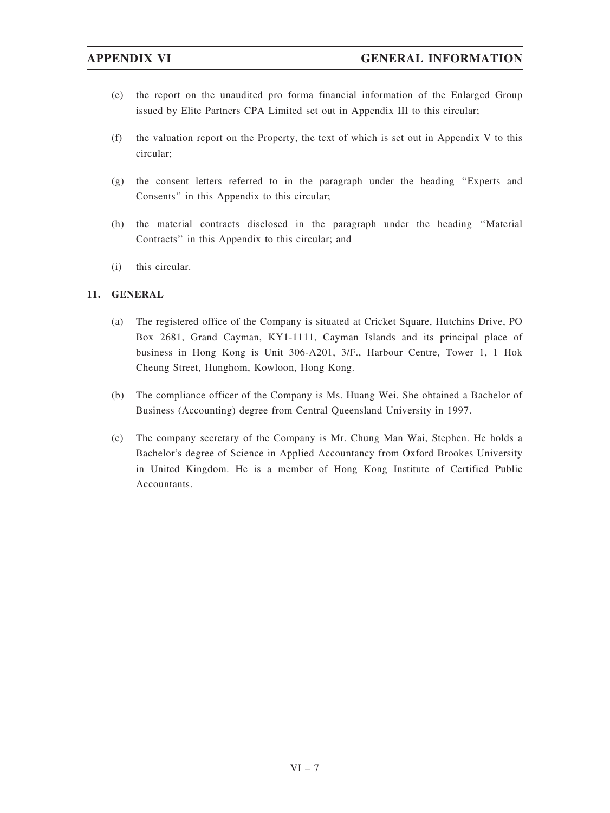- (e) the report on the unaudited pro forma financial information of the Enlarged Group issued by Elite Partners CPA Limited set out in Appendix III to this circular;
- (f) the valuation report on the Property, the text of which is set out in Appendix V to this circular;
- (g) the consent letters referred to in the paragraph under the heading ''Experts and Consents'' in this Appendix to this circular;
- (h) the material contracts disclosed in the paragraph under the heading ''Material Contracts'' in this Appendix to this circular; and
- (i) this circular.

# 11. GENERAL

- (a) The registered office of the Company is situated at Cricket Square, Hutchins Drive, PO Box 2681, Grand Cayman, KY1-1111, Cayman Islands and its principal place of business in Hong Kong is Unit 306-A201, 3/F., Harbour Centre, Tower 1, 1 Hok Cheung Street, Hunghom, Kowloon, Hong Kong.
- (b) The compliance officer of the Company is Ms. Huang Wei. She obtained a Bachelor of Business (Accounting) degree from Central Queensland University in 1997.
- (c) The company secretary of the Company is Mr. Chung Man Wai, Stephen. He holds a Bachelor's degree of Science in Applied Accountancy from Oxford Brookes University in United Kingdom. He is a member of Hong Kong Institute of Certified Public Accountants.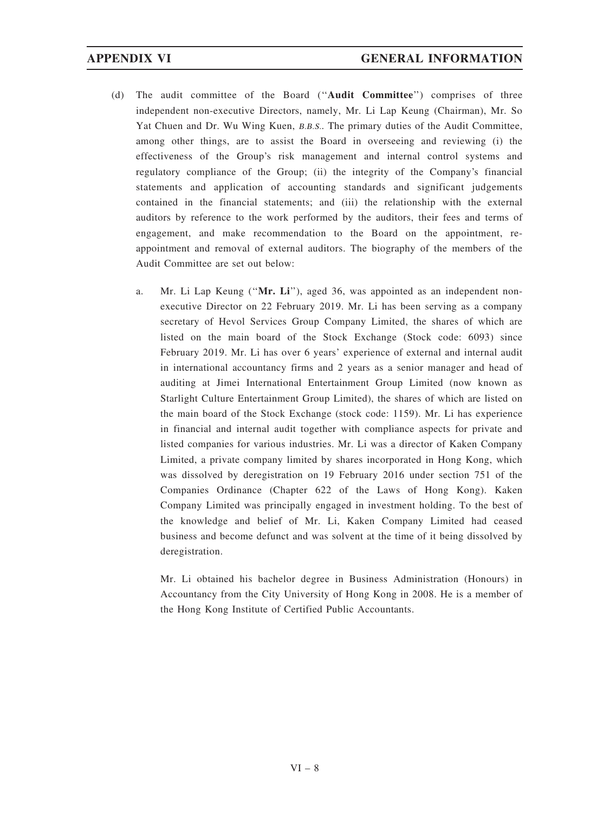- (d) The audit committee of the Board (''Audit Committee'') comprises of three independent non-executive Directors, namely, Mr. Li Lap Keung (Chairman), Mr. So Yat Chuen and Dr. Wu Wing Kuen, B.B.S.. The primary duties of the Audit Committee, among other things, are to assist the Board in overseeing and reviewing (i) the effectiveness of the Group's risk management and internal control systems and regulatory compliance of the Group; (ii) the integrity of the Company's financial statements and application of accounting standards and significant judgements contained in the financial statements; and (iii) the relationship with the external auditors by reference to the work performed by the auditors, their fees and terms of engagement, and make recommendation to the Board on the appointment, reappointment and removal of external auditors. The biography of the members of the Audit Committee are set out below:
	- a. Mr. Li Lap Keung ("Mr. Li"), aged 36, was appointed as an independent nonexecutive Director on 22 February 2019. Mr. Li has been serving as a company secretary of Hevol Services Group Company Limited, the shares of which are listed on the main board of the Stock Exchange (Stock code: 6093) since February 2019. Mr. Li has over 6 years' experience of external and internal audit in international accountancy firms and 2 years as a senior manager and head of auditing at Jimei International Entertainment Group Limited (now known as Starlight Culture Entertainment Group Limited), the shares of which are listed on the main board of the Stock Exchange (stock code: 1159). Mr. Li has experience in financial and internal audit together with compliance aspects for private and listed companies for various industries. Mr. Li was a director of Kaken Company Limited, a private company limited by shares incorporated in Hong Kong, which was dissolved by deregistration on 19 February 2016 under section 751 of the Companies Ordinance (Chapter 622 of the Laws of Hong Kong). Kaken Company Limited was principally engaged in investment holding. To the best of the knowledge and belief of Mr. Li, Kaken Company Limited had ceased business and become defunct and was solvent at the time of it being dissolved by deregistration.

Mr. Li obtained his bachelor degree in Business Administration (Honours) in Accountancy from the City University of Hong Kong in 2008. He is a member of the Hong Kong Institute of Certified Public Accountants.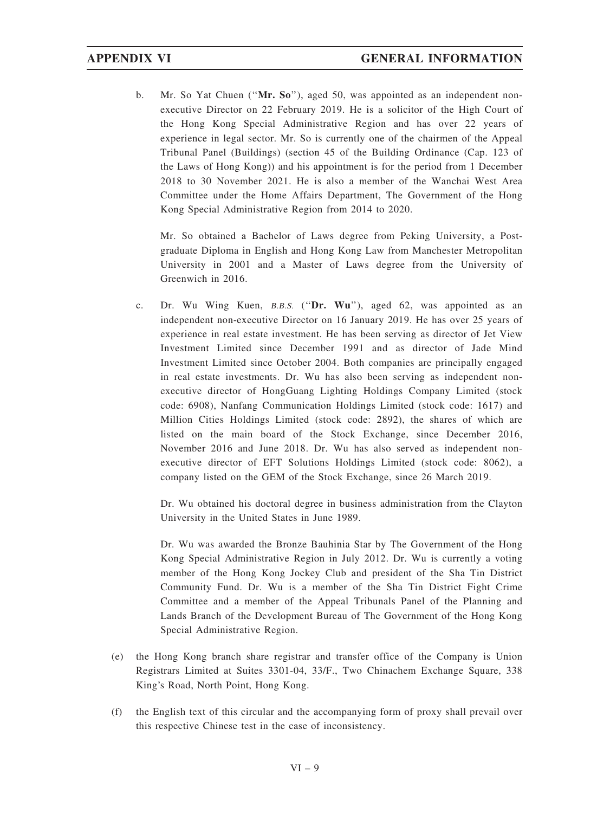b. Mr. So Yat Chuen ("Mr. So"), aged 50, was appointed as an independent nonexecutive Director on 22 February 2019. He is a solicitor of the High Court of the Hong Kong Special Administrative Region and has over 22 years of experience in legal sector. Mr. So is currently one of the chairmen of the Appeal Tribunal Panel (Buildings) (section 45 of the Building Ordinance (Cap. 123 of the Laws of Hong Kong)) and his appointment is for the period from 1 December 2018 to 30 November 2021. He is also a member of the Wanchai West Area Committee under the Home Affairs Department, The Government of the Hong Kong Special Administrative Region from 2014 to 2020.

Mr. So obtained a Bachelor of Laws degree from Peking University, a Postgraduate Diploma in English and Hong Kong Law from Manchester Metropolitan University in 2001 and a Master of Laws degree from the University of Greenwich in 2016.

c. Dr. Wu Wing Kuen, B.B.S. (''Dr. Wu''), aged 62, was appointed as an independent non-executive Director on 16 January 2019. He has over 25 years of experience in real estate investment. He has been serving as director of Jet View Investment Limited since December 1991 and as director of Jade Mind Investment Limited since October 2004. Both companies are principally engaged in real estate investments. Dr. Wu has also been serving as independent nonexecutive director of HongGuang Lighting Holdings Company Limited (stock code: 6908), Nanfang Communication Holdings Limited (stock code: 1617) and Million Cities Holdings Limited (stock code: 2892), the shares of which are listed on the main board of the Stock Exchange, since December 2016, November 2016 and June 2018. Dr. Wu has also served as independent nonexecutive director of EFT Solutions Holdings Limited (stock code: 8062), a company listed on the GEM of the Stock Exchange, since 26 March 2019.

Dr. Wu obtained his doctoral degree in business administration from the Clayton University in the United States in June 1989.

Dr. Wu was awarded the Bronze Bauhinia Star by The Government of the Hong Kong Special Administrative Region in July 2012. Dr. Wu is currently a voting member of the Hong Kong Jockey Club and president of the Sha Tin District Community Fund. Dr. Wu is a member of the Sha Tin District Fight Crime Committee and a member of the Appeal Tribunals Panel of the Planning and Lands Branch of the Development Bureau of The Government of the Hong Kong Special Administrative Region.

- (e) the Hong Kong branch share registrar and transfer office of the Company is Union Registrars Limited at Suites 3301-04, 33/F., Two Chinachem Exchange Square, 338 King's Road, North Point, Hong Kong.
- (f) the English text of this circular and the accompanying form of proxy shall prevail over this respective Chinese test in the case of inconsistency.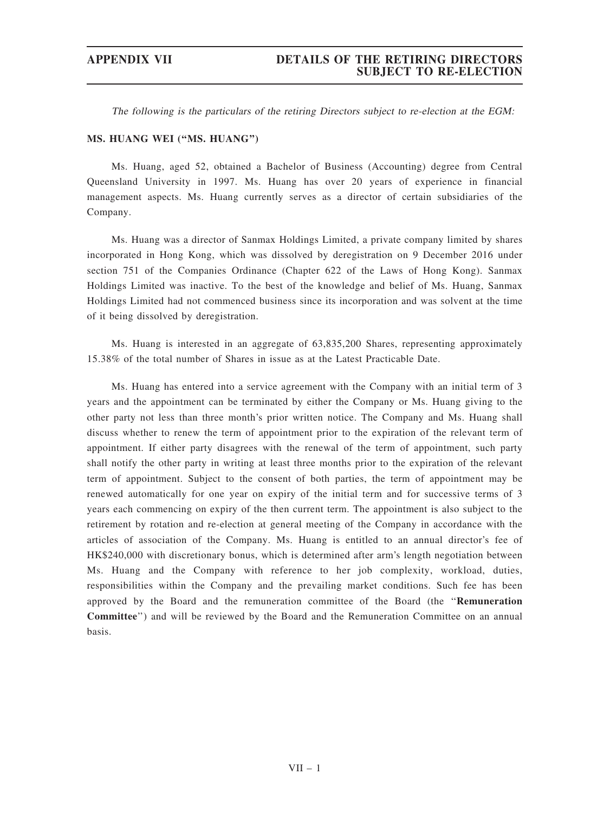The following is the particulars of the retiring Directors subject to re-election at the EGM:

## MS. HUANG WEI (''MS. HUANG'')

Ms. Huang, aged 52, obtained a Bachelor of Business (Accounting) degree from Central Queensland University in 1997. Ms. Huang has over 20 years of experience in financial management aspects. Ms. Huang currently serves as a director of certain subsidiaries of the Company.

Ms. Huang was a director of Sanmax Holdings Limited, a private company limited by shares incorporated in Hong Kong, which was dissolved by deregistration on 9 December 2016 under section 751 of the Companies Ordinance (Chapter 622 of the Laws of Hong Kong). Sanmax Holdings Limited was inactive. To the best of the knowledge and belief of Ms. Huang, Sanmax Holdings Limited had not commenced business since its incorporation and was solvent at the time of it being dissolved by deregistration.

Ms. Huang is interested in an aggregate of 63,835,200 Shares, representing approximately 15.38% of the total number of Shares in issue as at the Latest Practicable Date.

Ms. Huang has entered into a service agreement with the Company with an initial term of 3 years and the appointment can be terminated by either the Company or Ms. Huang giving to the other party not less than three month's prior written notice. The Company and Ms. Huang shall discuss whether to renew the term of appointment prior to the expiration of the relevant term of appointment. If either party disagrees with the renewal of the term of appointment, such party shall notify the other party in writing at least three months prior to the expiration of the relevant term of appointment. Subject to the consent of both parties, the term of appointment may be renewed automatically for one year on expiry of the initial term and for successive terms of 3 years each commencing on expiry of the then current term. The appointment is also subject to the retirement by rotation and re-election at general meeting of the Company in accordance with the articles of association of the Company. Ms. Huang is entitled to an annual director's fee of HK\$240,000 with discretionary bonus, which is determined after arm's length negotiation between Ms. Huang and the Company with reference to her job complexity, workload, duties, responsibilities within the Company and the prevailing market conditions. Such fee has been approved by the Board and the remuneration committee of the Board (the ''Remuneration Committee'') and will be reviewed by the Board and the Remuneration Committee on an annual basis.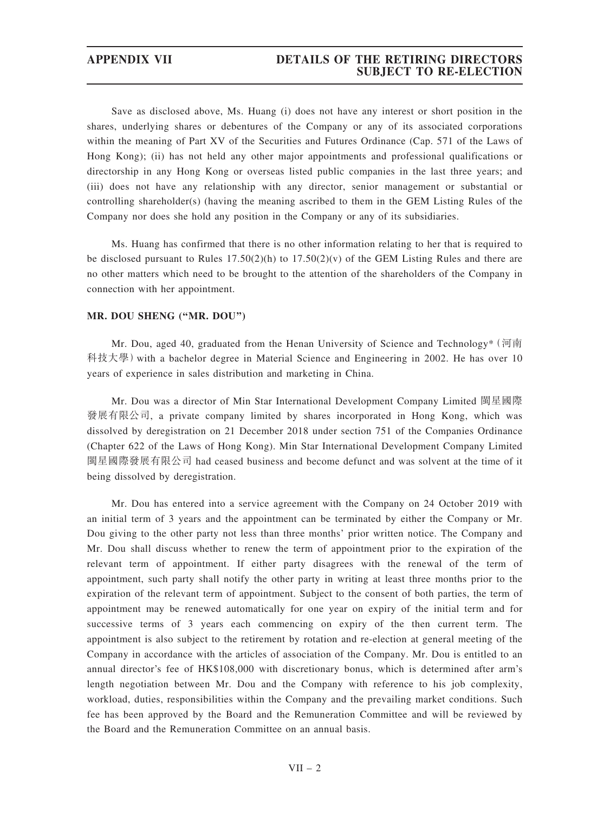# APPENDIX VII DETAILS OF THE RETIRING DIRECTORS SUBJECT TO RE-ELECTION

Save as disclosed above, Ms. Huang (i) does not have any interest or short position in the shares, underlying shares or debentures of the Company or any of its associated corporations within the meaning of Part XV of the Securities and Futures Ordinance (Cap. 571 of the Laws of Hong Kong); (ii) has not held any other major appointments and professional qualifications or directorship in any Hong Kong or overseas listed public companies in the last three years; and (iii) does not have any relationship with any director, senior management or substantial or controlling shareholder(s) (having the meaning ascribed to them in the GEM Listing Rules of the Company nor does she hold any position in the Company or any of its subsidiaries.

Ms. Huang has confirmed that there is no other information relating to her that is required to be disclosed pursuant to Rules  $17.50(2)(h)$  to  $17.50(2)(v)$  of the GEM Listing Rules and there are no other matters which need to be brought to the attention of the shareholders of the Company in connection with her appointment.

## MR. DOU SHENG (''MR. DOU'')

Mr. Dou, aged 40, graduated from the Henan University of Science and Technology\*(河南 科技大學)with a bachelor degree in Material Science and Engineering in 2002. He has over 10 years of experience in sales distribution and marketing in China.

Mr. Dou was a director of Min Star International Development Company Limited 閩星國際 發展有限公司, a private company limited by shares incorporated in Hong Kong, which was dissolved by deregistration on 21 December 2018 under section 751 of the Companies Ordinance (Chapter 622 of the Laws of Hong Kong). Min Star International Development Company Limited 閩星國際發展有限公司 had ceased business and become defunct and was solvent at the time of it being dissolved by deregistration.

Mr. Dou has entered into a service agreement with the Company on 24 October 2019 with an initial term of 3 years and the appointment can be terminated by either the Company or Mr. Dou giving to the other party not less than three months' prior written notice. The Company and Mr. Dou shall discuss whether to renew the term of appointment prior to the expiration of the relevant term of appointment. If either party disagrees with the renewal of the term of appointment, such party shall notify the other party in writing at least three months prior to the expiration of the relevant term of appointment. Subject to the consent of both parties, the term of appointment may be renewed automatically for one year on expiry of the initial term and for successive terms of 3 years each commencing on expiry of the then current term. The appointment is also subject to the retirement by rotation and re-election at general meeting of the Company in accordance with the articles of association of the Company. Mr. Dou is entitled to an annual director's fee of HK\$108,000 with discretionary bonus, which is determined after arm's length negotiation between Mr. Dou and the Company with reference to his job complexity, workload, duties, responsibilities within the Company and the prevailing market conditions. Such fee has been approved by the Board and the Remuneration Committee and will be reviewed by the Board and the Remuneration Committee on an annual basis.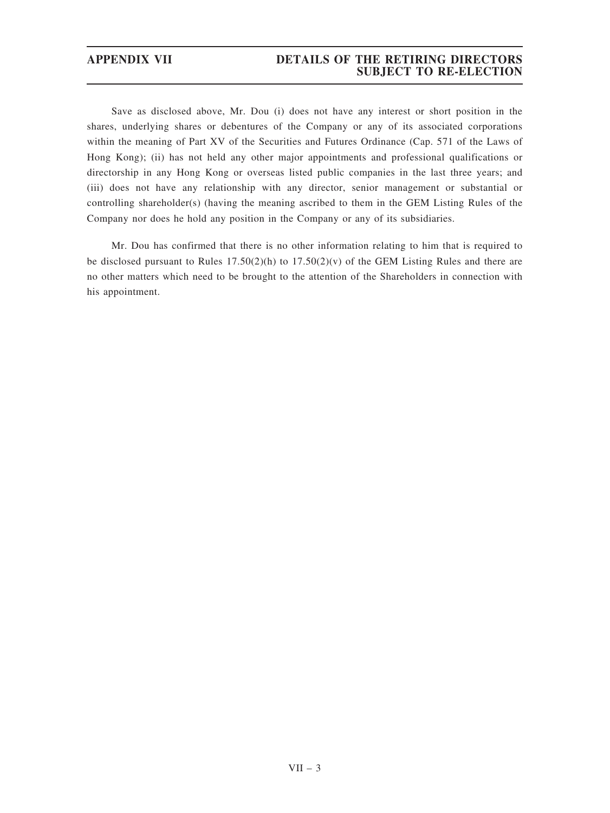# APPENDIX VII DETAILS OF THE RETIRING DIRECTORS SUBJECT TO RE-ELECTION

Save as disclosed above, Mr. Dou (i) does not have any interest or short position in the shares, underlying shares or debentures of the Company or any of its associated corporations within the meaning of Part XV of the Securities and Futures Ordinance (Cap. 571 of the Laws of Hong Kong); (ii) has not held any other major appointments and professional qualifications or directorship in any Hong Kong or overseas listed public companies in the last three years; and (iii) does not have any relationship with any director, senior management or substantial or controlling shareholder(s) (having the meaning ascribed to them in the GEM Listing Rules of the Company nor does he hold any position in the Company or any of its subsidiaries.

Mr. Dou has confirmed that there is no other information relating to him that is required to be disclosed pursuant to Rules  $17.50(2)(h)$  to  $17.50(2)(v)$  of the GEM Listing Rules and there are no other matters which need to be brought to the attention of the Shareholders in connection with his appointment.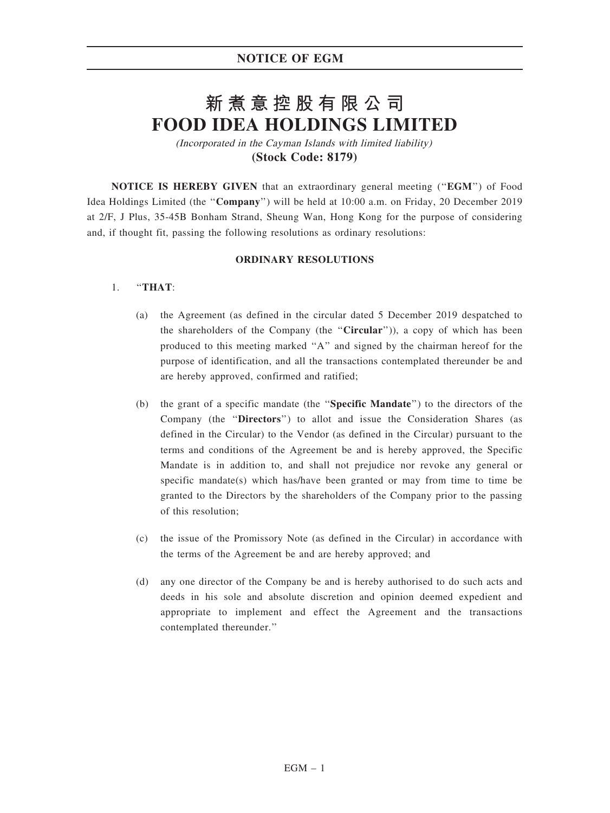## NOTICE OF EGM

# **新煮意控股有限公司 FOOD IDEA HOLDINGS LIMITED**

(Incorporated in the Cayman Islands with limited liability) **(Stock Code: 8179)**

NOTICE IS HEREBY GIVEN that an extraordinary general meeting (''EGM'') of Food Idea Holdings Limited (the ''Company'') will be held at 10:00 a.m. on Friday, 20 December 2019 at 2/F, J Plus, 35-45B Bonham Strand, Sheung Wan, Hong Kong for the purpose of considering and, if thought fit, passing the following resolutions as ordinary resolutions:

#### ORDINARY RESOLUTIONS

### 1. ''THAT:

- (a) the Agreement (as defined in the circular dated 5 December 2019 despatched to the shareholders of the Company (the "Circular")), a copy of which has been produced to this meeting marked ''A'' and signed by the chairman hereof for the purpose of identification, and all the transactions contemplated thereunder be and are hereby approved, confirmed and ratified;
- (b) the grant of a specific mandate (the ''Specific Mandate'') to the directors of the Company (the ''Directors'') to allot and issue the Consideration Shares (as defined in the Circular) to the Vendor (as defined in the Circular) pursuant to the terms and conditions of the Agreement be and is hereby approved, the Specific Mandate is in addition to, and shall not prejudice nor revoke any general or specific mandate(s) which has/have been granted or may from time to time be granted to the Directors by the shareholders of the Company prior to the passing of this resolution;
- (c) the issue of the Promissory Note (as defined in the Circular) in accordance with the terms of the Agreement be and are hereby approved; and
- (d) any one director of the Company be and is hereby authorised to do such acts and deeds in his sole and absolute discretion and opinion deemed expedient and appropriate to implement and effect the Agreement and the transactions contemplated thereunder.''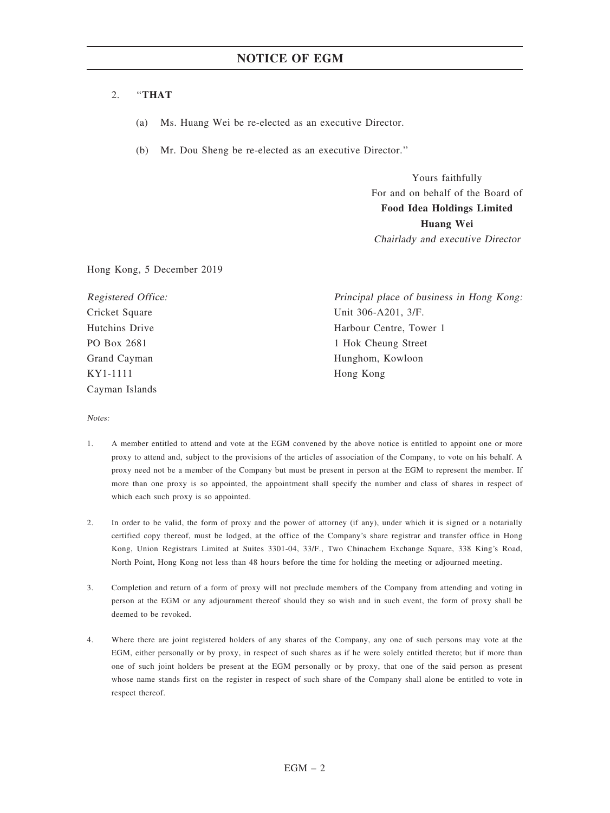#### 2. ''THAT

- (a) Ms. Huang Wei be re-elected as an executive Director.
- (b) Mr. Dou Sheng be re-elected as an executive Director.''

Yours faithfully For and on behalf of the Board of Food Idea Holdings Limited Huang Wei Chairlady and executive Director

Hong Kong, 5 December 2019

Registered Office: Cricket Square Hutchins Drive PO Box 2681 Grand Cayman KY1-1111 Cayman Islands

Principal place of business in Hong Kong: Unit 306-A201, 3/F. Harbour Centre, Tower 1 1 Hok Cheung Street Hunghom, Kowloon Hong Kong

Notes:

- 1. A member entitled to attend and vote at the EGM convened by the above notice is entitled to appoint one or more proxy to attend and, subject to the provisions of the articles of association of the Company, to vote on his behalf. A proxy need not be a member of the Company but must be present in person at the EGM to represent the member. If more than one proxy is so appointed, the appointment shall specify the number and class of shares in respect of which each such proxy is so appointed.
- 2. In order to be valid, the form of proxy and the power of attorney (if any), under which it is signed or a notarially certified copy thereof, must be lodged, at the office of the Company's share registrar and transfer office in Hong Kong, Union Registrars Limited at Suites 3301-04, 33/F., Two Chinachem Exchange Square, 338 King's Road, North Point, Hong Kong not less than 48 hours before the time for holding the meeting or adjourned meeting.
- 3. Completion and return of a form of proxy will not preclude members of the Company from attending and voting in person at the EGM or any adjournment thereof should they so wish and in such event, the form of proxy shall be deemed to be revoked.
- 4. Where there are joint registered holders of any shares of the Company, any one of such persons may vote at the EGM, either personally or by proxy, in respect of such shares as if he were solely entitled thereto; but if more than one of such joint holders be present at the EGM personally or by proxy, that one of the said person as present whose name stands first on the register in respect of such share of the Company shall alone be entitled to vote in respect thereof.